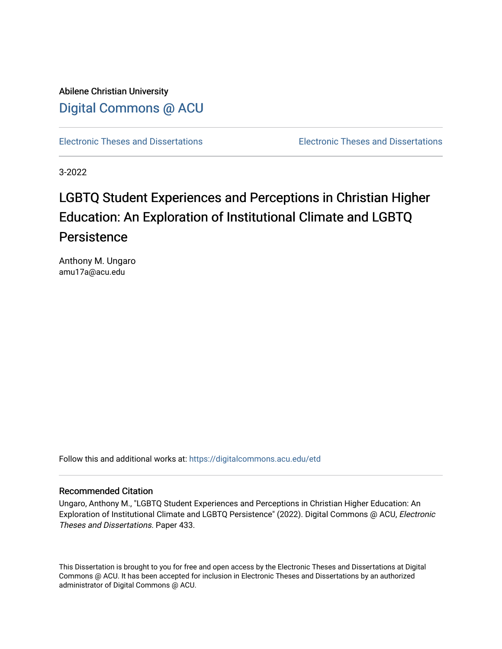Abilene Christian University [Digital Commons @ ACU](https://digitalcommons.acu.edu/)

[Electronic Theses and Dissertations](https://digitalcommons.acu.edu/etd) [Electronic Theses and Dissertations](https://digitalcommons.acu.edu/graduate_works) 

3-2022

# LGBTQ Student Experiences and Perceptions in Christian Higher Education: An Exploration of Institutional Climate and LGBTQ **Persistence**

Anthony M. Ungaro amu17a@acu.edu

Follow this and additional works at: [https://digitalcommons.acu.edu/etd](https://digitalcommons.acu.edu/etd?utm_source=digitalcommons.acu.edu%2Fetd%2F433&utm_medium=PDF&utm_campaign=PDFCoverPages) 

# Recommended Citation

Ungaro, Anthony M., "LGBTQ Student Experiences and Perceptions in Christian Higher Education: An Exploration of Institutional Climate and LGBTQ Persistence" (2022). Digital Commons @ ACU, Electronic Theses and Dissertations. Paper 433.

This Dissertation is brought to you for free and open access by the Electronic Theses and Dissertations at Digital Commons @ ACU. It has been accepted for inclusion in Electronic Theses and Dissertations by an authorized administrator of Digital Commons @ ACU.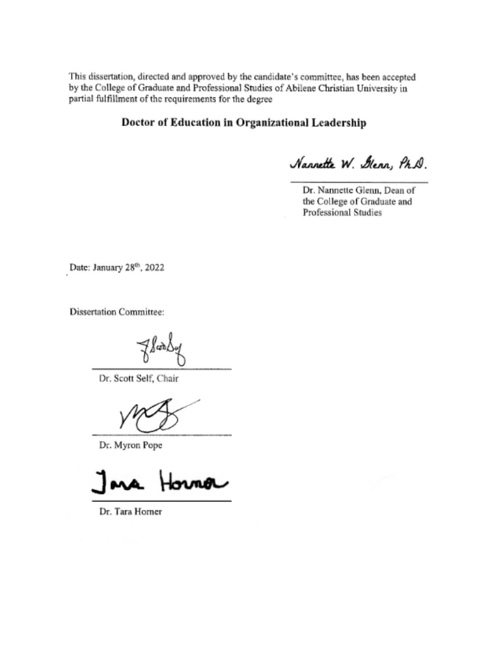This dissertation, directed and approved by the candidate's committee, has been accepted by the College of Graduate and Professional Studies of Abilene Christian University in partial fulfillment of the requirements for the degree

# Doctor of Education in Organizational Leadership

Nannette W. Glenn, Ph.D.

Dr. Nannette Glenn, Dean of the College of Graduate and Professional Studies

Date: January 28th, 2022

**Dissertation Committee:** 

 $\omega$ 

Dr. Scott Self, Chair

Dr. Myron Pope

w

Dr. Tara Horner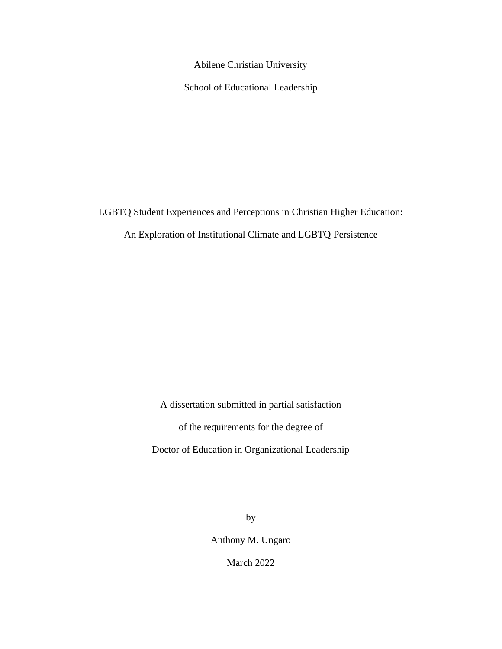Abilene Christian University

School of Educational Leadership

LGBTQ Student Experiences and Perceptions in Christian Higher Education:

An Exploration of Institutional Climate and LGBTQ Persistence

A dissertation submitted in partial satisfaction

of the requirements for the degree of

Doctor of Education in Organizational Leadership

by

Anthony M. Ungaro

March 2022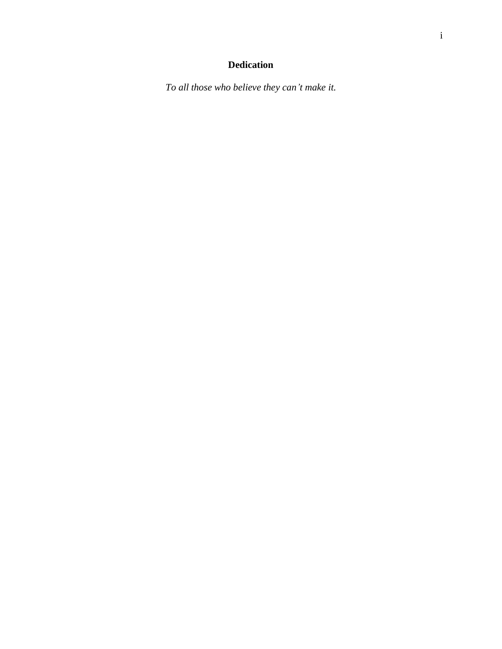# **Dedication**

*To all those who believe they can't make it.*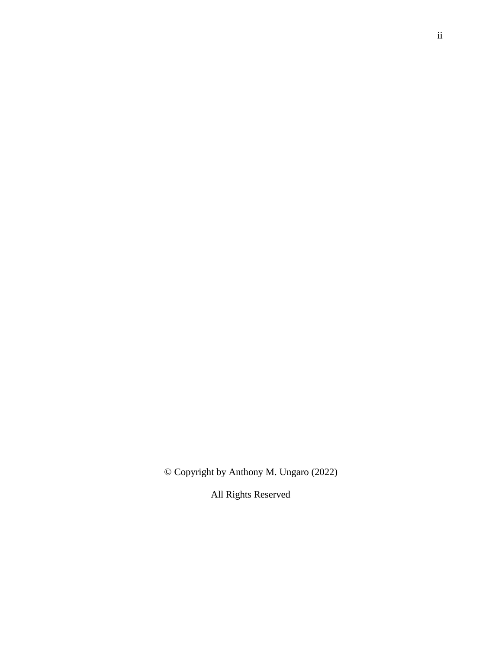© Copyright by Anthony M. Ungaro (2022)

All Rights Reserved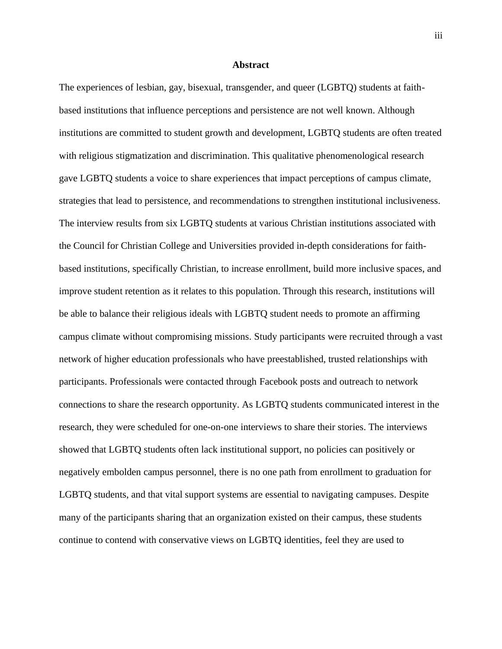# **Abstract**

The experiences of lesbian, gay, bisexual, transgender, and queer (LGBTQ) students at faithbased institutions that influence perceptions and persistence are not well known. Although institutions are committed to student growth and development, LGBTQ students are often treated with religious stigmatization and discrimination. This qualitative phenomenological research gave LGBTQ students a voice to share experiences that impact perceptions of campus climate, strategies that lead to persistence, and recommendations to strengthen institutional inclusiveness. The interview results from six LGBTQ students at various Christian institutions associated with the Council for Christian College and Universities provided in-depth considerations for faithbased institutions, specifically Christian, to increase enrollment, build more inclusive spaces, and improve student retention as it relates to this population. Through this research, institutions will be able to balance their religious ideals with LGBTQ student needs to promote an affirming campus climate without compromising missions. Study participants were recruited through a vast network of higher education professionals who have preestablished, trusted relationships with participants. Professionals were contacted through Facebook posts and outreach to network connections to share the research opportunity. As LGBTQ students communicated interest in the research, they were scheduled for one-on-one interviews to share their stories. The interviews showed that LGBTQ students often lack institutional support, no policies can positively or negatively embolden campus personnel, there is no one path from enrollment to graduation for LGBTQ students, and that vital support systems are essential to navigating campuses. Despite many of the participants sharing that an organization existed on their campus, these students continue to contend with conservative views on LGBTQ identities, feel they are used to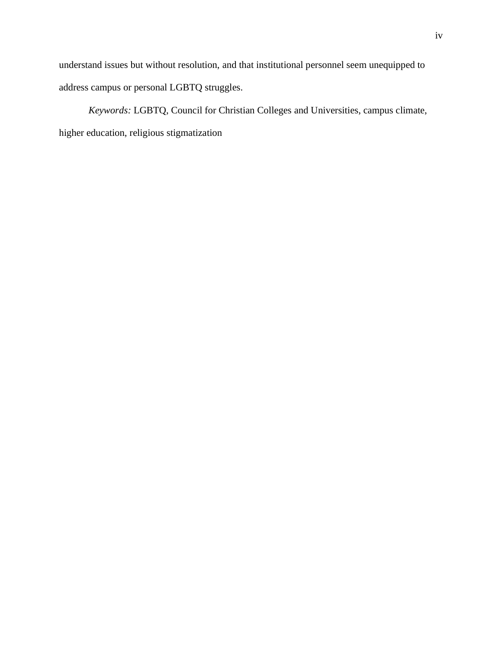understand issues but without resolution, and that institutional personnel seem unequipped to address campus or personal LGBTQ struggles.

*Keywords:* LGBTQ, Council for Christian Colleges and Universities, campus climate, higher education, religious stigmatization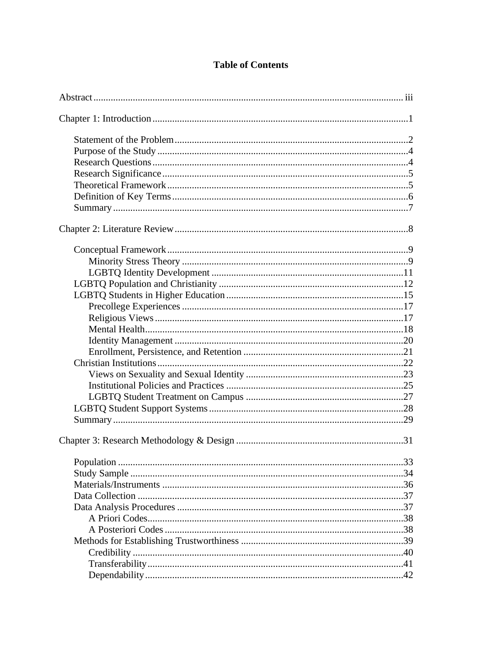# **Table of Contents**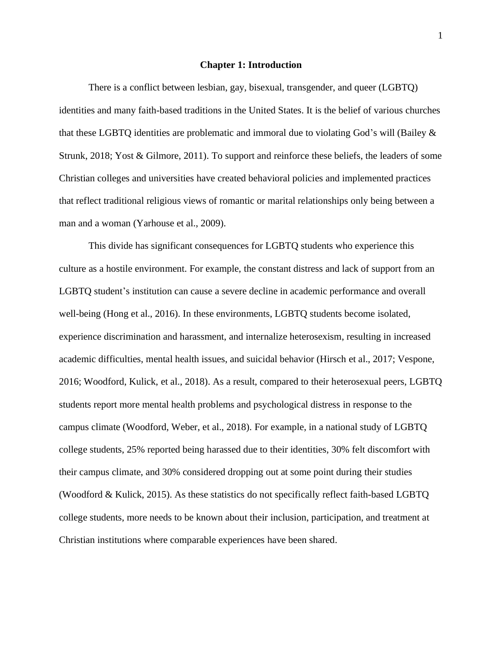#### **Chapter 1: Introduction**

There is a conflict between lesbian, gay, bisexual, transgender, and queer (LGBTQ) identities and many faith-based traditions in the United States. It is the belief of various churches that these LGBTQ identities are problematic and immoral due to violating God's will (Bailey & Strunk, 2018; Yost & Gilmore, 2011). To support and reinforce these beliefs, the leaders of some Christian colleges and universities have created behavioral policies and implemented practices that reflect traditional religious views of romantic or marital relationships only being between a man and a woman (Yarhouse et al., 2009).

This divide has significant consequences for LGBTQ students who experience this culture as a hostile environment. For example, the constant distress and lack of support from an LGBTQ student's institution can cause a severe decline in academic performance and overall well-being (Hong et al., 2016). In these environments, LGBTQ students become isolated, experience discrimination and harassment, and internalize heterosexism, resulting in increased academic difficulties, mental health issues, and suicidal behavior (Hirsch et al., 2017; Vespone, 2016; Woodford, Kulick, et al., 2018). As a result, compared to their heterosexual peers, LGBTQ students report more mental health problems and psychological distress in response to the campus climate (Woodford, Weber, et al., 2018). For example, in a national study of LGBTQ college students, 25% reported being harassed due to their identities, 30% felt discomfort with their campus climate, and 30% considered dropping out at some point during their studies (Woodford & Kulick, 2015). As these statistics do not specifically reflect faith-based LGBTQ college students, more needs to be known about their inclusion, participation, and treatment at Christian institutions where comparable experiences have been shared.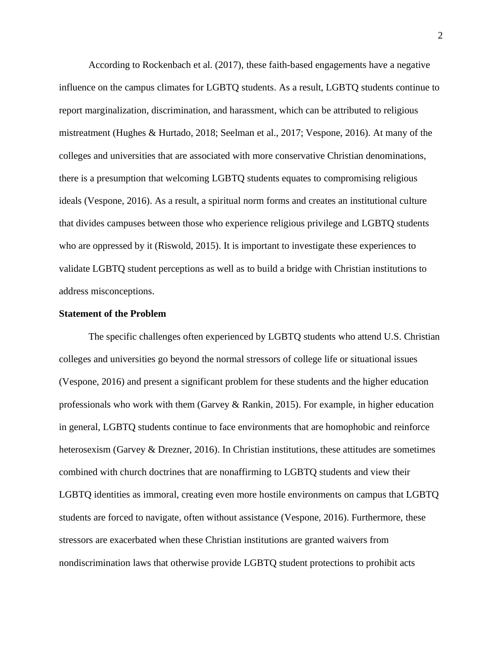According to Rockenbach et al. (2017), these faith-based engagements have a negative influence on the campus climates for LGBTQ students. As a result, LGBTQ students continue to report marginalization, discrimination, and harassment, which can be attributed to religious mistreatment (Hughes & Hurtado, 2018; Seelman et al., 2017; Vespone, 2016). At many of the colleges and universities that are associated with more conservative Christian denominations, there is a presumption that welcoming LGBTQ students equates to compromising religious ideals (Vespone, 2016). As a result, a spiritual norm forms and creates an institutional culture that divides campuses between those who experience religious privilege and LGBTQ students who are oppressed by it (Riswold, 2015). It is important to investigate these experiences to validate LGBTQ student perceptions as well as to build a bridge with Christian institutions to address misconceptions.

# **Statement of the Problem**

The specific challenges often experienced by LGBTQ students who attend U.S. Christian colleges and universities go beyond the normal stressors of college life or situational issues (Vespone, 2016) and present a significant problem for these students and the higher education professionals who work with them (Garvey & Rankin, 2015). For example, in higher education in general, LGBTQ students continue to face environments that are homophobic and reinforce heterosexism (Garvey & Drezner, 2016). In Christian institutions, these attitudes are sometimes combined with church doctrines that are nonaffirming to LGBTQ students and view their LGBTQ identities as immoral, creating even more hostile environments on campus that LGBTQ students are forced to navigate, often without assistance (Vespone, 2016). Furthermore, these stressors are exacerbated when these Christian institutions are granted waivers from nondiscrimination laws that otherwise provide LGBTQ student protections to prohibit acts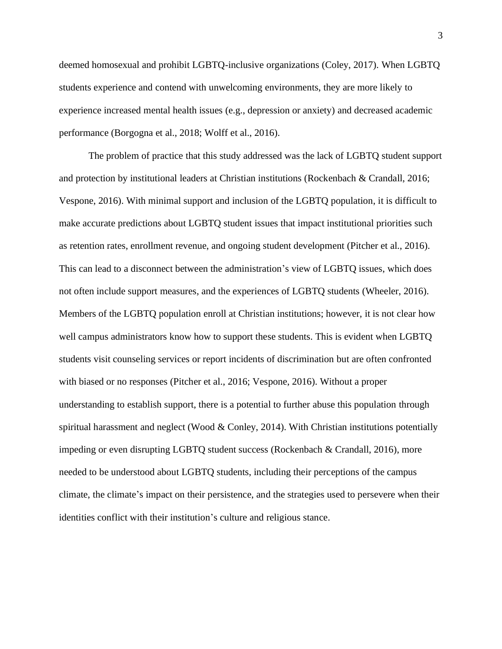deemed homosexual and prohibit LGBTQ-inclusive organizations (Coley, 2017). When LGBTQ students experience and contend with unwelcoming environments, they are more likely to experience increased mental health issues (e.g., depression or anxiety) and decreased academic performance (Borgogna et al., 2018; Wolff et al., 2016).

The problem of practice that this study addressed was the lack of LGBTQ student support and protection by institutional leaders at Christian institutions (Rockenbach & Crandall, 2016; Vespone, 2016). With minimal support and inclusion of the LGBTQ population, it is difficult to make accurate predictions about LGBTQ student issues that impact institutional priorities such as retention rates, enrollment revenue, and ongoing student development (Pitcher et al., 2016). This can lead to a disconnect between the administration's view of LGBTQ issues, which does not often include support measures, and the experiences of LGBTQ students (Wheeler, 2016). Members of the LGBTQ population enroll at Christian institutions; however, it is not clear how well campus administrators know how to support these students. This is evident when LGBTQ students visit counseling services or report incidents of discrimination but are often confronted with biased or no responses (Pitcher et al., 2016; Vespone, 2016). Without a proper understanding to establish support, there is a potential to further abuse this population through spiritual harassment and neglect (Wood  $&$  Conley, 2014). With Christian institutions potentially impeding or even disrupting LGBTQ student success (Rockenbach & Crandall, 2016), more needed to be understood about LGBTQ students, including their perceptions of the campus climate, the climate's impact on their persistence, and the strategies used to persevere when their identities conflict with their institution's culture and religious stance.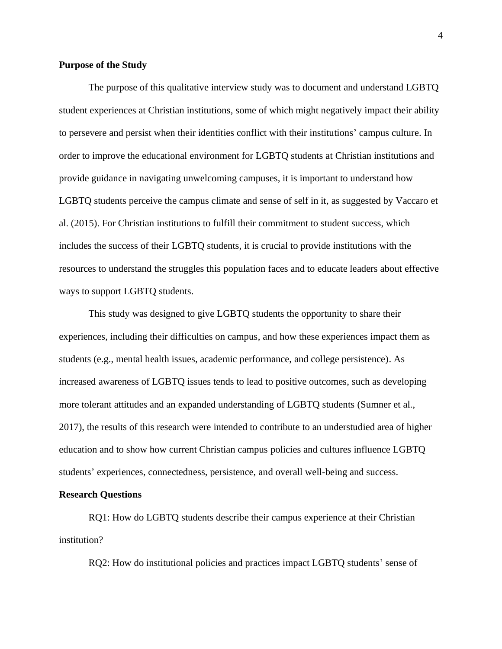# **Purpose of the Study**

The purpose of this qualitative interview study was to document and understand LGBTQ student experiences at Christian institutions, some of which might negatively impact their ability to persevere and persist when their identities conflict with their institutions' campus culture. In order to improve the educational environment for LGBTQ students at Christian institutions and provide guidance in navigating unwelcoming campuses, it is important to understand how LGBTQ students perceive the campus climate and sense of self in it, as suggested by Vaccaro et al. (2015). For Christian institutions to fulfill their commitment to student success, which includes the success of their LGBTQ students, it is crucial to provide institutions with the resources to understand the struggles this population faces and to educate leaders about effective ways to support LGBTQ students.

This study was designed to give LGBTQ students the opportunity to share their experiences, including their difficulties on campus, and how these experiences impact them as students (e.g., mental health issues, academic performance, and college persistence). As increased awareness of LGBTQ issues tends to lead to positive outcomes, such as developing more tolerant attitudes and an expanded understanding of LGBTQ students (Sumner et al., 2017), the results of this research were intended to contribute to an understudied area of higher education and to show how current Christian campus policies and cultures influence LGBTQ students' experiences, connectedness, persistence, and overall well-being and success.

#### **Research Questions**

RQ1: How do LGBTQ students describe their campus experience at their Christian institution?

RQ2: How do institutional policies and practices impact LGBTQ students' sense of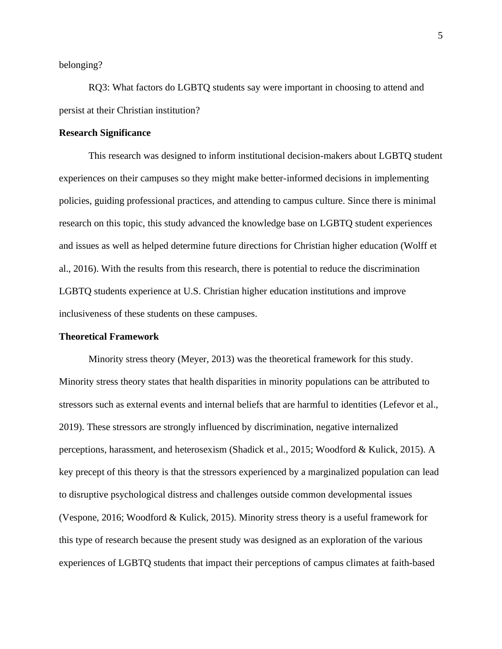belonging?

RQ3: What factors do LGBTQ students say were important in choosing to attend and persist at their Christian institution?

# **Research Significance**

This research was designed to inform institutional decision-makers about LGBTQ student experiences on their campuses so they might make better-informed decisions in implementing policies, guiding professional practices, and attending to campus culture. Since there is minimal research on this topic, this study advanced the knowledge base on LGBTQ student experiences and issues as well as helped determine future directions for Christian higher education (Wolff et al., 2016). With the results from this research, there is potential to reduce the discrimination LGBTQ students experience at U.S. Christian higher education institutions and improve inclusiveness of these students on these campuses.

#### **Theoretical Framework**

Minority stress theory (Meyer, 2013) was the theoretical framework for this study. Minority stress theory states that health disparities in minority populations can be attributed to stressors such as external events and internal beliefs that are harmful to identities (Lefevor et al., 2019). These stressors are strongly influenced by discrimination, negative internalized perceptions, harassment, and heterosexism (Shadick et al., 2015; Woodford & Kulick, 2015). A key precept of this theory is that the stressors experienced by a marginalized population can lead to disruptive psychological distress and challenges outside common developmental issues (Vespone, 2016; Woodford & Kulick, 2015). Minority stress theory is a useful framework for this type of research because the present study was designed as an exploration of the various experiences of LGBTQ students that impact their perceptions of campus climates at faith-based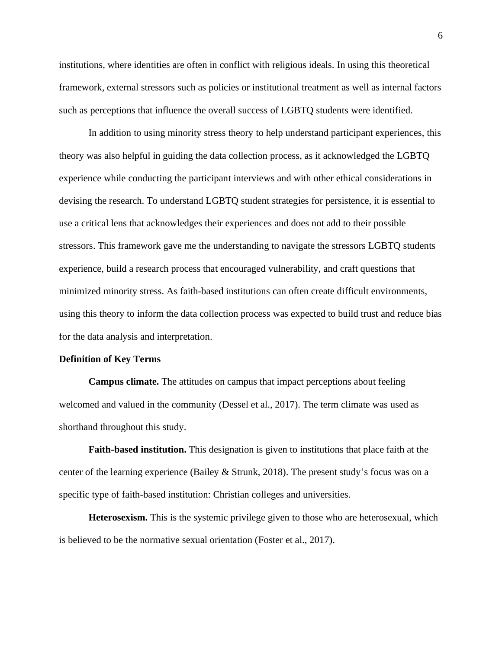institutions, where identities are often in conflict with religious ideals. In using this theoretical framework, external stressors such as policies or institutional treatment as well as internal factors such as perceptions that influence the overall success of LGBTQ students were identified.

In addition to using minority stress theory to help understand participant experiences, this theory was also helpful in guiding the data collection process, as it acknowledged the LGBTQ experience while conducting the participant interviews and with other ethical considerations in devising the research. To understand LGBTQ student strategies for persistence, it is essential to use a critical lens that acknowledges their experiences and does not add to their possible stressors. This framework gave me the understanding to navigate the stressors LGBTQ students experience, build a research process that encouraged vulnerability, and craft questions that minimized minority stress. As faith-based institutions can often create difficult environments, using this theory to inform the data collection process was expected to build trust and reduce bias for the data analysis and interpretation.

#### **Definition of Key Terms**

**Campus climate.** The attitudes on campus that impact perceptions about feeling welcomed and valued in the community (Dessel et al., 2017). The term climate was used as shorthand throughout this study.

**Faith-based institution.** This designation is given to institutions that place faith at the center of the learning experience (Bailey & Strunk, 2018). The present study's focus was on a specific type of faith-based institution: Christian colleges and universities.

**Heterosexism.** This is the systemic privilege given to those who are heterosexual, which is believed to be the normative sexual orientation (Foster et al., 2017).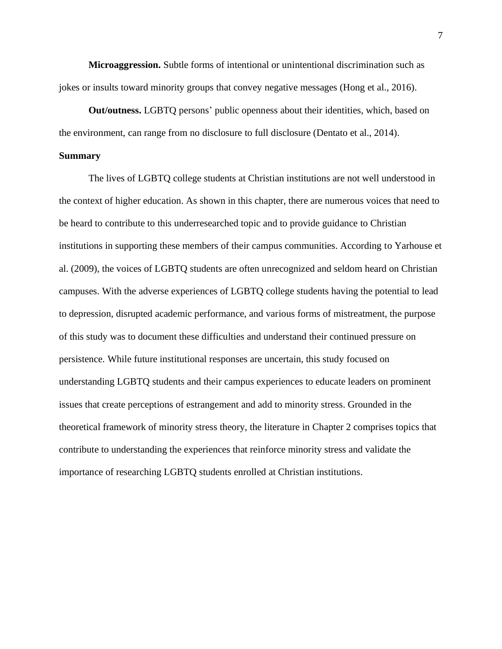**Microaggression.** Subtle forms of intentional or unintentional discrimination such as jokes or insults toward minority groups that convey negative messages (Hong et al., 2016).

**Out/outness.** LGBTQ persons' public openness about their identities, which, based on the environment, can range from no disclosure to full disclosure (Dentato et al., 2014).

#### **Summary**

The lives of LGBTQ college students at Christian institutions are not well understood in the context of higher education. As shown in this chapter, there are numerous voices that need to be heard to contribute to this underresearched topic and to provide guidance to Christian institutions in supporting these members of their campus communities. According to Yarhouse et al. (2009), the voices of LGBTQ students are often unrecognized and seldom heard on Christian campuses. With the adverse experiences of LGBTQ college students having the potential to lead to depression, disrupted academic performance, and various forms of mistreatment, the purpose of this study was to document these difficulties and understand their continued pressure on persistence. While future institutional responses are uncertain, this study focused on understanding LGBTQ students and their campus experiences to educate leaders on prominent issues that create perceptions of estrangement and add to minority stress. Grounded in the theoretical framework of minority stress theory, the literature in Chapter 2 comprises topics that contribute to understanding the experiences that reinforce minority stress and validate the importance of researching LGBTQ students enrolled at Christian institutions.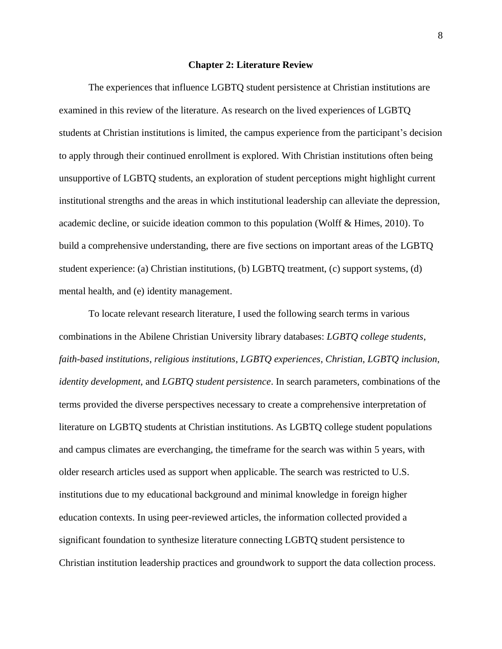#### **Chapter 2: Literature Review**

The experiences that influence LGBTQ student persistence at Christian institutions are examined in this review of the literature. As research on the lived experiences of LGBTQ students at Christian institutions is limited, the campus experience from the participant's decision to apply through their continued enrollment is explored. With Christian institutions often being unsupportive of LGBTQ students, an exploration of student perceptions might highlight current institutional strengths and the areas in which institutional leadership can alleviate the depression, academic decline, or suicide ideation common to this population (Wolff & Himes, 2010). To build a comprehensive understanding, there are five sections on important areas of the LGBTQ student experience: (a) Christian institutions, (b) LGBTQ treatment, (c) support systems, (d) mental health, and (e) identity management.

To locate relevant research literature, I used the following search terms in various combinations in the Abilene Christian University library databases: *LGBTQ college students*, *faith-based institutions*, *religious institutions*, *LGBTQ experiences*, *Christian*, *LGBTQ inclusion*, *identity development,* and *LGBTQ student persistence*. In search parameters, combinations of the terms provided the diverse perspectives necessary to create a comprehensive interpretation of literature on LGBTQ students at Christian institutions. As LGBTQ college student populations and campus climates are everchanging, the timeframe for the search was within 5 years, with older research articles used as support when applicable. The search was restricted to U.S. institutions due to my educational background and minimal knowledge in foreign higher education contexts. In using peer-reviewed articles, the information collected provided a significant foundation to synthesize literature connecting LGBTQ student persistence to Christian institution leadership practices and groundwork to support the data collection process.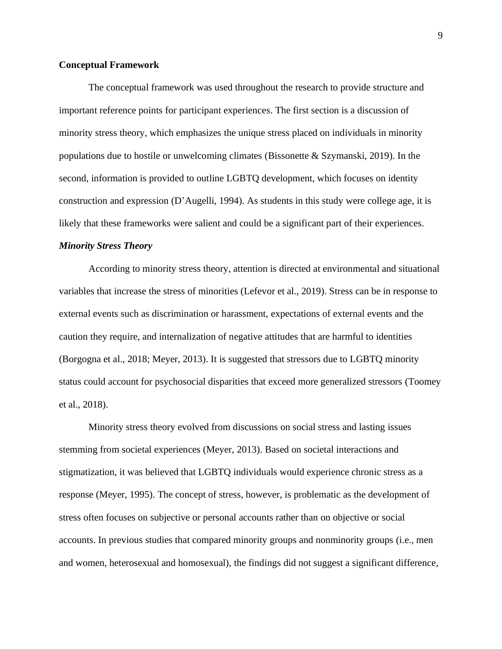# **Conceptual Framework**

The conceptual framework was used throughout the research to provide structure and important reference points for participant experiences. The first section is a discussion of minority stress theory, which emphasizes the unique stress placed on individuals in minority populations due to hostile or unwelcoming climates (Bissonette & Szymanski, 2019). In the second, information is provided to outline LGBTQ development, which focuses on identity construction and expression (D'Augelli, 1994). As students in this study were college age, it is likely that these frameworks were salient and could be a significant part of their experiences.

### *Minority Stress Theory*

According to minority stress theory, attention is directed at environmental and situational variables that increase the stress of minorities (Lefevor et al., 2019). Stress can be in response to external events such as discrimination or harassment, expectations of external events and the caution they require, and internalization of negative attitudes that are harmful to identities (Borgogna et al., 2018; Meyer, 2013). It is suggested that stressors due to LGBTQ minority status could account for psychosocial disparities that exceed more generalized stressors (Toomey et al., 2018).

Minority stress theory evolved from discussions on social stress and lasting issues stemming from societal experiences (Meyer, 2013). Based on societal interactions and stigmatization, it was believed that LGBTQ individuals would experience chronic stress as a response (Meyer, 1995). The concept of stress, however, is problematic as the development of stress often focuses on subjective or personal accounts rather than on objective or social accounts. In previous studies that compared minority groups and nonminority groups (i.e., men and women, heterosexual and homosexual), the findings did not suggest a significant difference,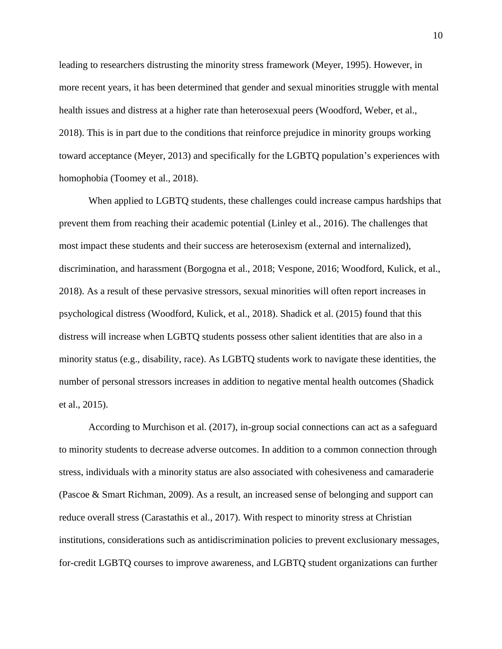leading to researchers distrusting the minority stress framework (Meyer, 1995). However, in more recent years, it has been determined that gender and sexual minorities struggle with mental health issues and distress at a higher rate than heterosexual peers (Woodford, Weber, et al., 2018). This is in part due to the conditions that reinforce prejudice in minority groups working toward acceptance (Meyer, 2013) and specifically for the LGBTQ population's experiences with homophobia (Toomey et al., 2018).

When applied to LGBTQ students, these challenges could increase campus hardships that prevent them from reaching their academic potential (Linley et al., 2016). The challenges that most impact these students and their success are heterosexism (external and internalized), discrimination, and harassment (Borgogna et al., 2018; Vespone, 2016; Woodford, Kulick, et al., 2018). As a result of these pervasive stressors, sexual minorities will often report increases in psychological distress (Woodford, Kulick, et al., 2018). Shadick et al. (2015) found that this distress will increase when LGBTQ students possess other salient identities that are also in a minority status (e.g., disability, race). As LGBTQ students work to navigate these identities, the number of personal stressors increases in addition to negative mental health outcomes (Shadick et al., 2015).

According to Murchison et al. (2017), in-group social connections can act as a safeguard to minority students to decrease adverse outcomes. In addition to a common connection through stress, individuals with a minority status are also associated with cohesiveness and camaraderie (Pascoe & Smart Richman, 2009). As a result, an increased sense of belonging and support can reduce overall stress (Carastathis et al., 2017). With respect to minority stress at Christian institutions, considerations such as antidiscrimination policies to prevent exclusionary messages, for-credit LGBTQ courses to improve awareness, and LGBTQ student organizations can further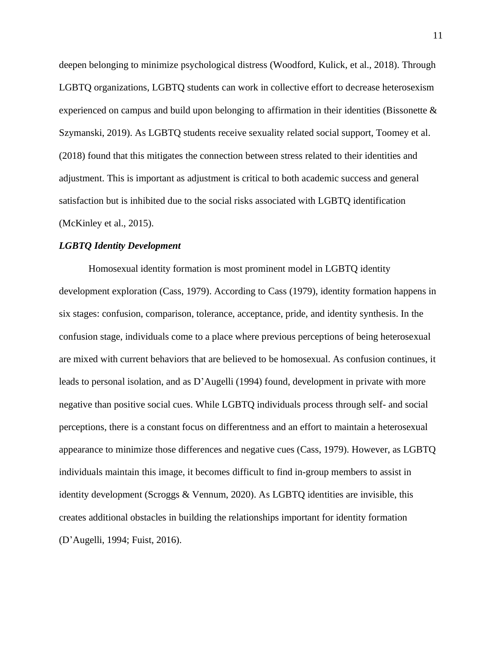deepen belonging to minimize psychological distress (Woodford, Kulick, et al., 2018). Through LGBTQ organizations, LGBTQ students can work in collective effort to decrease heterosexism experienced on campus and build upon belonging to affirmation in their identities (Bissonette  $\&$ Szymanski, 2019). As LGBTQ students receive sexuality related social support, Toomey et al. (2018) found that this mitigates the connection between stress related to their identities and adjustment. This is important as adjustment is critical to both academic success and general satisfaction but is inhibited due to the social risks associated with LGBTQ identification (McKinley et al., 2015).

#### *LGBTQ Identity Development*

Homosexual identity formation is most prominent model in LGBTQ identity development exploration (Cass, 1979). According to Cass (1979), identity formation happens in six stages: confusion, comparison, tolerance, acceptance, pride, and identity synthesis. In the confusion stage, individuals come to a place where previous perceptions of being heterosexual are mixed with current behaviors that are believed to be homosexual. As confusion continues, it leads to personal isolation, and as D'Augelli (1994) found, development in private with more negative than positive social cues. While LGBTQ individuals process through self- and social perceptions, there is a constant focus on differentness and an effort to maintain a heterosexual appearance to minimize those differences and negative cues (Cass, 1979). However, as LGBTQ individuals maintain this image, it becomes difficult to find in-group members to assist in identity development (Scroggs & Vennum, 2020). As LGBTQ identities are invisible, this creates additional obstacles in building the relationships important for identity formation (D'Augelli, 1994; Fuist, 2016).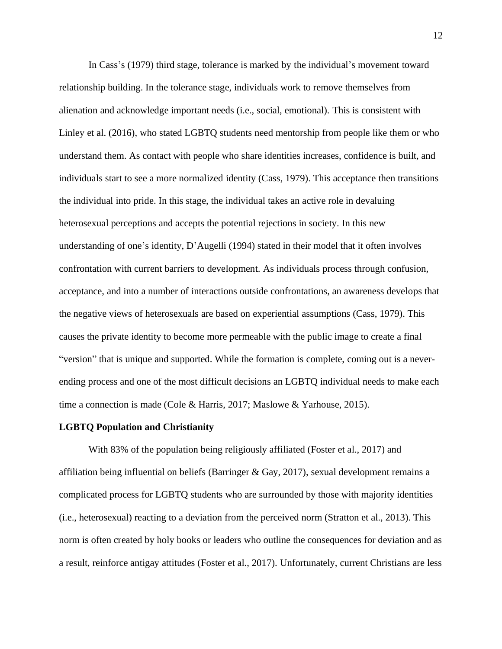In Cass's (1979) third stage, tolerance is marked by the individual's movement toward relationship building. In the tolerance stage, individuals work to remove themselves from alienation and acknowledge important needs (i.e., social, emotional). This is consistent with Linley et al. (2016), who stated LGBTQ students need mentorship from people like them or who understand them. As contact with people who share identities increases, confidence is built, and individuals start to see a more normalized identity (Cass, 1979). This acceptance then transitions the individual into pride. In this stage, the individual takes an active role in devaluing heterosexual perceptions and accepts the potential rejections in society. In this new understanding of one's identity, D'Augelli (1994) stated in their model that it often involves confrontation with current barriers to development. As individuals process through confusion, acceptance, and into a number of interactions outside confrontations, an awareness develops that the negative views of heterosexuals are based on experiential assumptions (Cass, 1979). This causes the private identity to become more permeable with the public image to create a final "version" that is unique and supported. While the formation is complete, coming out is a neverending process and one of the most difficult decisions an LGBTQ individual needs to make each time a connection is made (Cole & Harris, 2017; Maslowe & Yarhouse, 2015).

#### **LGBTQ Population and Christianity**

With 83% of the population being religiously affiliated (Foster et al., 2017) and affiliation being influential on beliefs (Barringer & Gay, 2017), sexual development remains a complicated process for LGBTQ students who are surrounded by those with majority identities (i.e., heterosexual) reacting to a deviation from the perceived norm (Stratton et al., 2013). This norm is often created by holy books or leaders who outline the consequences for deviation and as a result, reinforce antigay attitudes (Foster et al., 2017). Unfortunately, current Christians are less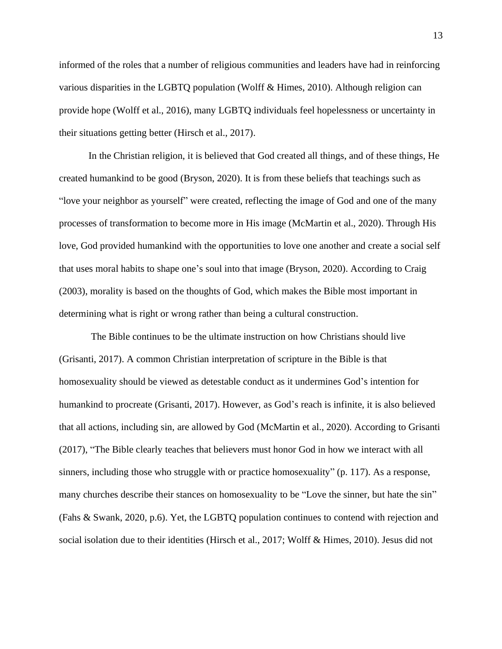informed of the roles that a number of religious communities and leaders have had in reinforcing various disparities in the LGBTQ population (Wolff & Himes, 2010). Although religion can provide hope (Wolff et al., 2016), many LGBTQ individuals feel hopelessness or uncertainty in their situations getting better (Hirsch et al., 2017).

In the Christian religion, it is believed that God created all things, and of these things, He created humankind to be good (Bryson, 2020). It is from these beliefs that teachings such as "love your neighbor as yourself" were created, reflecting the image of God and one of the many processes of transformation to become more in His image (McMartin et al., 2020). Through His love, God provided humankind with the opportunities to love one another and create a social self that uses moral habits to shape one's soul into that image (Bryson, 2020). According to Craig (2003), morality is based on the thoughts of God, which makes the Bible most important in determining what is right or wrong rather than being a cultural construction.

The Bible continues to be the ultimate instruction on how Christians should live (Grisanti, 2017). A common Christian interpretation of scripture in the Bible is that homosexuality should be viewed as detestable conduct as it undermines God's intention for humankind to procreate (Grisanti, 2017). However, as God's reach is infinite, it is also believed that all actions, including sin, are allowed by God (McMartin et al., 2020). According to Grisanti (2017), "The Bible clearly teaches that believers must honor God in how we interact with all sinners, including those who struggle with or practice homosexuality" (p. 117). As a response, many churches describe their stances on homosexuality to be "Love the sinner, but hate the sin" (Fahs & Swank, 2020, p.6). Yet, the LGBTQ population continues to contend with rejection and social isolation due to their identities (Hirsch et al., 2017; Wolff & Himes, 2010). Jesus did not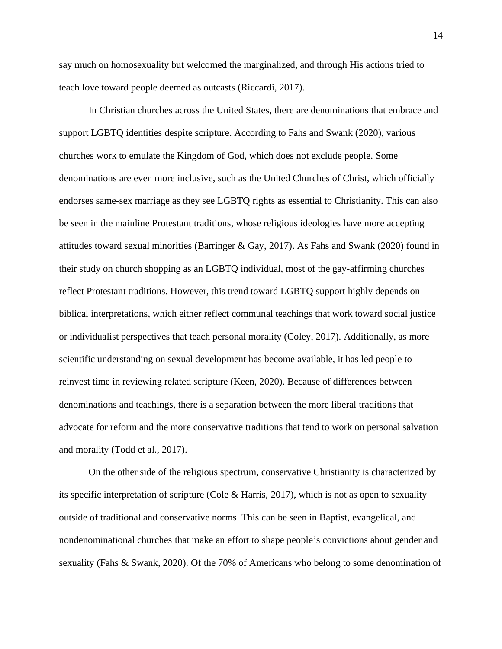say much on homosexuality but welcomed the marginalized, and through His actions tried to teach love toward people deemed as outcasts (Riccardi, 2017).

In Christian churches across the United States, there are denominations that embrace and support LGBTQ identities despite scripture. According to Fahs and Swank (2020), various churches work to emulate the Kingdom of God, which does not exclude people. Some denominations are even more inclusive, such as the United Churches of Christ, which officially endorses same-sex marriage as they see LGBTQ rights as essential to Christianity. This can also be seen in the mainline Protestant traditions, whose religious ideologies have more accepting attitudes toward sexual minorities (Barringer & Gay, 2017). As Fahs and Swank (2020) found in their study on church shopping as an LGBTQ individual, most of the gay-affirming churches reflect Protestant traditions. However, this trend toward LGBTQ support highly depends on biblical interpretations, which either reflect communal teachings that work toward social justice or individualist perspectives that teach personal morality (Coley, 2017). Additionally, as more scientific understanding on sexual development has become available, it has led people to reinvest time in reviewing related scripture (Keen, 2020). Because of differences between denominations and teachings, there is a separation between the more liberal traditions that advocate for reform and the more conservative traditions that tend to work on personal salvation and morality (Todd et al., 2017).

On the other side of the religious spectrum, conservative Christianity is characterized by its specific interpretation of scripture (Cole & Harris, 2017), which is not as open to sexuality outside of traditional and conservative norms. This can be seen in Baptist, evangelical, and nondenominational churches that make an effort to shape people's convictions about gender and sexuality (Fahs & Swank, 2020). Of the 70% of Americans who belong to some denomination of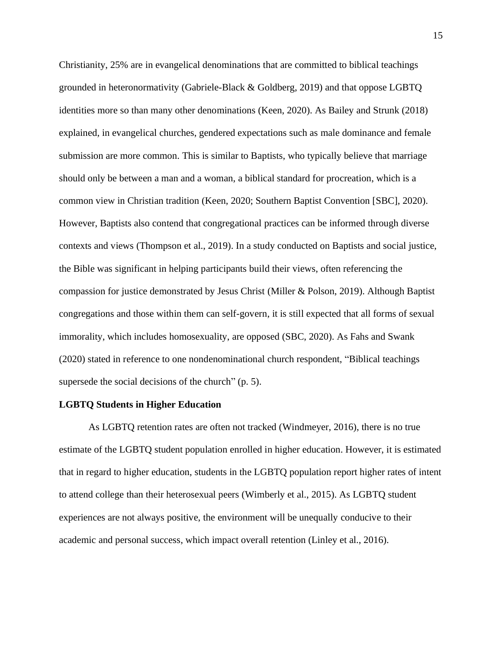Christianity, 25% are in evangelical denominations that are committed to biblical teachings grounded in heteronormativity (Gabriele-Black & Goldberg, 2019) and that oppose LGBTQ identities more so than many other denominations (Keen, 2020). As Bailey and Strunk (2018) explained, in evangelical churches, gendered expectations such as male dominance and female submission are more common. This is similar to Baptists, who typically believe that marriage should only be between a man and a woman, a biblical standard for procreation, which is a common view in Christian tradition (Keen, 2020; Southern Baptist Convention [SBC], 2020). However, Baptists also contend that congregational practices can be informed through diverse contexts and views (Thompson et al., 2019). In a study conducted on Baptists and social justice, the Bible was significant in helping participants build their views, often referencing the compassion for justice demonstrated by Jesus Christ (Miller & Polson, 2019). Although Baptist congregations and those within them can self-govern, it is still expected that all forms of sexual immorality, which includes homosexuality, are opposed (SBC, 2020). As Fahs and Swank (2020) stated in reference to one nondenominational church respondent, "Biblical teachings supersede the social decisions of the church" (p. 5).

### **LGBTQ Students in Higher Education**

As LGBTQ retention rates are often not tracked (Windmeyer, 2016), there is no true estimate of the LGBTQ student population enrolled in higher education. However, it is estimated that in regard to higher education, students in the LGBTQ population report higher rates of intent to attend college than their heterosexual peers (Wimberly et al., 2015). As LGBTQ student experiences are not always positive, the environment will be unequally conducive to their academic and personal success, which impact overall retention (Linley et al., 2016).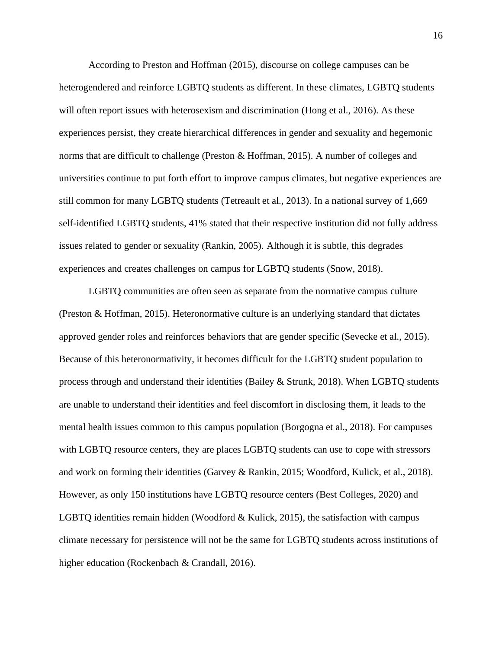According to Preston and Hoffman (2015), discourse on college campuses can be heterogendered and reinforce LGBTQ students as different. In these climates, LGBTQ students will often report issues with heterosexism and discrimination (Hong et al., 2016). As these experiences persist, they create hierarchical differences in gender and sexuality and hegemonic norms that are difficult to challenge (Preston & Hoffman, 2015). A number of colleges and universities continue to put forth effort to improve campus climates, but negative experiences are still common for many LGBTQ students (Tetreault et al., 2013). In a national survey of 1,669 self-identified LGBTQ students, 41% stated that their respective institution did not fully address issues related to gender or sexuality (Rankin, 2005). Although it is subtle, this degrades experiences and creates challenges on campus for LGBTQ students (Snow, 2018).

LGBTQ communities are often seen as separate from the normative campus culture (Preston & Hoffman, 2015). Heteronormative culture is an underlying standard that dictates approved gender roles and reinforces behaviors that are gender specific (Sevecke et al., 2015). Because of this heteronormativity, it becomes difficult for the LGBTQ student population to process through and understand their identities (Bailey & Strunk, 2018). When LGBTQ students are unable to understand their identities and feel discomfort in disclosing them, it leads to the mental health issues common to this campus population (Borgogna et al., 2018). For campuses with LGBTQ resource centers, they are places LGBTQ students can use to cope with stressors and work on forming their identities (Garvey & Rankin, 2015; Woodford, Kulick, et al., 2018). However, as only 150 institutions have LGBTQ resource centers (Best Colleges, 2020) and LGBTQ identities remain hidden (Woodford  $\&$  Kulick, 2015), the satisfaction with campus climate necessary for persistence will not be the same for LGBTQ students across institutions of higher education (Rockenbach & Crandall, 2016).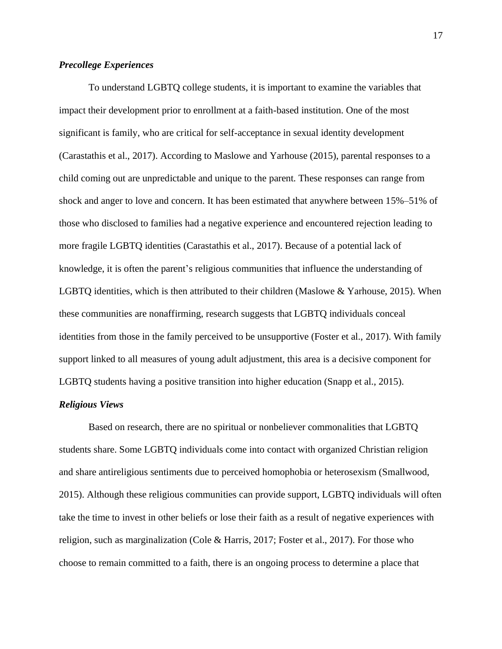# *Precollege Experiences*

To understand LGBTQ college students, it is important to examine the variables that impact their development prior to enrollment at a faith-based institution. One of the most significant is family, who are critical for self-acceptance in sexual identity development (Carastathis et al., 2017). According to Maslowe and Yarhouse (2015), parental responses to a child coming out are unpredictable and unique to the parent. These responses can range from shock and anger to love and concern. It has been estimated that anywhere between 15%–51% of those who disclosed to families had a negative experience and encountered rejection leading to more fragile LGBTQ identities (Carastathis et al., 2017). Because of a potential lack of knowledge, it is often the parent's religious communities that influence the understanding of LGBTQ identities, which is then attributed to their children (Maslowe & Yarhouse, 2015). When these communities are nonaffirming, research suggests that LGBTQ individuals conceal identities from those in the family perceived to be unsupportive (Foster et al., 2017). With family support linked to all measures of young adult adjustment, this area is a decisive component for LGBTQ students having a positive transition into higher education (Snapp et al., 2015).

### *Religious Views*

Based on research, there are no spiritual or nonbeliever commonalities that LGBTQ students share. Some LGBTQ individuals come into contact with organized Christian religion and share antireligious sentiments due to perceived homophobia or heterosexism (Smallwood, 2015). Although these religious communities can provide support, LGBTQ individuals will often take the time to invest in other beliefs or lose their faith as a result of negative experiences with religion, such as marginalization (Cole & Harris, 2017; Foster et al., 2017). For those who choose to remain committed to a faith, there is an ongoing process to determine a place that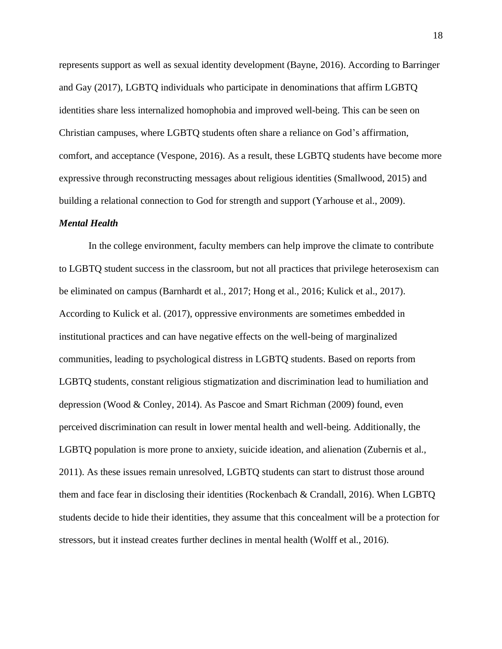represents support as well as sexual identity development (Bayne, 2016). According to Barringer and Gay (2017), LGBTQ individuals who participate in denominations that affirm LGBTQ identities share less internalized homophobia and improved well-being. This can be seen on Christian campuses, where LGBTQ students often share a reliance on God's affirmation, comfort, and acceptance (Vespone, 2016). As a result, these LGBTQ students have become more expressive through reconstructing messages about religious identities (Smallwood, 2015) and building a relational connection to God for strength and support (Yarhouse et al., 2009).

#### *Mental Health*

In the college environment, faculty members can help improve the climate to contribute to LGBTQ student success in the classroom, but not all practices that privilege heterosexism can be eliminated on campus (Barnhardt et al., 2017; Hong et al., 2016; Kulick et al., 2017). According to Kulick et al. (2017), oppressive environments are sometimes embedded in institutional practices and can have negative effects on the well-being of marginalized communities, leading to psychological distress in LGBTQ students. Based on reports from LGBTQ students, constant religious stigmatization and discrimination lead to humiliation and depression (Wood & Conley, 2014). As Pascoe and Smart Richman (2009) found, even perceived discrimination can result in lower mental health and well-being. Additionally, the LGBTQ population is more prone to anxiety, suicide ideation, and alienation (Zubernis et al., 2011). As these issues remain unresolved, LGBTQ students can start to distrust those around them and face fear in disclosing their identities (Rockenbach & Crandall, 2016). When LGBTQ students decide to hide their identities, they assume that this concealment will be a protection for stressors, but it instead creates further declines in mental health (Wolff et al., 2016).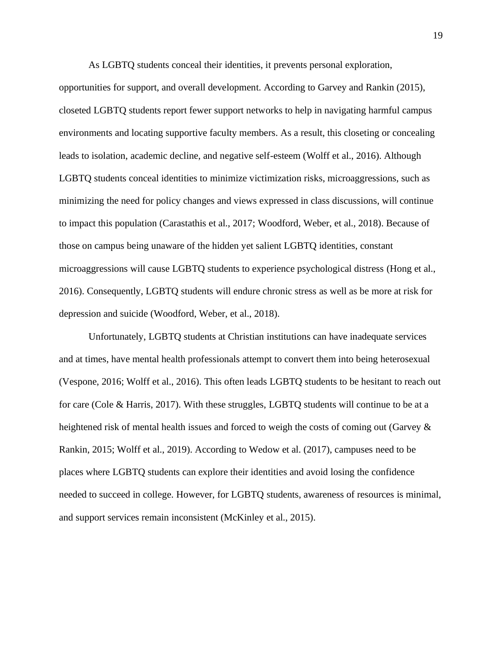As LGBTQ students conceal their identities, it prevents personal exploration,

opportunities for support, and overall development. According to Garvey and Rankin (2015), closeted LGBTQ students report fewer support networks to help in navigating harmful campus environments and locating supportive faculty members. As a result, this closeting or concealing leads to isolation, academic decline, and negative self-esteem (Wolff et al., 2016). Although LGBTQ students conceal identities to minimize victimization risks, microaggressions, such as minimizing the need for policy changes and views expressed in class discussions, will continue to impact this population (Carastathis et al., 2017; Woodford, Weber, et al., 2018). Because of those on campus being unaware of the hidden yet salient LGBTQ identities, constant microaggressions will cause LGBTQ students to experience psychological distress (Hong et al., 2016). Consequently, LGBTQ students will endure chronic stress as well as be more at risk for depression and suicide (Woodford, Weber, et al., 2018).

Unfortunately, LGBTQ students at Christian institutions can have inadequate services and at times, have mental health professionals attempt to convert them into being heterosexual (Vespone, 2016; Wolff et al., 2016). This often leads LGBTQ students to be hesitant to reach out for care (Cole & Harris, 2017). With these struggles, LGBTQ students will continue to be at a heightened risk of mental health issues and forced to weigh the costs of coming out (Garvey  $\&$ Rankin, 2015; Wolff et al., 2019). According to Wedow et al. (2017), campuses need to be places where LGBTQ students can explore their identities and avoid losing the confidence needed to succeed in college. However, for LGBTQ students, awareness of resources is minimal, and support services remain inconsistent (McKinley et al., 2015).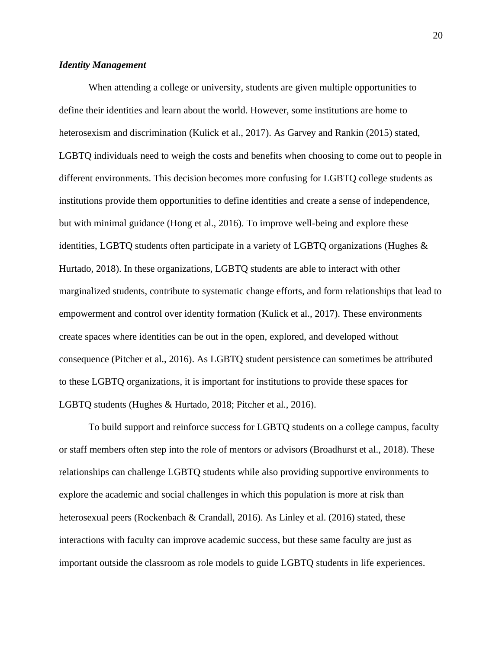### *Identity Management*

When attending a college or university, students are given multiple opportunities to define their identities and learn about the world. However, some institutions are home to heterosexism and discrimination (Kulick et al., 2017). As Garvey and Rankin (2015) stated, LGBTQ individuals need to weigh the costs and benefits when choosing to come out to people in different environments. This decision becomes more confusing for LGBTQ college students as institutions provide them opportunities to define identities and create a sense of independence, but with minimal guidance (Hong et al., 2016). To improve well-being and explore these identities, LGBTQ students often participate in a variety of LGBTQ organizations (Hughes & Hurtado, 2018). In these organizations, LGBTQ students are able to interact with other marginalized students, contribute to systematic change efforts, and form relationships that lead to empowerment and control over identity formation (Kulick et al., 2017). These environments create spaces where identities can be out in the open, explored, and developed without consequence (Pitcher et al., 2016). As LGBTQ student persistence can sometimes be attributed to these LGBTQ organizations, it is important for institutions to provide these spaces for LGBTQ students (Hughes & Hurtado, 2018; Pitcher et al., 2016).

To build support and reinforce success for LGBTQ students on a college campus, faculty or staff members often step into the role of mentors or advisors (Broadhurst et al., 2018). These relationships can challenge LGBTQ students while also providing supportive environments to explore the academic and social challenges in which this population is more at risk than heterosexual peers (Rockenbach & Crandall, 2016). As Linley et al. (2016) stated, these interactions with faculty can improve academic success, but these same faculty are just as important outside the classroom as role models to guide LGBTQ students in life experiences.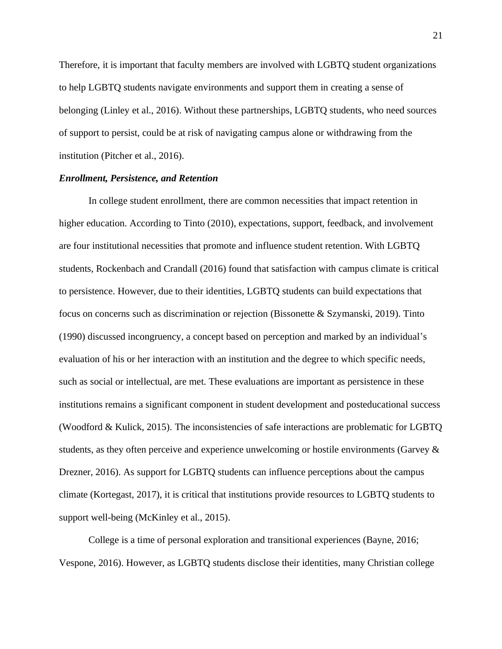Therefore, it is important that faculty members are involved with LGBTQ student organizations to help LGBTQ students navigate environments and support them in creating a sense of belonging (Linley et al., 2016). Without these partnerships, LGBTQ students, who need sources of support to persist, could be at risk of navigating campus alone or withdrawing from the institution (Pitcher et al., 2016).

# *Enrollment, Persistence, and Retention*

In college student enrollment, there are common necessities that impact retention in higher education. According to Tinto (2010), expectations, support, feedback, and involvement are four institutional necessities that promote and influence student retention. With LGBTQ students, Rockenbach and Crandall (2016) found that satisfaction with campus climate is critical to persistence. However, due to their identities, LGBTQ students can build expectations that focus on concerns such as discrimination or rejection (Bissonette & Szymanski, 2019). Tinto (1990) discussed incongruency, a concept based on perception and marked by an individual's evaluation of his or her interaction with an institution and the degree to which specific needs, such as social or intellectual, are met. These evaluations are important as persistence in these institutions remains a significant component in student development and posteducational success (Woodford & Kulick, 2015). The inconsistencies of safe interactions are problematic for LGBTQ students, as they often perceive and experience unwelcoming or hostile environments (Garvey  $\&$ Drezner, 2016). As support for LGBTQ students can influence perceptions about the campus climate (Kortegast, 2017), it is critical that institutions provide resources to LGBTQ students to support well-being (McKinley et al., 2015).

College is a time of personal exploration and transitional experiences (Bayne, 2016; Vespone, 2016). However, as LGBTQ students disclose their identities, many Christian college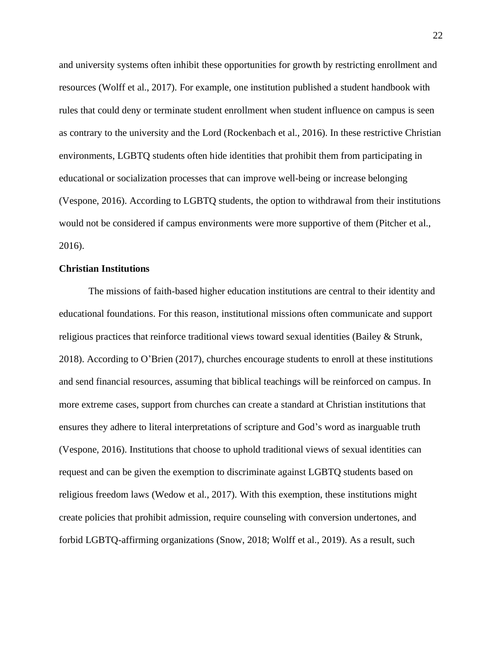and university systems often inhibit these opportunities for growth by restricting enrollment and resources (Wolff et al., 2017). For example, one institution published a student handbook with rules that could deny or terminate student enrollment when student influence on campus is seen as contrary to the university and the Lord (Rockenbach et al., 2016). In these restrictive Christian environments, LGBTQ students often hide identities that prohibit them from participating in educational or socialization processes that can improve well-being or increase belonging (Vespone, 2016). According to LGBTQ students, the option to withdrawal from their institutions would not be considered if campus environments were more supportive of them (Pitcher et al., 2016).

#### **Christian Institutions**

The missions of faith-based higher education institutions are central to their identity and educational foundations. For this reason, institutional missions often communicate and support religious practices that reinforce traditional views toward sexual identities (Bailey & Strunk, 2018). According to O'Brien (2017), churches encourage students to enroll at these institutions and send financial resources, assuming that biblical teachings will be reinforced on campus. In more extreme cases, support from churches can create a standard at Christian institutions that ensures they adhere to literal interpretations of scripture and God's word as inarguable truth (Vespone, 2016). Institutions that choose to uphold traditional views of sexual identities can request and can be given the exemption to discriminate against LGBTQ students based on religious freedom laws (Wedow et al., 2017). With this exemption, these institutions might create policies that prohibit admission, require counseling with conversion undertones, and forbid LGBTQ-affirming organizations (Snow, 2018; Wolff et al., 2019). As a result, such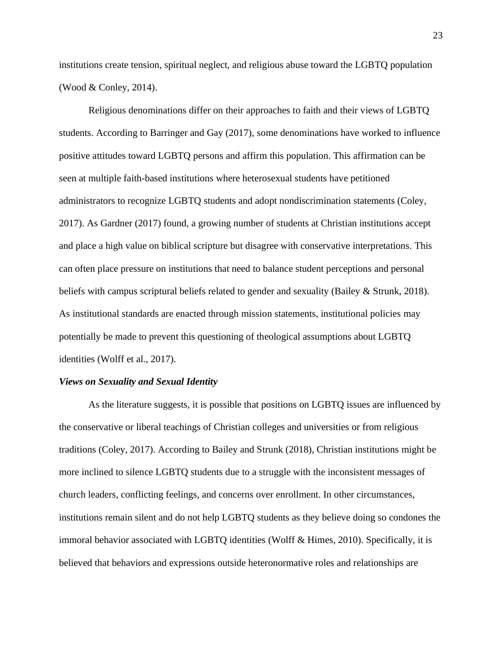institutions create tension, spiritual neglect, and religious abuse toward the LGBTQ population (Wood & Conley, 2014).

Religious denominations differ on their approaches to faith and their views of LGBTQ students. According to Barringer and Gay (2017), some denominations have worked to influence positive attitudes toward LGBTQ persons and affirm this population. This affirmation can be seen at multiple faith-based institutions where heterosexual students have petitioned administrators to recognize LGBTQ students and adopt nondiscrimination statements (Coley, 2017). As Gardner (2017) found, a growing number of students at Christian institutions accept and place a high value on biblical scripture but disagree with conservative interpretations. This can often place pressure on institutions that need to balance student perceptions and personal beliefs with campus scriptural beliefs related to gender and sexuality (Bailey & Strunk, 2018). As institutional standards are enacted through mission statements, institutional policies may potentially be made to prevent this questioning of theological assumptions about LGBTQ identities (Wolff et al., 2017).

#### *Views on Sexuality and Sexual Identity*

As the literature suggests, it is possible that positions on LGBTQ issues are influenced by the conservative or liberal teachings of Christian colleges and universities or from religious traditions (Coley, 2017). According to Bailey and Strunk (2018), Christian institutions might be more inclined to silence LGBTQ students due to a struggle with the inconsistent messages of church leaders, conflicting feelings, and concerns over enrollment. In other circumstances, institutions remain silent and do not help LGBTQ students as they believe doing so condones the immoral behavior associated with LGBTQ identities (Wolff & Himes, 2010). Specifically, it is believed that behaviors and expressions outside heteronormative roles and relationships are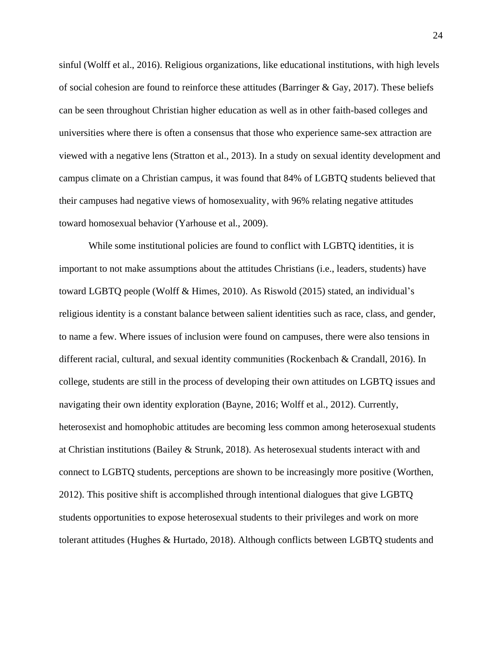sinful (Wolff et al., 2016). Religious organizations, like educational institutions, with high levels of social cohesion are found to reinforce these attitudes (Barringer & Gay, 2017). These beliefs can be seen throughout Christian higher education as well as in other faith-based colleges and universities where there is often a consensus that those who experience same-sex attraction are viewed with a negative lens (Stratton et al., 2013). In a study on sexual identity development and campus climate on a Christian campus, it was found that 84% of LGBTQ students believed that their campuses had negative views of homosexuality, with 96% relating negative attitudes toward homosexual behavior (Yarhouse et al., 2009).

While some institutional policies are found to conflict with LGBTQ identities, it is important to not make assumptions about the attitudes Christians (i.e., leaders, students) have toward LGBTQ people (Wolff & Himes, 2010). As Riswold (2015) stated, an individual's religious identity is a constant balance between salient identities such as race, class, and gender, to name a few. Where issues of inclusion were found on campuses, there were also tensions in different racial, cultural, and sexual identity communities (Rockenbach & Crandall, 2016). In college, students are still in the process of developing their own attitudes on LGBTQ issues and navigating their own identity exploration (Bayne, 2016; Wolff et al., 2012). Currently, heterosexist and homophobic attitudes are becoming less common among heterosexual students at Christian institutions (Bailey & Strunk, 2018). As heterosexual students interact with and connect to LGBTQ students, perceptions are shown to be increasingly more positive (Worthen, 2012). This positive shift is accomplished through intentional dialogues that give LGBTQ students opportunities to expose heterosexual students to their privileges and work on more tolerant attitudes (Hughes & Hurtado, 2018). Although conflicts between LGBTQ students and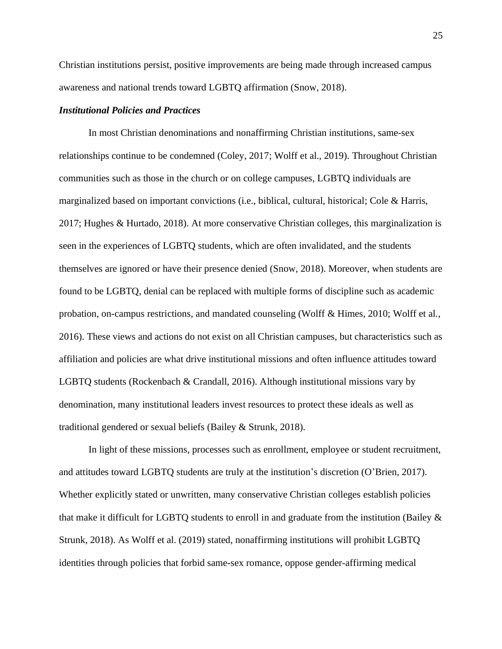Christian institutions persist, positive improvements are being made through increased campus awareness and national trends toward LGBTQ affirmation (Snow, 2018).

# *Institutional Policies and Practices*

In most Christian denominations and nonaffirming Christian institutions, same-sex relationships continue to be condemned (Coley, 2017; Wolff et al., 2019). Throughout Christian communities such as those in the church or on college campuses, LGBTQ individuals are marginalized based on important convictions (i.e., biblical, cultural, historical; Cole & Harris, 2017; Hughes & Hurtado, 2018). At more conservative Christian colleges, this marginalization is seen in the experiences of LGBTQ students, which are often invalidated, and the students themselves are ignored or have their presence denied (Snow, 2018). Moreover, when students are found to be LGBTQ, denial can be replaced with multiple forms of discipline such as academic probation, on-campus restrictions, and mandated counseling (Wolff & Himes, 2010; Wolff et al., 2016). These views and actions do not exist on all Christian campuses, but characteristics such as affiliation and policies are what drive institutional missions and often influence attitudes toward LGBTQ students (Rockenbach & Crandall, 2016). Although institutional missions vary by denomination, many institutional leaders invest resources to protect these ideals as well as traditional gendered or sexual beliefs (Bailey & Strunk, 2018).

In light of these missions, processes such as enrollment, employee or student recruitment, and attitudes toward LGBTQ students are truly at the institution's discretion (O'Brien, 2017). Whether explicitly stated or unwritten, many conservative Christian colleges establish policies that make it difficult for LGBTQ students to enroll in and graduate from the institution (Bailey & Strunk, 2018). As Wolff et al. (2019) stated, nonaffirming institutions will prohibit LGBTQ identities through policies that forbid same-sex romance, oppose gender-affirming medical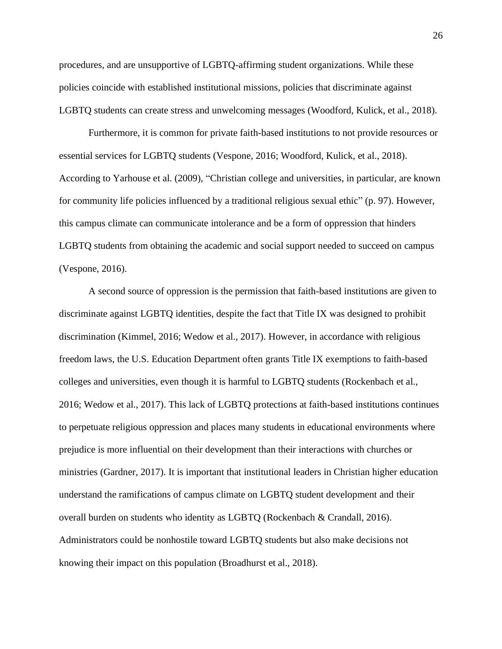procedures, and are unsupportive of LGBTQ-affirming student organizations. While these policies coincide with established institutional missions, policies that discriminate against LGBTQ students can create stress and unwelcoming messages (Woodford, Kulick, et al., 2018).

Furthermore, it is common for private faith-based institutions to not provide resources or essential services for LGBTQ students (Vespone, 2016; Woodford, Kulick, et al., 2018). According to Yarhouse et al. (2009), "Christian college and universities, in particular, are known for community life policies influenced by a traditional religious sexual ethic" (p. 97). However, this campus climate can communicate intolerance and be a form of oppression that hinders LGBTQ students from obtaining the academic and social support needed to succeed on campus (Vespone, 2016).

A second source of oppression is the permission that faith-based institutions are given to discriminate against LGBTQ identities, despite the fact that Title IX was designed to prohibit discrimination (Kimmel, 2016; Wedow et al., 2017). However, in accordance with religious freedom laws, the U.S. Education Department often grants Title IX exemptions to faith-based colleges and universities, even though it is harmful to LGBTQ students (Rockenbach et al., 2016; Wedow et al., 2017). This lack of LGBTQ protections at faith-based institutions continues to perpetuate religious oppression and places many students in educational environments where prejudice is more influential on their development than their interactions with churches or ministries (Gardner, 2017). It is important that institutional leaders in Christian higher education understand the ramifications of campus climate on LGBTQ student development and their overall burden on students who identity as LGBTQ (Rockenbach & Crandall, 2016). Administrators could be nonhostile toward LGBTQ students but also make decisions not knowing their impact on this population (Broadhurst et al., 2018).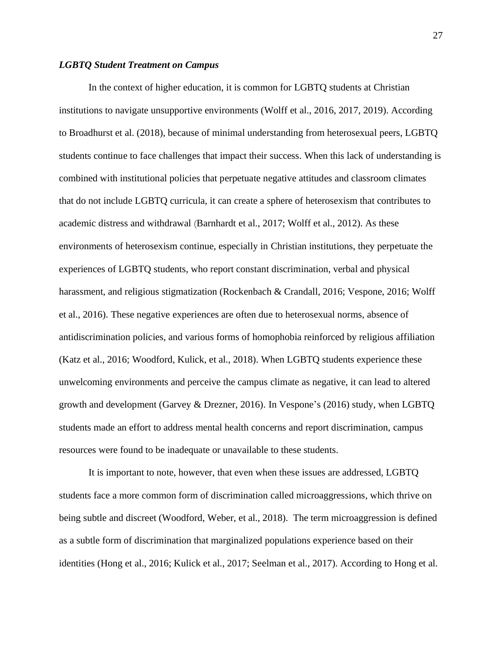# *LGBTQ Student Treatment on Campus*

In the context of higher education, it is common for LGBTQ students at Christian institutions to navigate unsupportive environments (Wolff et al., 2016, 2017, 2019). According to Broadhurst et al. (2018), because of minimal understanding from heterosexual peers, LGBTQ students continue to face challenges that impact their success. When this lack of understanding is combined with institutional policies that perpetuate negative attitudes and classroom climates that do not include LGBTQ curricula, it can create a sphere of heterosexism that contributes to academic distress and withdrawal (Barnhardt et al., 2017; Wolff et al., 2012). As these environments of heterosexism continue, especially in Christian institutions, they perpetuate the experiences of LGBTQ students, who report constant discrimination, verbal and physical harassment, and religious stigmatization (Rockenbach & Crandall, 2016; Vespone, 2016; Wolff et al., 2016). These negative experiences are often due to heterosexual norms, absence of antidiscrimination policies, and various forms of homophobia reinforced by religious affiliation (Katz et al., 2016; Woodford, Kulick, et al., 2018). When LGBTQ students experience these unwelcoming environments and perceive the campus climate as negative, it can lead to altered growth and development (Garvey & Drezner, 2016). In Vespone's (2016) study, when LGBTQ students made an effort to address mental health concerns and report discrimination, campus resources were found to be inadequate or unavailable to these students.

It is important to note, however, that even when these issues are addressed, LGBTQ students face a more common form of discrimination called microaggressions, which thrive on being subtle and discreet (Woodford, Weber, et al., 2018). The term microaggression is defined as a subtle form of discrimination that marginalized populations experience based on their identities (Hong et al., 2016; Kulick et al., 2017; Seelman et al., 2017). According to Hong et al.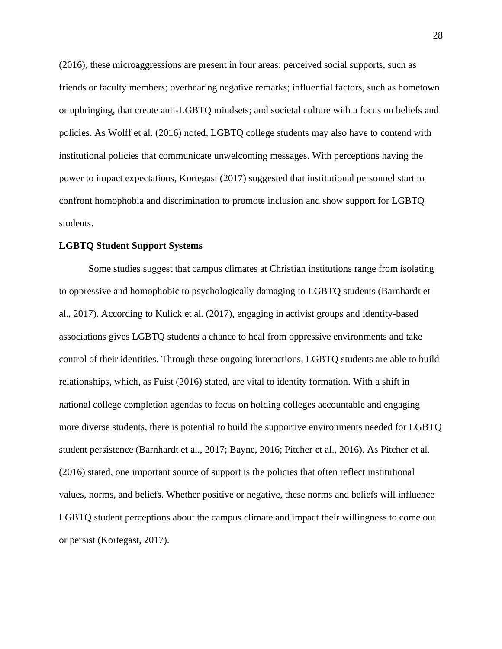(2016), these microaggressions are present in four areas: perceived social supports, such as friends or faculty members; overhearing negative remarks; influential factors, such as hometown or upbringing, that create anti-LGBTQ mindsets; and societal culture with a focus on beliefs and policies. As Wolff et al. (2016) noted, LGBTQ college students may also have to contend with institutional policies that communicate unwelcoming messages. With perceptions having the power to impact expectations, Kortegast (2017) suggested that institutional personnel start to confront homophobia and discrimination to promote inclusion and show support for LGBTQ students.

#### **LGBTQ Student Support Systems**

Some studies suggest that campus climates at Christian institutions range from isolating to oppressive and homophobic to psychologically damaging to LGBTQ students (Barnhardt et al., 2017). According to Kulick et al. (2017), engaging in activist groups and identity-based associations gives LGBTQ students a chance to heal from oppressive environments and take control of their identities. Through these ongoing interactions, LGBTQ students are able to build relationships, which, as Fuist (2016) stated, are vital to identity formation. With a shift in national college completion agendas to focus on holding colleges accountable and engaging more diverse students, there is potential to build the supportive environments needed for LGBTQ student persistence (Barnhardt et al., 2017; Bayne, 2016; Pitcher et al., 2016). As Pitcher et al. (2016) stated, one important source of support is the policies that often reflect institutional values, norms, and beliefs. Whether positive or negative, these norms and beliefs will influence LGBTQ student perceptions about the campus climate and impact their willingness to come out or persist (Kortegast, 2017).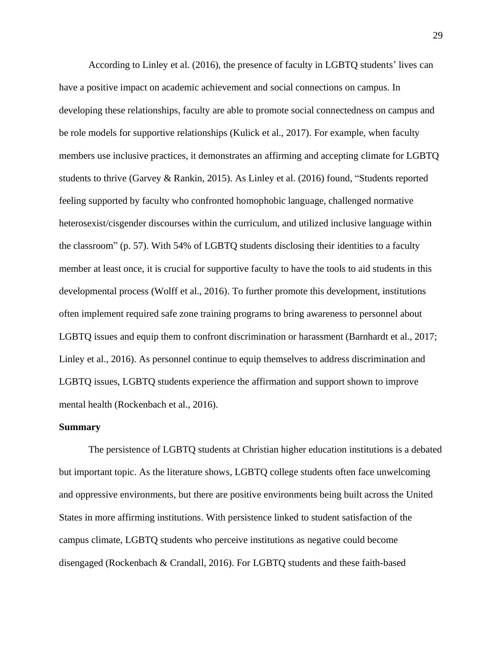According to Linley et al. (2016), the presence of faculty in LGBTQ students' lives can have a positive impact on academic achievement and social connections on campus. In developing these relationships, faculty are able to promote social connectedness on campus and be role models for supportive relationships (Kulick et al., 2017). For example, when faculty members use inclusive practices, it demonstrates an affirming and accepting climate for LGBTQ students to thrive (Garvey & Rankin, 2015). As Linley et al. (2016) found, "Students reported feeling supported by faculty who confronted homophobic language, challenged normative heterosexist/cisgender discourses within the curriculum, and utilized inclusive language within the classroom" (p. 57). With 54% of LGBTQ students disclosing their identities to a faculty member at least once, it is crucial for supportive faculty to have the tools to aid students in this developmental process (Wolff et al., 2016). To further promote this development, institutions often implement required safe zone training programs to bring awareness to personnel about LGBTQ issues and equip them to confront discrimination or harassment (Barnhardt et al., 2017; Linley et al., 2016). As personnel continue to equip themselves to address discrimination and LGBTQ issues, LGBTQ students experience the affirmation and support shown to improve mental health (Rockenbach et al., 2016).

### **Summary**

The persistence of LGBTQ students at Christian higher education institutions is a debated but important topic. As the literature shows, LGBTQ college students often face unwelcoming and oppressive environments, but there are positive environments being built across the United States in more affirming institutions. With persistence linked to student satisfaction of the campus climate, LGBTQ students who perceive institutions as negative could become disengaged (Rockenbach & Crandall, 2016). For LGBTQ students and these faith-based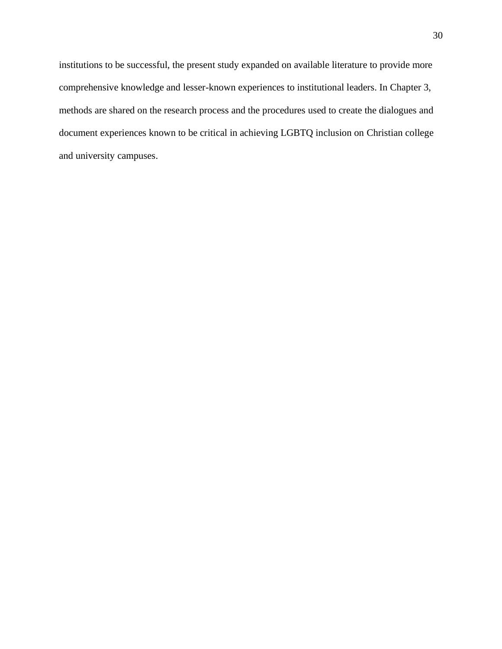institutions to be successful, the present study expanded on available literature to provide more comprehensive knowledge and lesser-known experiences to institutional leaders. In Chapter 3, methods are shared on the research process and the procedures used to create the dialogues and document experiences known to be critical in achieving LGBTQ inclusion on Christian college and university campuses.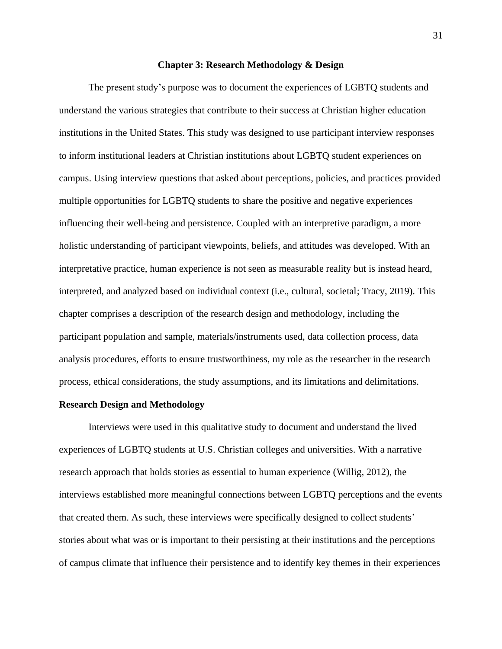#### **Chapter 3: Research Methodology & Design**

The present study's purpose was to document the experiences of LGBTQ students and understand the various strategies that contribute to their success at Christian higher education institutions in the United States. This study was designed to use participant interview responses to inform institutional leaders at Christian institutions about LGBTQ student experiences on campus. Using interview questions that asked about perceptions, policies, and practices provided multiple opportunities for LGBTQ students to share the positive and negative experiences influencing their well-being and persistence. Coupled with an interpretive paradigm, a more holistic understanding of participant viewpoints, beliefs, and attitudes was developed. With an interpretative practice, human experience is not seen as measurable reality but is instead heard, interpreted, and analyzed based on individual context (i.e., cultural, societal; Tracy, 2019). This chapter comprises a description of the research design and methodology, including the participant population and sample, materials/instruments used, data collection process, data analysis procedures, efforts to ensure trustworthiness, my role as the researcher in the research process, ethical considerations, the study assumptions, and its limitations and delimitations.

#### **Research Design and Methodology**

Interviews were used in this qualitative study to document and understand the lived experiences of LGBTQ students at U.S. Christian colleges and universities. With a narrative research approach that holds stories as essential to human experience (Willig, 2012), the interviews established more meaningful connections between LGBTQ perceptions and the events that created them. As such, these interviews were specifically designed to collect students' stories about what was or is important to their persisting at their institutions and the perceptions of campus climate that influence their persistence and to identify key themes in their experiences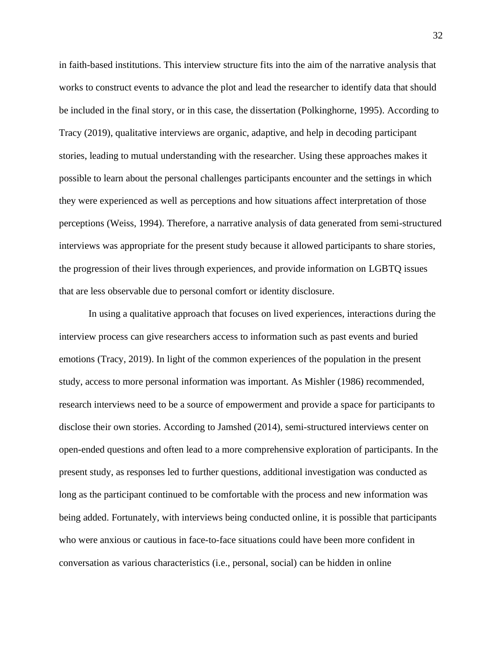in faith-based institutions. This interview structure fits into the aim of the narrative analysis that works to construct events to advance the plot and lead the researcher to identify data that should be included in the final story, or in this case, the dissertation (Polkinghorne, 1995). According to Tracy (2019), qualitative interviews are organic, adaptive, and help in decoding participant stories, leading to mutual understanding with the researcher. Using these approaches makes it possible to learn about the personal challenges participants encounter and the settings in which they were experienced as well as perceptions and how situations affect interpretation of those perceptions (Weiss, 1994). Therefore, a narrative analysis of data generated from semi-structured interviews was appropriate for the present study because it allowed participants to share stories, the progression of their lives through experiences, and provide information on LGBTQ issues that are less observable due to personal comfort or identity disclosure.

In using a qualitative approach that focuses on lived experiences, interactions during the interview process can give researchers access to information such as past events and buried emotions (Tracy, 2019). In light of the common experiences of the population in the present study, access to more personal information was important. As Mishler (1986) recommended, research interviews need to be a source of empowerment and provide a space for participants to disclose their own stories. According to Jamshed (2014), semi-structured interviews center on open-ended questions and often lead to a more comprehensive exploration of participants. In the present study, as responses led to further questions, additional investigation was conducted as long as the participant continued to be comfortable with the process and new information was being added. Fortunately, with interviews being conducted online, it is possible that participants who were anxious or cautious in face-to-face situations could have been more confident in conversation as various characteristics (i.e., personal, social) can be hidden in online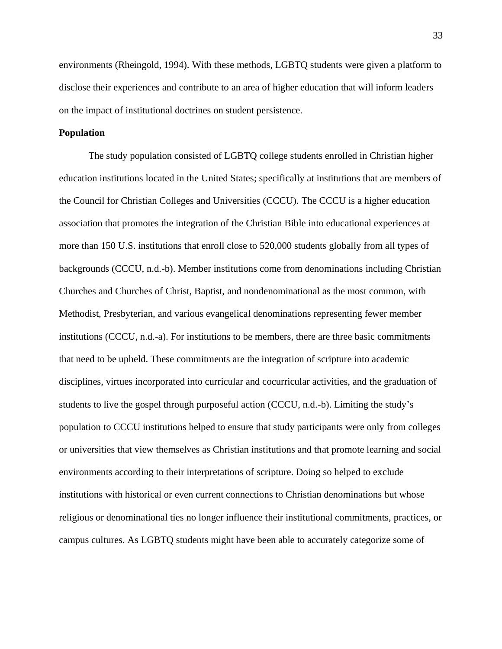environments (Rheingold, 1994). With these methods, LGBTQ students were given a platform to disclose their experiences and contribute to an area of higher education that will inform leaders on the impact of institutional doctrines on student persistence.

# **Population**

The study population consisted of LGBTQ college students enrolled in Christian higher education institutions located in the United States; specifically at institutions that are members of the Council for Christian Colleges and Universities (CCCU). The CCCU is a higher education association that promotes the integration of the Christian Bible into educational experiences at more than 150 U.S. institutions that enroll close to 520,000 students globally from all types of backgrounds (CCCU, n.d.-b). Member institutions come from denominations including Christian Churches and Churches of Christ, Baptist, and nondenominational as the most common, with Methodist, Presbyterian, and various evangelical denominations representing fewer member institutions (CCCU, n.d.-a). For institutions to be members, there are three basic commitments that need to be upheld. These commitments are the integration of scripture into academic disciplines, virtues incorporated into curricular and cocurricular activities, and the graduation of students to live the gospel through purposeful action (CCCU, n.d.-b). Limiting the study's population to CCCU institutions helped to ensure that study participants were only from colleges or universities that view themselves as Christian institutions and that promote learning and social environments according to their interpretations of scripture. Doing so helped to exclude institutions with historical or even current connections to Christian denominations but whose religious or denominational ties no longer influence their institutional commitments, practices, or campus cultures. As LGBTQ students might have been able to accurately categorize some of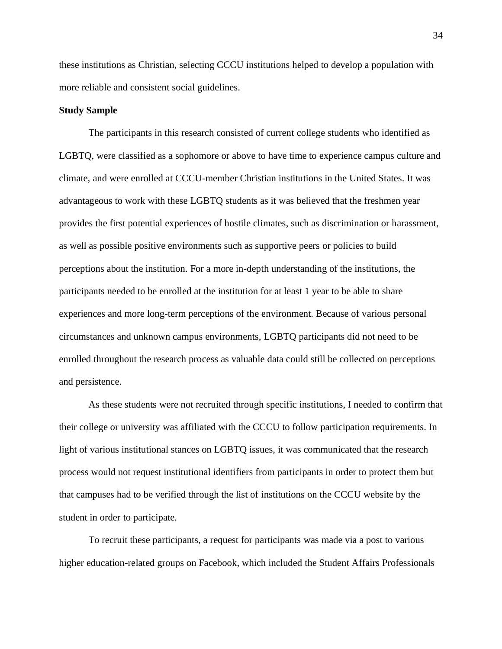these institutions as Christian, selecting CCCU institutions helped to develop a population with more reliable and consistent social guidelines.

### **Study Sample**

The participants in this research consisted of current college students who identified as LGBTQ, were classified as a sophomore or above to have time to experience campus culture and climate, and were enrolled at CCCU-member Christian institutions in the United States. It was advantageous to work with these LGBTQ students as it was believed that the freshmen year provides the first potential experiences of hostile climates, such as discrimination or harassment, as well as possible positive environments such as supportive peers or policies to build perceptions about the institution. For a more in-depth understanding of the institutions, the participants needed to be enrolled at the institution for at least 1 year to be able to share experiences and more long-term perceptions of the environment. Because of various personal circumstances and unknown campus environments, LGBTQ participants did not need to be enrolled throughout the research process as valuable data could still be collected on perceptions and persistence.

As these students were not recruited through specific institutions, I needed to confirm that their college or university was affiliated with the CCCU to follow participation requirements. In light of various institutional stances on LGBTQ issues, it was communicated that the research process would not request institutional identifiers from participants in order to protect them but that campuses had to be verified through the list of institutions on the CCCU website by the student in order to participate.

To recruit these participants, a request for participants was made via a post to various higher education-related groups on Facebook, which included the Student Affairs Professionals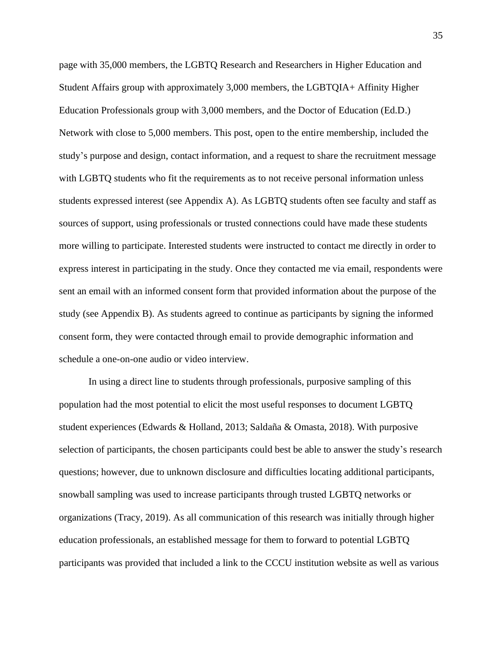page with 35,000 members, the LGBTQ Research and Researchers in Higher Education and Student Affairs group with approximately 3,000 members, the LGBTQIA+ Affinity Higher Education Professionals group with 3,000 members, and the Doctor of Education (Ed.D.) Network with close to 5,000 members. This post, open to the entire membership, included the study's purpose and design, contact information, and a request to share the recruitment message with LGBTQ students who fit the requirements as to not receive personal information unless students expressed interest (see Appendix A). As LGBTQ students often see faculty and staff as sources of support, using professionals or trusted connections could have made these students more willing to participate. Interested students were instructed to contact me directly in order to express interest in participating in the study. Once they contacted me via email, respondents were sent an email with an informed consent form that provided information about the purpose of the study (see Appendix B). As students agreed to continue as participants by signing the informed consent form, they were contacted through email to provide demographic information and schedule a one-on-one audio or video interview.

In using a direct line to students through professionals, purposive sampling of this population had the most potential to elicit the most useful responses to document LGBTQ student experiences (Edwards & Holland, 2013; Saldaña & Omasta, 2018). With purposive selection of participants, the chosen participants could best be able to answer the study's research questions; however, due to unknown disclosure and difficulties locating additional participants, snowball sampling was used to increase participants through trusted LGBTQ networks or organizations (Tracy, 2019). As all communication of this research was initially through higher education professionals, an established message for them to forward to potential LGBTQ participants was provided that included a link to the CCCU institution website as well as various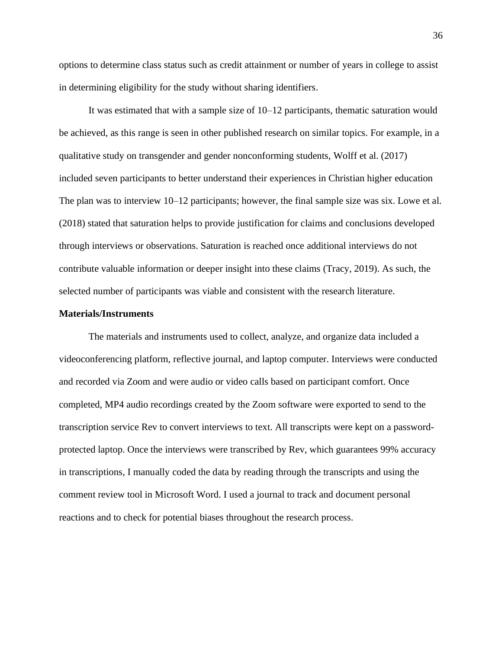options to determine class status such as credit attainment or number of years in college to assist in determining eligibility for the study without sharing identifiers.

It was estimated that with a sample size of 10–12 participants, thematic saturation would be achieved, as this range is seen in other published research on similar topics. For example, in a qualitative study on transgender and gender nonconforming students, Wolff et al. (2017) included seven participants to better understand their experiences in Christian higher education The plan was to interview 10–12 participants; however, the final sample size was six. Lowe et al. (2018) stated that saturation helps to provide justification for claims and conclusions developed through interviews or observations. Saturation is reached once additional interviews do not contribute valuable information or deeper insight into these claims (Tracy, 2019). As such, the selected number of participants was viable and consistent with the research literature.

### **Materials/Instruments**

The materials and instruments used to collect, analyze, and organize data included a videoconferencing platform, reflective journal, and laptop computer. Interviews were conducted and recorded via Zoom and were audio or video calls based on participant comfort. Once completed, MP4 audio recordings created by the Zoom software were exported to send to the transcription service Rev to convert interviews to text. All transcripts were kept on a passwordprotected laptop. Once the interviews were transcribed by Rev, which guarantees 99% accuracy in transcriptions, I manually coded the data by reading through the transcripts and using the comment review tool in Microsoft Word. I used a journal to track and document personal reactions and to check for potential biases throughout the research process.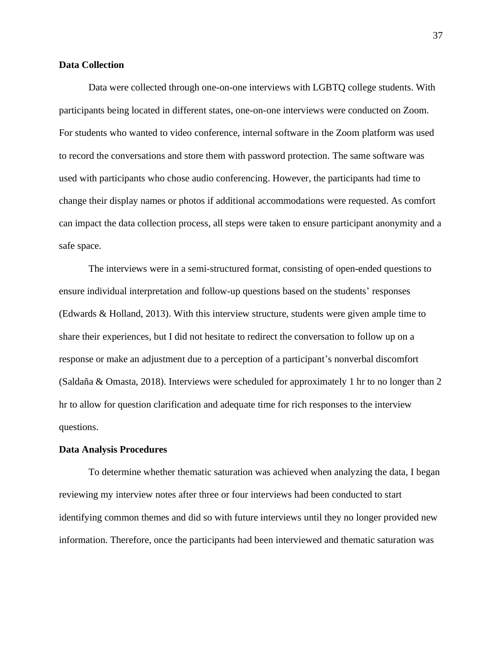## **Data Collection**

Data were collected through one-on-one interviews with LGBTQ college students. With participants being located in different states, one-on-one interviews were conducted on Zoom. For students who wanted to video conference, internal software in the Zoom platform was used to record the conversations and store them with password protection. The same software was used with participants who chose audio conferencing. However, the participants had time to change their display names or photos if additional accommodations were requested. As comfort can impact the data collection process, all steps were taken to ensure participant anonymity and a safe space.

The interviews were in a semi-structured format, consisting of open-ended questions to ensure individual interpretation and follow-up questions based on the students' responses (Edwards & Holland, 2013). With this interview structure, students were given ample time to share their experiences, but I did not hesitate to redirect the conversation to follow up on a response or make an adjustment due to a perception of a participant's nonverbal discomfort (Saldaña & Omasta, 2018). Interviews were scheduled for approximately 1 hr to no longer than 2 hr to allow for question clarification and adequate time for rich responses to the interview questions.

#### **Data Analysis Procedures**

To determine whether thematic saturation was achieved when analyzing the data, I began reviewing my interview notes after three or four interviews had been conducted to start identifying common themes and did so with future interviews until they no longer provided new information. Therefore, once the participants had been interviewed and thematic saturation was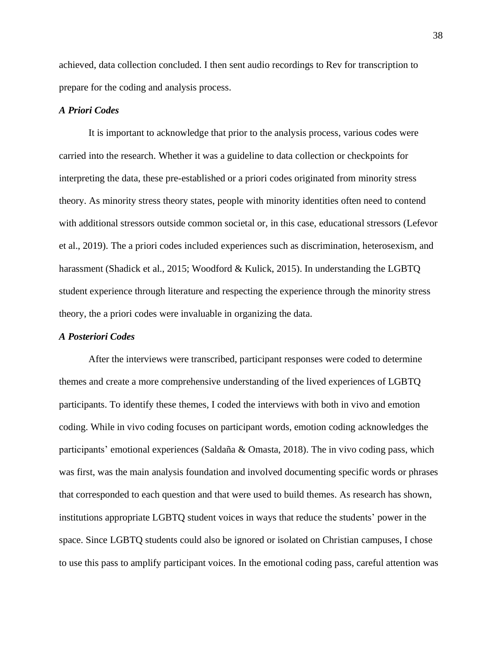achieved, data collection concluded. I then sent audio recordings to Rev for transcription to prepare for the coding and analysis process.

## *A Priori Codes*

It is important to acknowledge that prior to the analysis process, various codes were carried into the research. Whether it was a guideline to data collection or checkpoints for interpreting the data, these pre-established or a priori codes originated from minority stress theory. As minority stress theory states, people with minority identities often need to contend with additional stressors outside common societal or, in this case, educational stressors (Lefevor et al., 2019). The a priori codes included experiences such as discrimination, heterosexism, and harassment (Shadick et al., 2015; Woodford & Kulick, 2015). In understanding the LGBTQ student experience through literature and respecting the experience through the minority stress theory, the a priori codes were invaluable in organizing the data.

## *A Posteriori Codes*

After the interviews were transcribed, participant responses were coded to determine themes and create a more comprehensive understanding of the lived experiences of LGBTQ participants. To identify these themes, I coded the interviews with both in vivo and emotion coding. While in vivo coding focuses on participant words, emotion coding acknowledges the participants' emotional experiences (Saldaña & Omasta, 2018). The in vivo coding pass, which was first, was the main analysis foundation and involved documenting specific words or phrases that corresponded to each question and that were used to build themes. As research has shown, institutions appropriate LGBTQ student voices in ways that reduce the students' power in the space. Since LGBTQ students could also be ignored or isolated on Christian campuses, I chose to use this pass to amplify participant voices. In the emotional coding pass, careful attention was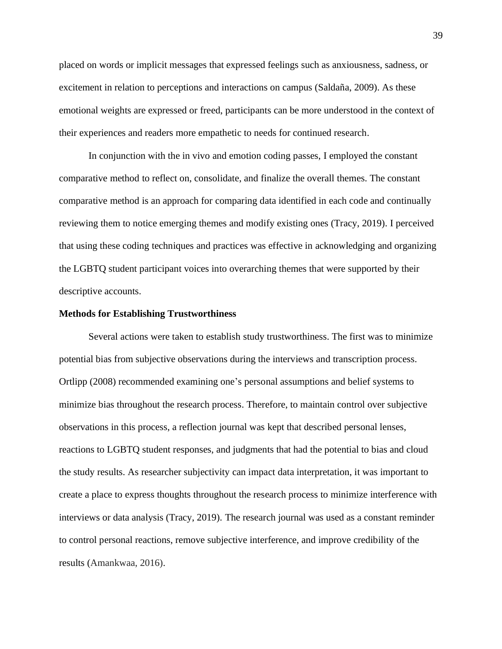placed on words or implicit messages that expressed feelings such as anxiousness, sadness, or excitement in relation to perceptions and interactions on campus (Saldaña, 2009). As these emotional weights are expressed or freed, participants can be more understood in the context of their experiences and readers more empathetic to needs for continued research.

In conjunction with the in vivo and emotion coding passes, I employed the constant comparative method to reflect on, consolidate, and finalize the overall themes. The constant comparative method is an approach for comparing data identified in each code and continually reviewing them to notice emerging themes and modify existing ones (Tracy, 2019). I perceived that using these coding techniques and practices was effective in acknowledging and organizing the LGBTQ student participant voices into overarching themes that were supported by their descriptive accounts.

#### **Methods for Establishing Trustworthiness**

Several actions were taken to establish study trustworthiness. The first was to minimize potential bias from subjective observations during the interviews and transcription process. Ortlipp (2008) recommended examining one's personal assumptions and belief systems to minimize bias throughout the research process. Therefore, to maintain control over subjective observations in this process, a reflection journal was kept that described personal lenses, reactions to LGBTQ student responses, and judgments that had the potential to bias and cloud the study results. As researcher subjectivity can impact data interpretation, it was important to create a place to express thoughts throughout the research process to minimize interference with interviews or data analysis (Tracy, 2019). The research journal was used as a constant reminder to control personal reactions, remove subjective interference, and improve credibility of the results (Amankwaa, 2016).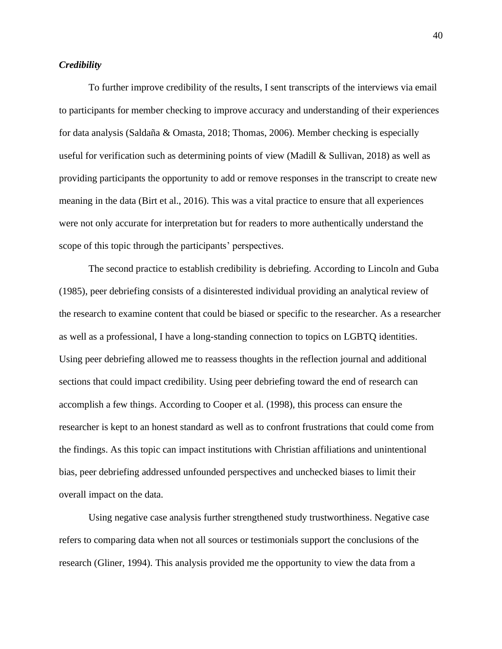# *Credibility*

To further improve credibility of the results, I sent transcripts of the interviews via email to participants for member checking to improve accuracy and understanding of their experiences for data analysis (Saldaña & Omasta, 2018; Thomas, 2006). Member checking is especially useful for verification such as determining points of view (Madill & Sullivan, 2018) as well as providing participants the opportunity to add or remove responses in the transcript to create new meaning in the data (Birt et al., 2016). This was a vital practice to ensure that all experiences were not only accurate for interpretation but for readers to more authentically understand the scope of this topic through the participants' perspectives.

The second practice to establish credibility is debriefing. According to Lincoln and Guba (1985), peer debriefing consists of a disinterested individual providing an analytical review of the research to examine content that could be biased or specific to the researcher. As a researcher as well as a professional, I have a long-standing connection to topics on LGBTQ identities. Using peer debriefing allowed me to reassess thoughts in the reflection journal and additional sections that could impact credibility. Using peer debriefing toward the end of research can accomplish a few things. According to Cooper et al. (1998), this process can ensure the researcher is kept to an honest standard as well as to confront frustrations that could come from the findings. As this topic can impact institutions with Christian affiliations and unintentional bias, peer debriefing addressed unfounded perspectives and unchecked biases to limit their overall impact on the data.

Using negative case analysis further strengthened study trustworthiness. Negative case refers to comparing data when not all sources or testimonials support the conclusions of the research (Gliner, 1994). This analysis provided me the opportunity to view the data from a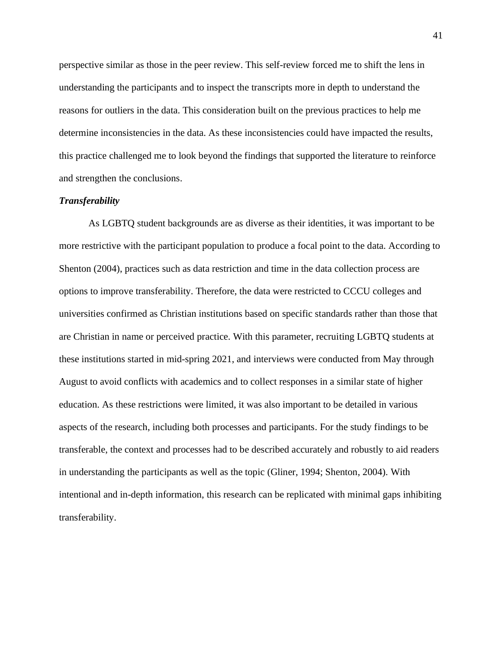perspective similar as those in the peer review. This self-review forced me to shift the lens in understanding the participants and to inspect the transcripts more in depth to understand the reasons for outliers in the data. This consideration built on the previous practices to help me determine inconsistencies in the data. As these inconsistencies could have impacted the results, this practice challenged me to look beyond the findings that supported the literature to reinforce and strengthen the conclusions.

# *Transferability*

As LGBTQ student backgrounds are as diverse as their identities, it was important to be more restrictive with the participant population to produce a focal point to the data. According to Shenton (2004), practices such as data restriction and time in the data collection process are options to improve transferability. Therefore, the data were restricted to CCCU colleges and universities confirmed as Christian institutions based on specific standards rather than those that are Christian in name or perceived practice. With this parameter, recruiting LGBTQ students at these institutions started in mid-spring 2021, and interviews were conducted from May through August to avoid conflicts with academics and to collect responses in a similar state of higher education. As these restrictions were limited, it was also important to be detailed in various aspects of the research, including both processes and participants. For the study findings to be transferable, the context and processes had to be described accurately and robustly to aid readers in understanding the participants as well as the topic (Gliner, 1994; Shenton, 2004). With intentional and in-depth information, this research can be replicated with minimal gaps inhibiting transferability.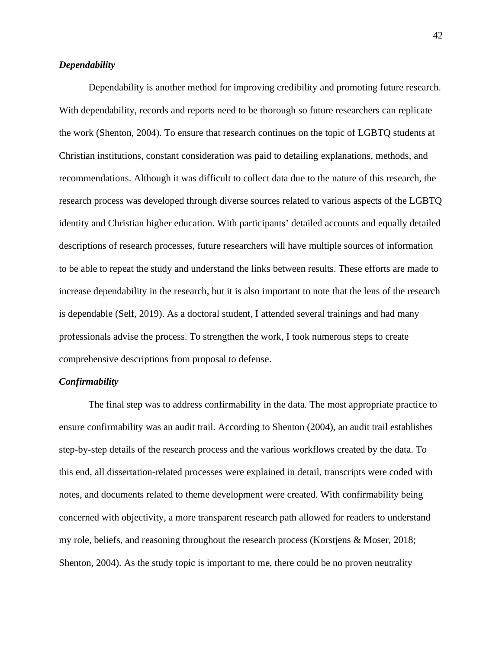# *Dependability*

Dependability is another method for improving credibility and promoting future research. With dependability, records and reports need to be thorough so future researchers can replicate the work (Shenton, 2004). To ensure that research continues on the topic of LGBTQ students at Christian institutions, constant consideration was paid to detailing explanations, methods, and recommendations. Although it was difficult to collect data due to the nature of this research, the research process was developed through diverse sources related to various aspects of the LGBTQ identity and Christian higher education. With participants' detailed accounts and equally detailed descriptions of research processes, future researchers will have multiple sources of information to be able to repeat the study and understand the links between results. These efforts are made to increase dependability in the research, but it is also important to note that the lens of the research is dependable (Self, 2019). As a doctoral student, I attended several trainings and had many professionals advise the process. To strengthen the work, I took numerous steps to create comprehensive descriptions from proposal to defense.

### *Confirmability*

The final step was to address confirmability in the data. The most appropriate practice to ensure confirmability was an audit trail. According to Shenton (2004), an audit trail establishes step-by-step details of the research process and the various workflows created by the data. To this end, all dissertation-related processes were explained in detail, transcripts were coded with notes, and documents related to theme development were created. With confirmability being concerned with objectivity, a more transparent research path allowed for readers to understand my role, beliefs, and reasoning throughout the research process (Korstjens & Moser, 2018; Shenton, 2004). As the study topic is important to me, there could be no proven neutrality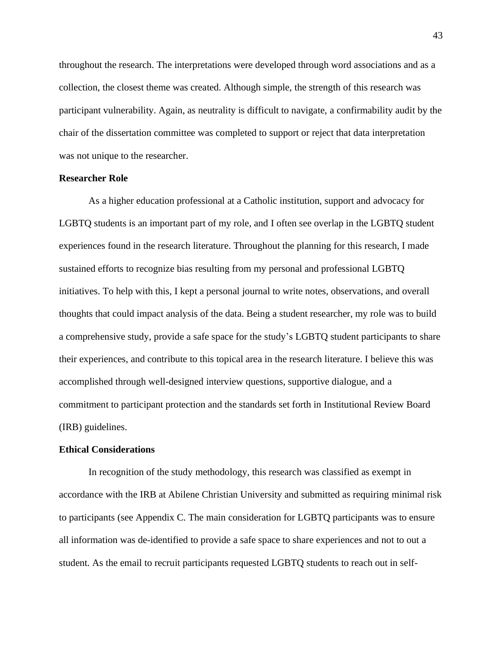throughout the research. The interpretations were developed through word associations and as a collection, the closest theme was created. Although simple, the strength of this research was participant vulnerability. Again, as neutrality is difficult to navigate, a confirmability audit by the chair of the dissertation committee was completed to support or reject that data interpretation was not unique to the researcher.

## **Researcher Role**

As a higher education professional at a Catholic institution, support and advocacy for LGBTQ students is an important part of my role, and I often see overlap in the LGBTQ student experiences found in the research literature. Throughout the planning for this research, I made sustained efforts to recognize bias resulting from my personal and professional LGBTQ initiatives. To help with this, I kept a personal journal to write notes, observations, and overall thoughts that could impact analysis of the data. Being a student researcher, my role was to build a comprehensive study, provide a safe space for the study's LGBTQ student participants to share their experiences, and contribute to this topical area in the research literature. I believe this was accomplished through well-designed interview questions, supportive dialogue, and a commitment to participant protection and the standards set forth in Institutional Review Board (IRB) guidelines.

## **Ethical Considerations**

In recognition of the study methodology, this research was classified as exempt in accordance with the IRB at Abilene Christian University and submitted as requiring minimal risk to participants (see Appendix C. The main consideration for LGBTQ participants was to ensure all information was de-identified to provide a safe space to share experiences and not to out a student. As the email to recruit participants requested LGBTQ students to reach out in self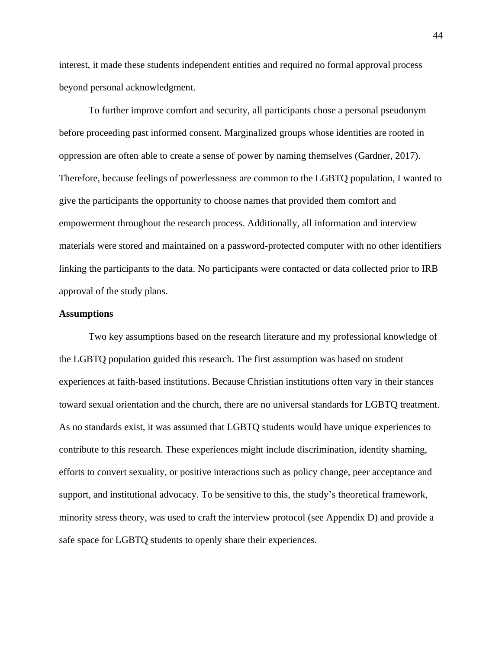interest, it made these students independent entities and required no formal approval process beyond personal acknowledgment.

To further improve comfort and security, all participants chose a personal pseudonym before proceeding past informed consent. Marginalized groups whose identities are rooted in oppression are often able to create a sense of power by naming themselves (Gardner, 2017). Therefore, because feelings of powerlessness are common to the LGBTQ population, I wanted to give the participants the opportunity to choose names that provided them comfort and empowerment throughout the research process. Additionally, all information and interview materials were stored and maintained on a password-protected computer with no other identifiers linking the participants to the data. No participants were contacted or data collected prior to IRB approval of the study plans.

# **Assumptions**

Two key assumptions based on the research literature and my professional knowledge of the LGBTQ population guided this research. The first assumption was based on student experiences at faith-based institutions. Because Christian institutions often vary in their stances toward sexual orientation and the church, there are no universal standards for LGBTQ treatment. As no standards exist, it was assumed that LGBTQ students would have unique experiences to contribute to this research. These experiences might include discrimination, identity shaming, efforts to convert sexuality, or positive interactions such as policy change, peer acceptance and support, and institutional advocacy. To be sensitive to this, the study's theoretical framework, minority stress theory, was used to craft the interview protocol (see Appendix D) and provide a safe space for LGBTQ students to openly share their experiences.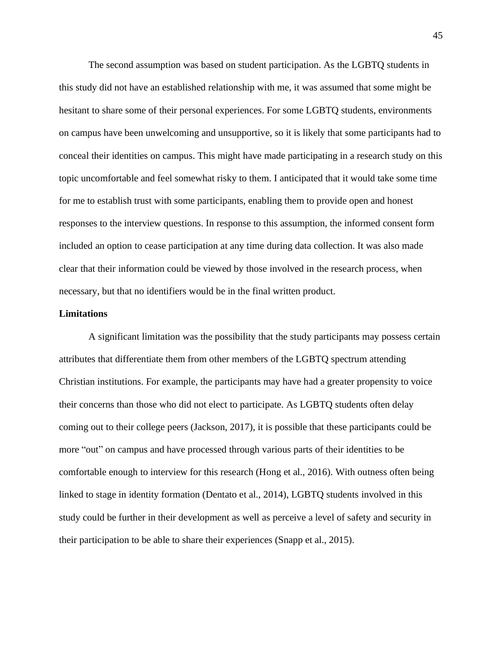The second assumption was based on student participation. As the LGBTQ students in this study did not have an established relationship with me, it was assumed that some might be hesitant to share some of their personal experiences. For some LGBTQ students, environments on campus have been unwelcoming and unsupportive, so it is likely that some participants had to conceal their identities on campus. This might have made participating in a research study on this topic uncomfortable and feel somewhat risky to them. I anticipated that it would take some time for me to establish trust with some participants, enabling them to provide open and honest responses to the interview questions. In response to this assumption, the informed consent form included an option to cease participation at any time during data collection. It was also made clear that their information could be viewed by those involved in the research process, when necessary, but that no identifiers would be in the final written product.

### **Limitations**

A significant limitation was the possibility that the study participants may possess certain attributes that differentiate them from other members of the LGBTQ spectrum attending Christian institutions. For example, the participants may have had a greater propensity to voice their concerns than those who did not elect to participate. As LGBTQ students often delay coming out to their college peers (Jackson, 2017), it is possible that these participants could be more "out" on campus and have processed through various parts of their identities to be comfortable enough to interview for this research (Hong et al., 2016). With outness often being linked to stage in identity formation (Dentato et al., 2014), LGBTQ students involved in this study could be further in their development as well as perceive a level of safety and security in their participation to be able to share their experiences (Snapp et al., 2015).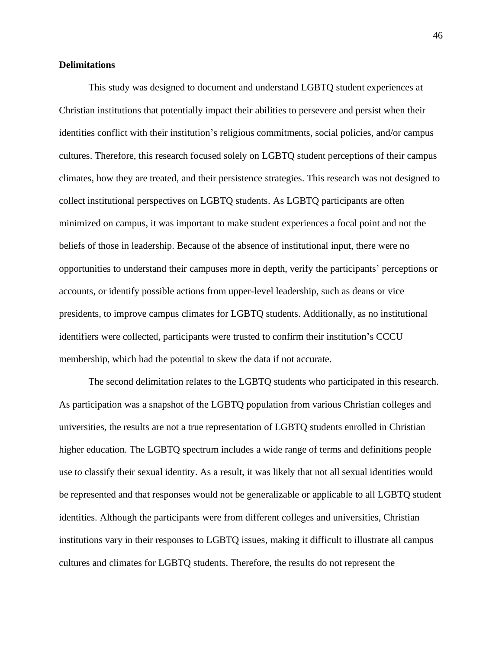# **Delimitations**

This study was designed to document and understand LGBTQ student experiences at Christian institutions that potentially impact their abilities to persevere and persist when their identities conflict with their institution's religious commitments, social policies, and/or campus cultures. Therefore, this research focused solely on LGBTQ student perceptions of their campus climates, how they are treated, and their persistence strategies. This research was not designed to collect institutional perspectives on LGBTQ students. As LGBTQ participants are often minimized on campus, it was important to make student experiences a focal point and not the beliefs of those in leadership. Because of the absence of institutional input, there were no opportunities to understand their campuses more in depth, verify the participants' perceptions or accounts, or identify possible actions from upper-level leadership, such as deans or vice presidents, to improve campus climates for LGBTQ students. Additionally, as no institutional identifiers were collected, participants were trusted to confirm their institution's CCCU membership, which had the potential to skew the data if not accurate.

The second delimitation relates to the LGBTQ students who participated in this research. As participation was a snapshot of the LGBTQ population from various Christian colleges and universities, the results are not a true representation of LGBTQ students enrolled in Christian higher education. The LGBTQ spectrum includes a wide range of terms and definitions people use to classify their sexual identity. As a result, it was likely that not all sexual identities would be represented and that responses would not be generalizable or applicable to all LGBTQ student identities. Although the participants were from different colleges and universities, Christian institutions vary in their responses to LGBTQ issues, making it difficult to illustrate all campus cultures and climates for LGBTQ students. Therefore, the results do not represent the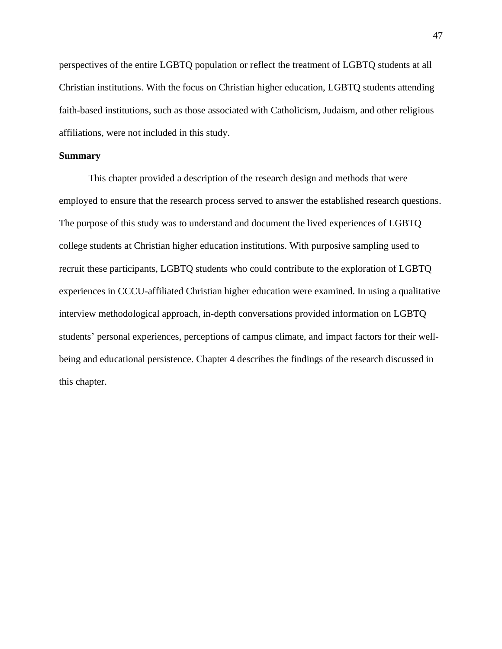perspectives of the entire LGBTQ population or reflect the treatment of LGBTQ students at all Christian institutions. With the focus on Christian higher education, LGBTQ students attending faith-based institutions, such as those associated with Catholicism, Judaism, and other religious affiliations, were not included in this study.

# **Summary**

This chapter provided a description of the research design and methods that were employed to ensure that the research process served to answer the established research questions. The purpose of this study was to understand and document the lived experiences of LGBTQ college students at Christian higher education institutions. With purposive sampling used to recruit these participants, LGBTQ students who could contribute to the exploration of LGBTQ experiences in CCCU-affiliated Christian higher education were examined. In using a qualitative interview methodological approach, in-depth conversations provided information on LGBTQ students' personal experiences, perceptions of campus climate, and impact factors for their wellbeing and educational persistence. Chapter 4 describes the findings of the research discussed in this chapter.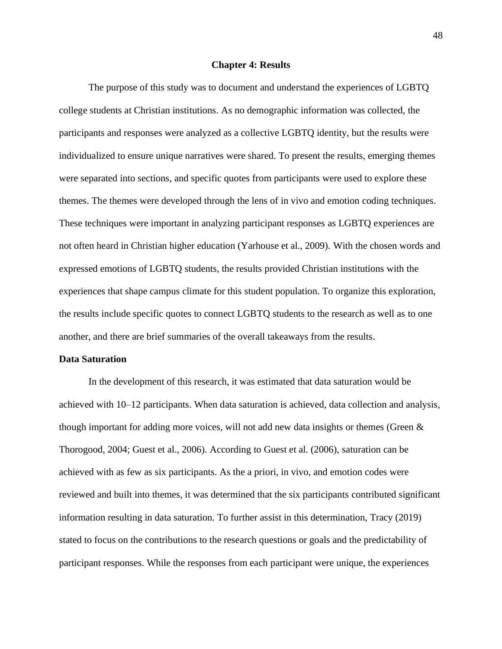#### **Chapter 4: Results**

The purpose of this study was to document and understand the experiences of LGBTQ college students at Christian institutions. As no demographic information was collected, the participants and responses were analyzed as a collective LGBTQ identity, but the results were individualized to ensure unique narratives were shared. To present the results, emerging themes were separated into sections, and specific quotes from participants were used to explore these themes. The themes were developed through the lens of in vivo and emotion coding techniques. These techniques were important in analyzing participant responses as LGBTQ experiences are not often heard in Christian higher education (Yarhouse et al., 2009). With the chosen words and expressed emotions of LGBTQ students, the results provided Christian institutions with the experiences that shape campus climate for this student population. To organize this exploration, the results include specific quotes to connect LGBTQ students to the research as well as to one another, and there are brief summaries of the overall takeaways from the results.

### **Data Saturation**

In the development of this research, it was estimated that data saturation would be achieved with 10–12 participants. When data saturation is achieved, data collection and analysis, though important for adding more voices, will not add new data insights or themes (Green & Thorogood, 2004; Guest et al., 2006). According to Guest et al. (2006), saturation can be achieved with as few as six participants. As the a priori, in vivo, and emotion codes were reviewed and built into themes, it was determined that the six participants contributed significant information resulting in data saturation. To further assist in this determination, Tracy (2019) stated to focus on the contributions to the research questions or goals and the predictability of participant responses. While the responses from each participant were unique, the experiences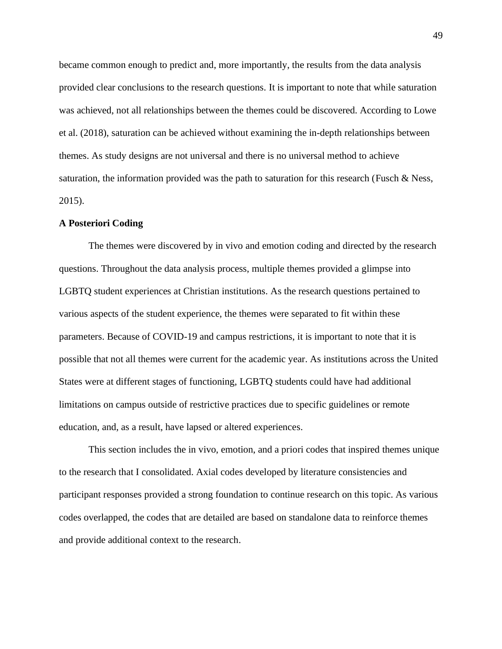became common enough to predict and, more importantly, the results from the data analysis provided clear conclusions to the research questions. It is important to note that while saturation was achieved, not all relationships between the themes could be discovered. According to Lowe et al. (2018), saturation can be achieved without examining the in-depth relationships between themes. As study designs are not universal and there is no universal method to achieve saturation, the information provided was the path to saturation for this research (Fusch & Ness, 2015).

# **A Posteriori Coding**

The themes were discovered by in vivo and emotion coding and directed by the research questions. Throughout the data analysis process, multiple themes provided a glimpse into LGBTQ student experiences at Christian institutions. As the research questions pertained to various aspects of the student experience, the themes were separated to fit within these parameters. Because of COVID-19 and campus restrictions, it is important to note that it is possible that not all themes were current for the academic year. As institutions across the United States were at different stages of functioning, LGBTQ students could have had additional limitations on campus outside of restrictive practices due to specific guidelines or remote education, and, as a result, have lapsed or altered experiences.

This section includes the in vivo, emotion, and a priori codes that inspired themes unique to the research that I consolidated. Axial codes developed by literature consistencies and participant responses provided a strong foundation to continue research on this topic. As various codes overlapped, the codes that are detailed are based on standalone data to reinforce themes and provide additional context to the research.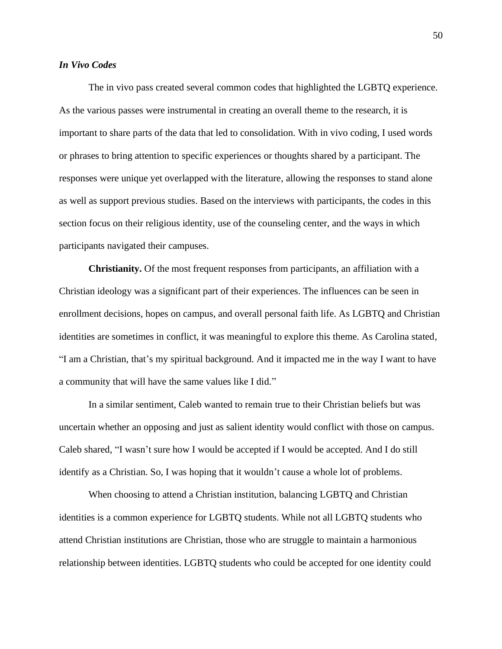# *In Vivo Codes*

The in vivo pass created several common codes that highlighted the LGBTQ experience. As the various passes were instrumental in creating an overall theme to the research, it is important to share parts of the data that led to consolidation. With in vivo coding, I used words or phrases to bring attention to specific experiences or thoughts shared by a participant. The responses were unique yet overlapped with the literature, allowing the responses to stand alone as well as support previous studies. Based on the interviews with participants, the codes in this section focus on their religious identity, use of the counseling center, and the ways in which participants navigated their campuses.

**Christianity.** Of the most frequent responses from participants, an affiliation with a Christian ideology was a significant part of their experiences. The influences can be seen in enrollment decisions, hopes on campus, and overall personal faith life. As LGBTQ and Christian identities are sometimes in conflict, it was meaningful to explore this theme. As Carolina stated, "I am a Christian, that's my spiritual background. And it impacted me in the way I want to have a community that will have the same values like I did."

In a similar sentiment, Caleb wanted to remain true to their Christian beliefs but was uncertain whether an opposing and just as salient identity would conflict with those on campus. Caleb shared, "I wasn't sure how I would be accepted if I would be accepted. And I do still identify as a Christian. So, I was hoping that it wouldn't cause a whole lot of problems.

When choosing to attend a Christian institution, balancing LGBTQ and Christian identities is a common experience for LGBTQ students. While not all LGBTQ students who attend Christian institutions are Christian, those who are struggle to maintain a harmonious relationship between identities. LGBTQ students who could be accepted for one identity could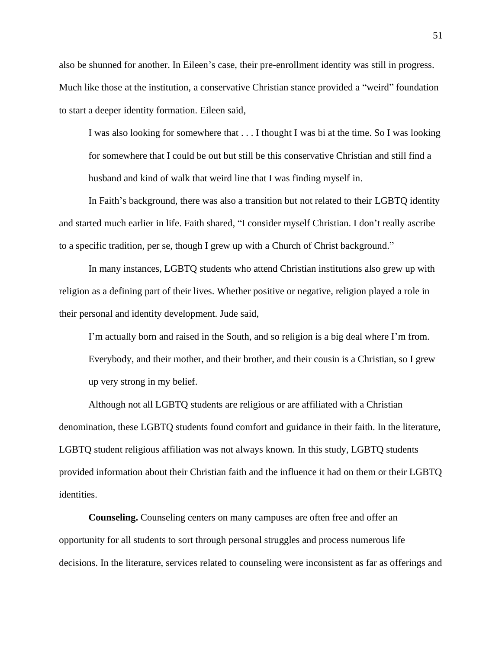also be shunned for another. In Eileen's case, their pre-enrollment identity was still in progress. Much like those at the institution, a conservative Christian stance provided a "weird" foundation to start a deeper identity formation. Eileen said,

I was also looking for somewhere that . . . I thought I was bi at the time. So I was looking for somewhere that I could be out but still be this conservative Christian and still find a husband and kind of walk that weird line that I was finding myself in.

In Faith's background, there was also a transition but not related to their LGBTQ identity and started much earlier in life. Faith shared, "I consider myself Christian. I don't really ascribe to a specific tradition, per se, though I grew up with a Church of Christ background."

In many instances, LGBTQ students who attend Christian institutions also grew up with religion as a defining part of their lives. Whether positive or negative, religion played a role in their personal and identity development. Jude said,

I'm actually born and raised in the South, and so religion is a big deal where I'm from. Everybody, and their mother, and their brother, and their cousin is a Christian, so I grew up very strong in my belief.

Although not all LGBTQ students are religious or are affiliated with a Christian denomination, these LGBTQ students found comfort and guidance in their faith. In the literature, LGBTQ student religious affiliation was not always known. In this study, LGBTQ students provided information about their Christian faith and the influence it had on them or their LGBTQ identities.

**Counseling.** Counseling centers on many campuses are often free and offer an opportunity for all students to sort through personal struggles and process numerous life decisions. In the literature, services related to counseling were inconsistent as far as offerings and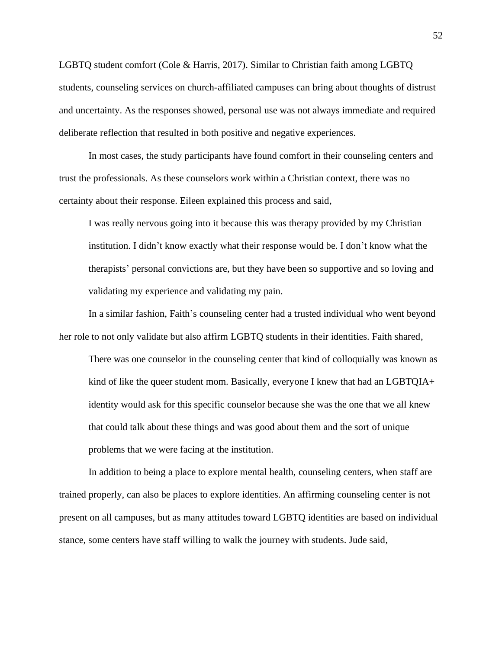LGBTQ student comfort (Cole & Harris, 2017). Similar to Christian faith among LGBTQ students, counseling services on church-affiliated campuses can bring about thoughts of distrust and uncertainty. As the responses showed, personal use was not always immediate and required deliberate reflection that resulted in both positive and negative experiences.

In most cases, the study participants have found comfort in their counseling centers and trust the professionals. As these counselors work within a Christian context, there was no certainty about their response. Eileen explained this process and said,

I was really nervous going into it because this was therapy provided by my Christian institution. I didn't know exactly what their response would be. I don't know what the therapists' personal convictions are, but they have been so supportive and so loving and validating my experience and validating my pain.

In a similar fashion, Faith's counseling center had a trusted individual who went beyond her role to not only validate but also affirm LGBTQ students in their identities. Faith shared,

There was one counselor in the counseling center that kind of colloquially was known as kind of like the queer student mom. Basically, everyone I knew that had an LGBTQIA+ identity would ask for this specific counselor because she was the one that we all knew that could talk about these things and was good about them and the sort of unique problems that we were facing at the institution.

In addition to being a place to explore mental health, counseling centers, when staff are trained properly, can also be places to explore identities. An affirming counseling center is not present on all campuses, but as many attitudes toward LGBTQ identities are based on individual stance, some centers have staff willing to walk the journey with students. Jude said,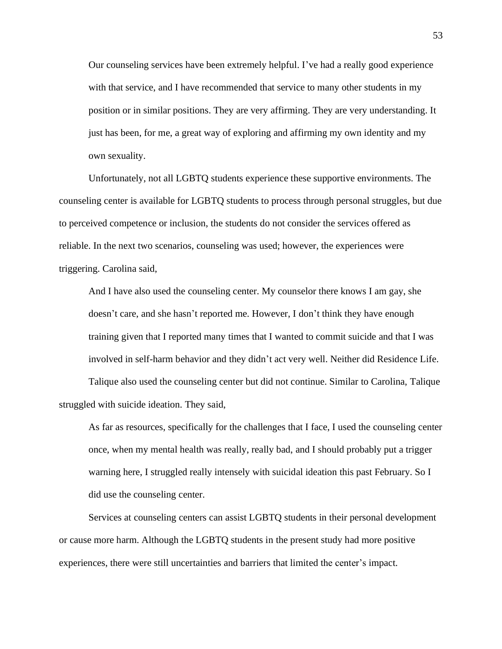Our counseling services have been extremely helpful. I've had a really good experience with that service, and I have recommended that service to many other students in my position or in similar positions. They are very affirming. They are very understanding. It just has been, for me, a great way of exploring and affirming my own identity and my own sexuality.

Unfortunately, not all LGBTQ students experience these supportive environments. The counseling center is available for LGBTQ students to process through personal struggles, but due to perceived competence or inclusion, the students do not consider the services offered as reliable. In the next two scenarios, counseling was used; however, the experiences were triggering. Carolina said,

And I have also used the counseling center. My counselor there knows I am gay, she doesn't care, and she hasn't reported me. However, I don't think they have enough training given that I reported many times that I wanted to commit suicide and that I was involved in self-harm behavior and they didn't act very well. Neither did Residence Life.

Talique also used the counseling center but did not continue. Similar to Carolina, Talique struggled with suicide ideation. They said,

As far as resources, specifically for the challenges that I face, I used the counseling center once, when my mental health was really, really bad, and I should probably put a trigger warning here, I struggled really intensely with suicidal ideation this past February. So I did use the counseling center.

Services at counseling centers can assist LGBTQ students in their personal development or cause more harm. Although the LGBTQ students in the present study had more positive experiences, there were still uncertainties and barriers that limited the center's impact.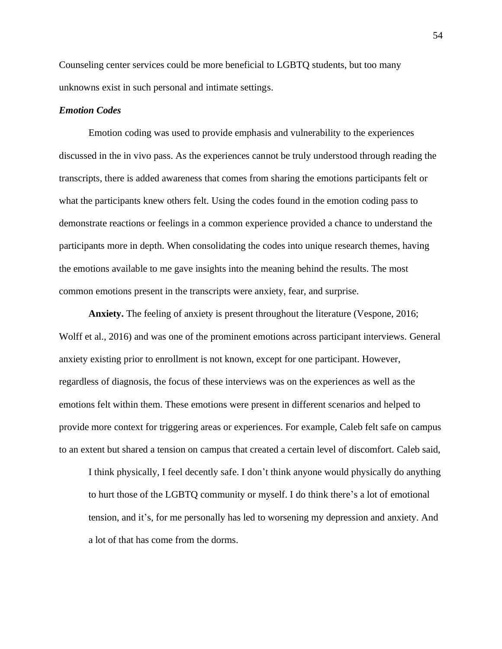Counseling center services could be more beneficial to LGBTQ students, but too many unknowns exist in such personal and intimate settings.

## *Emotion Codes*

Emotion coding was used to provide emphasis and vulnerability to the experiences discussed in the in vivo pass. As the experiences cannot be truly understood through reading the transcripts, there is added awareness that comes from sharing the emotions participants felt or what the participants knew others felt. Using the codes found in the emotion coding pass to demonstrate reactions or feelings in a common experience provided a chance to understand the participants more in depth. When consolidating the codes into unique research themes, having the emotions available to me gave insights into the meaning behind the results. The most common emotions present in the transcripts were anxiety, fear, and surprise.

**Anxiety.** The feeling of anxiety is present throughout the literature (Vespone, 2016; Wolff et al., 2016) and was one of the prominent emotions across participant interviews. General anxiety existing prior to enrollment is not known, except for one participant. However, regardless of diagnosis, the focus of these interviews was on the experiences as well as the emotions felt within them. These emotions were present in different scenarios and helped to provide more context for triggering areas or experiences. For example, Caleb felt safe on campus to an extent but shared a tension on campus that created a certain level of discomfort. Caleb said,

I think physically, I feel decently safe. I don't think anyone would physically do anything to hurt those of the LGBTQ community or myself. I do think there's a lot of emotional tension, and it's, for me personally has led to worsening my depression and anxiety. And a lot of that has come from the dorms.

54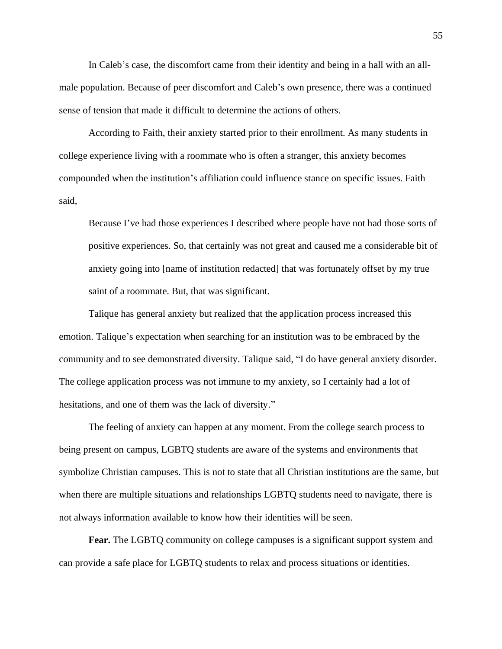In Caleb's case, the discomfort came from their identity and being in a hall with an allmale population. Because of peer discomfort and Caleb's own presence, there was a continued sense of tension that made it difficult to determine the actions of others.

According to Faith, their anxiety started prior to their enrollment. As many students in college experience living with a roommate who is often a stranger, this anxiety becomes compounded when the institution's affiliation could influence stance on specific issues. Faith said,

Because I've had those experiences I described where people have not had those sorts of positive experiences. So, that certainly was not great and caused me a considerable bit of anxiety going into [name of institution redacted] that was fortunately offset by my true saint of a roommate. But, that was significant.

Talique has general anxiety but realized that the application process increased this emotion. Talique's expectation when searching for an institution was to be embraced by the community and to see demonstrated diversity. Talique said, "I do have general anxiety disorder. The college application process was not immune to my anxiety, so I certainly had a lot of hesitations, and one of them was the lack of diversity."

The feeling of anxiety can happen at any moment. From the college search process to being present on campus, LGBTQ students are aware of the systems and environments that symbolize Christian campuses. This is not to state that all Christian institutions are the same, but when there are multiple situations and relationships LGBTQ students need to navigate, there is not always information available to know how their identities will be seen.

**Fear.** The LGBTQ community on college campuses is a significant support system and can provide a safe place for LGBTQ students to relax and process situations or identities.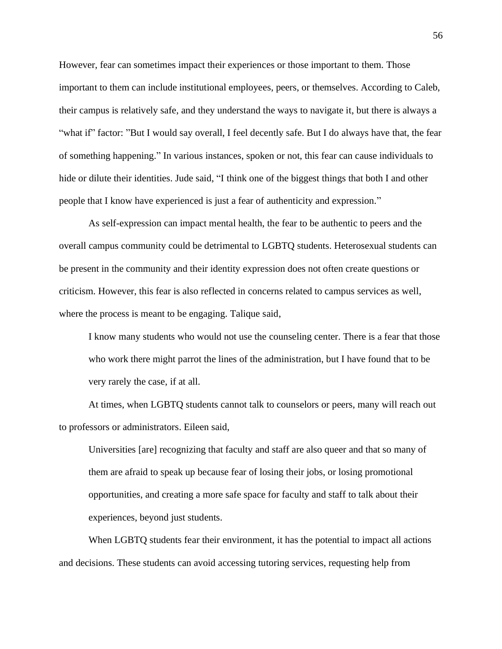However, fear can sometimes impact their experiences or those important to them. Those important to them can include institutional employees, peers, or themselves. According to Caleb, their campus is relatively safe, and they understand the ways to navigate it, but there is always a "what if" factor: "But I would say overall, I feel decently safe. But I do always have that, the fear of something happening." In various instances, spoken or not, this fear can cause individuals to hide or dilute their identities. Jude said, "I think one of the biggest things that both I and other people that I know have experienced is just a fear of authenticity and expression."

As self-expression can impact mental health, the fear to be authentic to peers and the overall campus community could be detrimental to LGBTQ students. Heterosexual students can be present in the community and their identity expression does not often create questions or criticism. However, this fear is also reflected in concerns related to campus services as well, where the process is meant to be engaging. Talique said,

I know many students who would not use the counseling center. There is a fear that those who work there might parrot the lines of the administration, but I have found that to be very rarely the case, if at all.

At times, when LGBTQ students cannot talk to counselors or peers, many will reach out to professors or administrators. Eileen said,

Universities [are] recognizing that faculty and staff are also queer and that so many of them are afraid to speak up because fear of losing their jobs, or losing promotional opportunities, and creating a more safe space for faculty and staff to talk about their experiences, beyond just students.

When LGBTQ students fear their environment, it has the potential to impact all actions and decisions. These students can avoid accessing tutoring services, requesting help from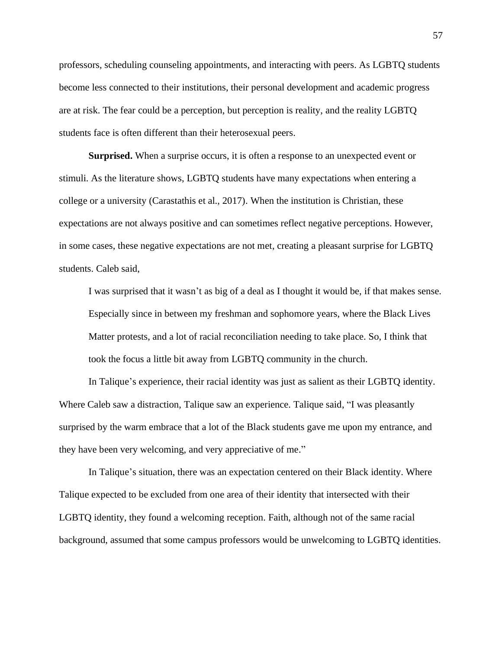professors, scheduling counseling appointments, and interacting with peers. As LGBTQ students become less connected to their institutions, their personal development and academic progress are at risk. The fear could be a perception, but perception is reality, and the reality LGBTQ students face is often different than their heterosexual peers.

**Surprised.** When a surprise occurs, it is often a response to an unexpected event or stimuli. As the literature shows, LGBTQ students have many expectations when entering a college or a university (Carastathis et al., 2017). When the institution is Christian, these expectations are not always positive and can sometimes reflect negative perceptions. However, in some cases, these negative expectations are not met, creating a pleasant surprise for LGBTQ students. Caleb said,

I was surprised that it wasn't as big of a deal as I thought it would be, if that makes sense. Especially since in between my freshman and sophomore years, where the Black Lives Matter protests, and a lot of racial reconciliation needing to take place. So, I think that took the focus a little bit away from LGBTQ community in the church.

In Talique's experience, their racial identity was just as salient as their LGBTQ identity. Where Caleb saw a distraction, Talique saw an experience. Talique said, "I was pleasantly surprised by the warm embrace that a lot of the Black students gave me upon my entrance, and they have been very welcoming, and very appreciative of me."

In Talique's situation, there was an expectation centered on their Black identity. Where Talique expected to be excluded from one area of their identity that intersected with their LGBTQ identity, they found a welcoming reception. Faith, although not of the same racial background, assumed that some campus professors would be unwelcoming to LGBTQ identities.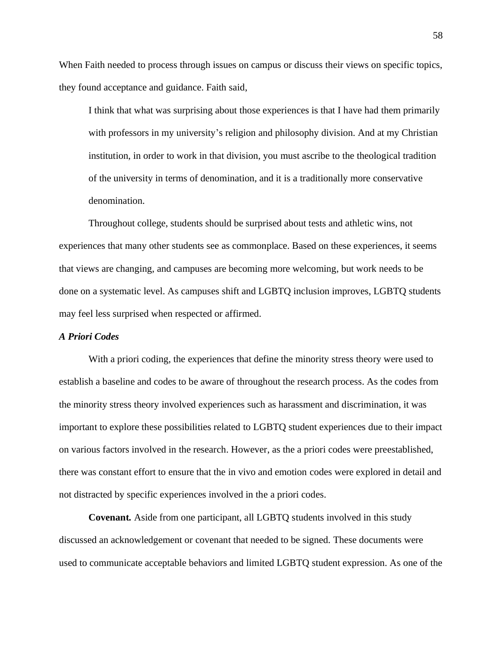When Faith needed to process through issues on campus or discuss their views on specific topics, they found acceptance and guidance. Faith said,

I think that what was surprising about those experiences is that I have had them primarily with professors in my university's religion and philosophy division. And at my Christian institution, in order to work in that division, you must ascribe to the theological tradition of the university in terms of denomination, and it is a traditionally more conservative denomination.

Throughout college, students should be surprised about tests and athletic wins, not experiences that many other students see as commonplace. Based on these experiences, it seems that views are changing, and campuses are becoming more welcoming, but work needs to be done on a systematic level. As campuses shift and LGBTQ inclusion improves, LGBTQ students may feel less surprised when respected or affirmed.

### *A Priori Codes*

With a priori coding, the experiences that define the minority stress theory were used to establish a baseline and codes to be aware of throughout the research process. As the codes from the minority stress theory involved experiences such as harassment and discrimination, it was important to explore these possibilities related to LGBTQ student experiences due to their impact on various factors involved in the research. However, as the a priori codes were preestablished, there was constant effort to ensure that the in vivo and emotion codes were explored in detail and not distracted by specific experiences involved in the a priori codes.

**Covenant***.* Aside from one participant, all LGBTQ students involved in this study discussed an acknowledgement or covenant that needed to be signed. These documents were used to communicate acceptable behaviors and limited LGBTQ student expression. As one of the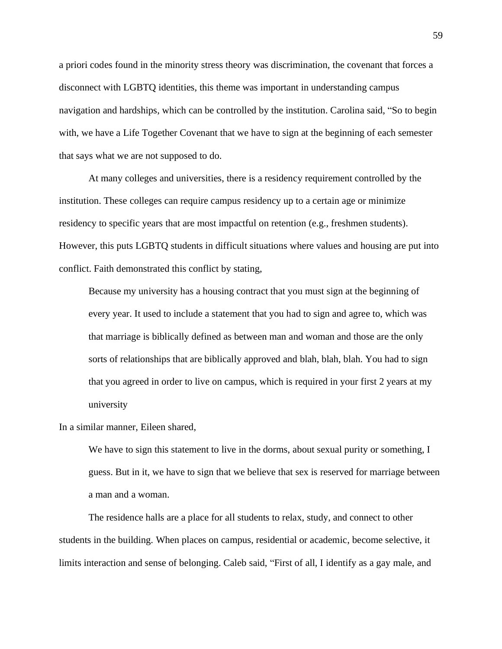a priori codes found in the minority stress theory was discrimination, the covenant that forces a disconnect with LGBTQ identities, this theme was important in understanding campus navigation and hardships, which can be controlled by the institution. Carolina said, "So to begin with, we have a Life Together Covenant that we have to sign at the beginning of each semester that says what we are not supposed to do.

At many colleges and universities, there is a residency requirement controlled by the institution. These colleges can require campus residency up to a certain age or minimize residency to specific years that are most impactful on retention (e.g., freshmen students). However, this puts LGBTQ students in difficult situations where values and housing are put into conflict. Faith demonstrated this conflict by stating,

Because my university has a housing contract that you must sign at the beginning of every year. It used to include a statement that you had to sign and agree to, which was that marriage is biblically defined as between man and woman and those are the only sorts of relationships that are biblically approved and blah, blah, blah. You had to sign that you agreed in order to live on campus, which is required in your first 2 years at my university

In a similar manner, Eileen shared,

We have to sign this statement to live in the dorms, about sexual purity or something, I guess. But in it, we have to sign that we believe that sex is reserved for marriage between a man and a woman.

The residence halls are a place for all students to relax, study, and connect to other students in the building. When places on campus, residential or academic, become selective, it limits interaction and sense of belonging. Caleb said, "First of all, I identify as a gay male, and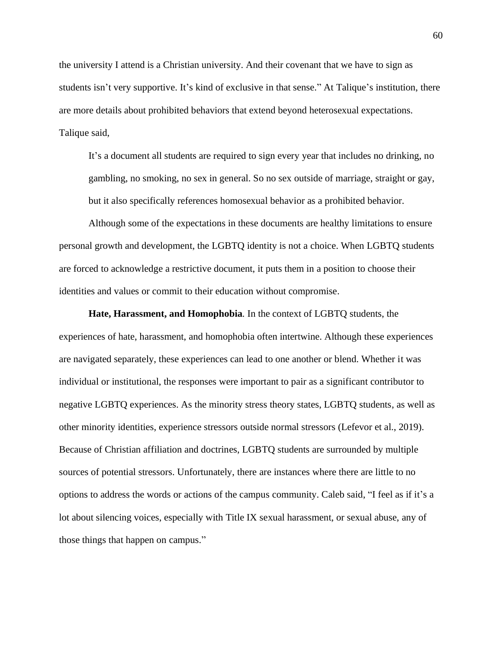the university I attend is a Christian university. And their covenant that we have to sign as students isn't very supportive. It's kind of exclusive in that sense." At Talique's institution, there are more details about prohibited behaviors that extend beyond heterosexual expectations. Talique said,

It's a document all students are required to sign every year that includes no drinking, no gambling, no smoking, no sex in general. So no sex outside of marriage, straight or gay, but it also specifically references homosexual behavior as a prohibited behavior.

Although some of the expectations in these documents are healthy limitations to ensure personal growth and development, the LGBTQ identity is not a choice. When LGBTQ students are forced to acknowledge a restrictive document, it puts them in a position to choose their identities and values or commit to their education without compromise.

**Hate, Harassment, and Homophobia***.* In the context of LGBTQ students, the experiences of hate, harassment, and homophobia often intertwine. Although these experiences are navigated separately, these experiences can lead to one another or blend. Whether it was individual or institutional, the responses were important to pair as a significant contributor to negative LGBTQ experiences. As the minority stress theory states, LGBTQ students, as well as other minority identities, experience stressors outside normal stressors (Lefevor et al., 2019). Because of Christian affiliation and doctrines, LGBTQ students are surrounded by multiple sources of potential stressors. Unfortunately, there are instances where there are little to no options to address the words or actions of the campus community. Caleb said, "I feel as if it's a lot about silencing voices, especially with Title IX sexual harassment, or sexual abuse, any of those things that happen on campus."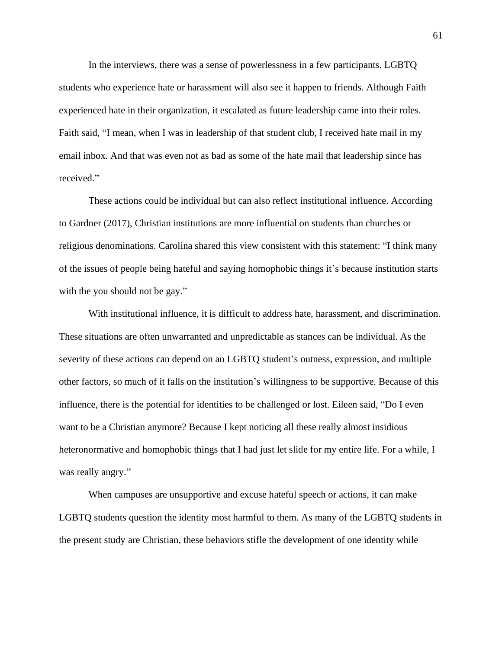In the interviews, there was a sense of powerlessness in a few participants. LGBTQ students who experience hate or harassment will also see it happen to friends. Although Faith experienced hate in their organization, it escalated as future leadership came into their roles. Faith said, "I mean, when I was in leadership of that student club, I received hate mail in my email inbox. And that was even not as bad as some of the hate mail that leadership since has received."

These actions could be individual but can also reflect institutional influence. According to Gardner (2017), Christian institutions are more influential on students than churches or religious denominations. Carolina shared this view consistent with this statement: "I think many of the issues of people being hateful and saying homophobic things it's because institution starts with the you should not be gay."

With institutional influence, it is difficult to address hate, harassment, and discrimination. These situations are often unwarranted and unpredictable as stances can be individual. As the severity of these actions can depend on an LGBTQ student's outness, expression, and multiple other factors, so much of it falls on the institution's willingness to be supportive. Because of this influence, there is the potential for identities to be challenged or lost. Eileen said, "Do I even want to be a Christian anymore? Because I kept noticing all these really almost insidious heteronormative and homophobic things that I had just let slide for my entire life. For a while, I was really angry."

When campuses are unsupportive and excuse hateful speech or actions, it can make LGBTQ students question the identity most harmful to them. As many of the LGBTQ students in the present study are Christian, these behaviors stifle the development of one identity while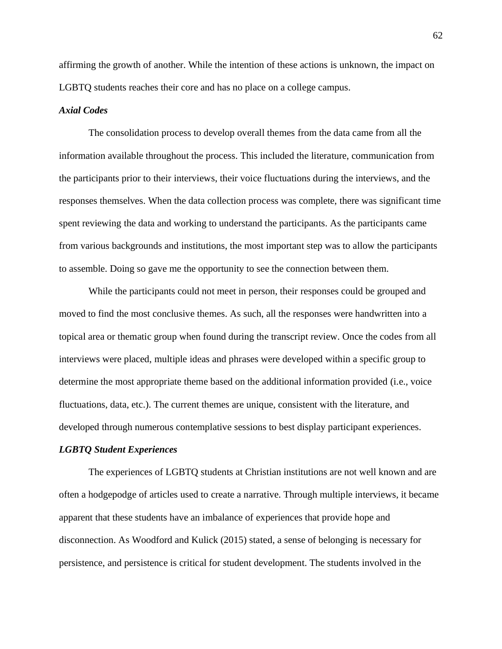affirming the growth of another. While the intention of these actions is unknown, the impact on LGBTQ students reaches their core and has no place on a college campus.

## *Axial Codes*

The consolidation process to develop overall themes from the data came from all the information available throughout the process. This included the literature, communication from the participants prior to their interviews, their voice fluctuations during the interviews, and the responses themselves. When the data collection process was complete, there was significant time spent reviewing the data and working to understand the participants. As the participants came from various backgrounds and institutions, the most important step was to allow the participants to assemble. Doing so gave me the opportunity to see the connection between them.

While the participants could not meet in person, their responses could be grouped and moved to find the most conclusive themes. As such, all the responses were handwritten into a topical area or thematic group when found during the transcript review. Once the codes from all interviews were placed, multiple ideas and phrases were developed within a specific group to determine the most appropriate theme based on the additional information provided (i.e., voice fluctuations, data, etc.). The current themes are unique, consistent with the literature, and developed through numerous contemplative sessions to best display participant experiences.

### *LGBTQ Student Experiences*

The experiences of LGBTQ students at Christian institutions are not well known and are often a hodgepodge of articles used to create a narrative. Through multiple interviews, it became apparent that these students have an imbalance of experiences that provide hope and disconnection. As Woodford and Kulick (2015) stated, a sense of belonging is necessary for persistence, and persistence is critical for student development. The students involved in the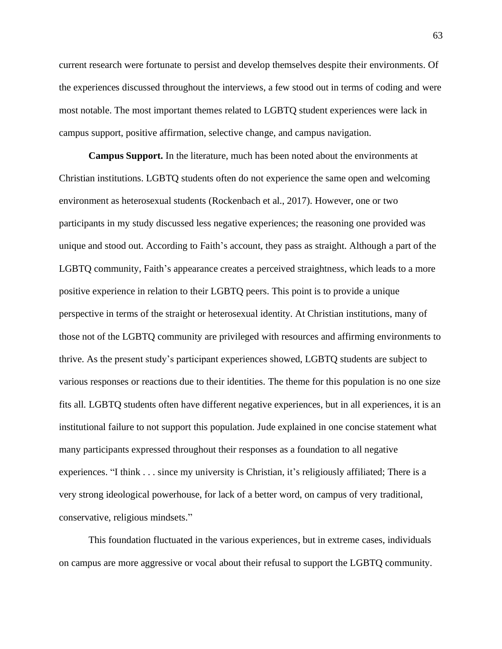current research were fortunate to persist and develop themselves despite their environments. Of the experiences discussed throughout the interviews, a few stood out in terms of coding and were most notable. The most important themes related to LGBTQ student experiences were lack in campus support, positive affirmation, selective change, and campus navigation.

**Campus Support.** In the literature, much has been noted about the environments at Christian institutions. LGBTQ students often do not experience the same open and welcoming environment as heterosexual students (Rockenbach et al., 2017). However, one or two participants in my study discussed less negative experiences; the reasoning one provided was unique and stood out. According to Faith's account, they pass as straight. Although a part of the LGBTQ community, Faith's appearance creates a perceived straightness, which leads to a more positive experience in relation to their LGBTQ peers. This point is to provide a unique perspective in terms of the straight or heterosexual identity. At Christian institutions, many of those not of the LGBTQ community are privileged with resources and affirming environments to thrive. As the present study's participant experiences showed, LGBTQ students are subject to various responses or reactions due to their identities. The theme for this population is no one size fits all. LGBTQ students often have different negative experiences, but in all experiences, it is an institutional failure to not support this population. Jude explained in one concise statement what many participants expressed throughout their responses as a foundation to all negative experiences. "I think . . . since my university is Christian, it's religiously affiliated; There is a very strong ideological powerhouse, for lack of a better word, on campus of very traditional, conservative, religious mindsets."

This foundation fluctuated in the various experiences, but in extreme cases, individuals on campus are more aggressive or vocal about their refusal to support the LGBTQ community.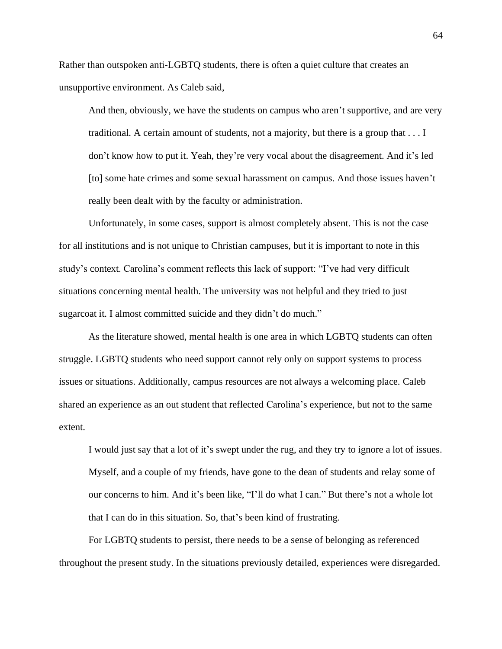Rather than outspoken anti-LGBTQ students, there is often a quiet culture that creates an unsupportive environment. As Caleb said,

And then, obviously, we have the students on campus who aren't supportive, and are very traditional. A certain amount of students, not a majority, but there is a group that . . . I don't know how to put it. Yeah, they're very vocal about the disagreement. And it's led [to] some hate crimes and some sexual harassment on campus. And those issues haven't really been dealt with by the faculty or administration.

Unfortunately, in some cases, support is almost completely absent. This is not the case for all institutions and is not unique to Christian campuses, but it is important to note in this study's context. Carolina's comment reflects this lack of support: "I've had very difficult situations concerning mental health. The university was not helpful and they tried to just sugarcoat it. I almost committed suicide and they didn't do much."

As the literature showed, mental health is one area in which LGBTQ students can often struggle. LGBTQ students who need support cannot rely only on support systems to process issues or situations. Additionally, campus resources are not always a welcoming place. Caleb shared an experience as an out student that reflected Carolina's experience, but not to the same extent.

I would just say that a lot of it's swept under the rug, and they try to ignore a lot of issues. Myself, and a couple of my friends, have gone to the dean of students and relay some of our concerns to him. And it's been like, "I'll do what I can." But there's not a whole lot that I can do in this situation. So, that's been kind of frustrating.

For LGBTQ students to persist, there needs to be a sense of belonging as referenced throughout the present study. In the situations previously detailed, experiences were disregarded.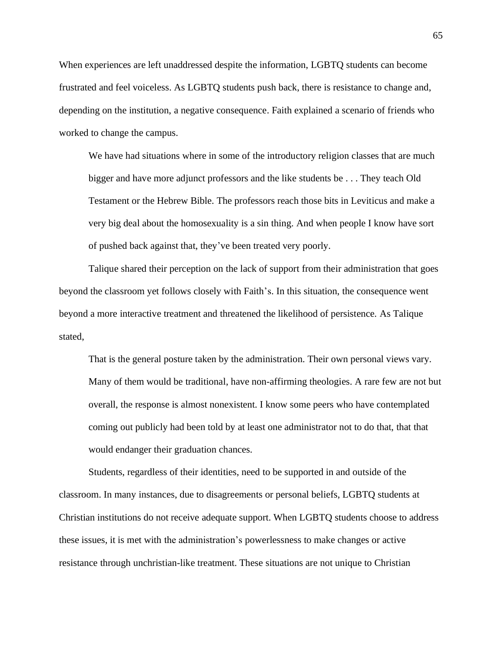When experiences are left unaddressed despite the information, LGBTQ students can become frustrated and feel voiceless. As LGBTQ students push back, there is resistance to change and, depending on the institution, a negative consequence. Faith explained a scenario of friends who worked to change the campus.

We have had situations where in some of the introductory religion classes that are much bigger and have more adjunct professors and the like students be . . . They teach Old Testament or the Hebrew Bible. The professors reach those bits in Leviticus and make a very big deal about the homosexuality is a sin thing. And when people I know have sort of pushed back against that, they've been treated very poorly.

Talique shared their perception on the lack of support from their administration that goes beyond the classroom yet follows closely with Faith's. In this situation, the consequence went beyond a more interactive treatment and threatened the likelihood of persistence. As Talique stated,

That is the general posture taken by the administration. Their own personal views vary. Many of them would be traditional, have non-affirming theologies. A rare few are not but overall, the response is almost nonexistent. I know some peers who have contemplated coming out publicly had been told by at least one administrator not to do that, that that would endanger their graduation chances.

Students, regardless of their identities, need to be supported in and outside of the classroom. In many instances, due to disagreements or personal beliefs, LGBTQ students at Christian institutions do not receive adequate support. When LGBTQ students choose to address these issues, it is met with the administration's powerlessness to make changes or active resistance through unchristian-like treatment. These situations are not unique to Christian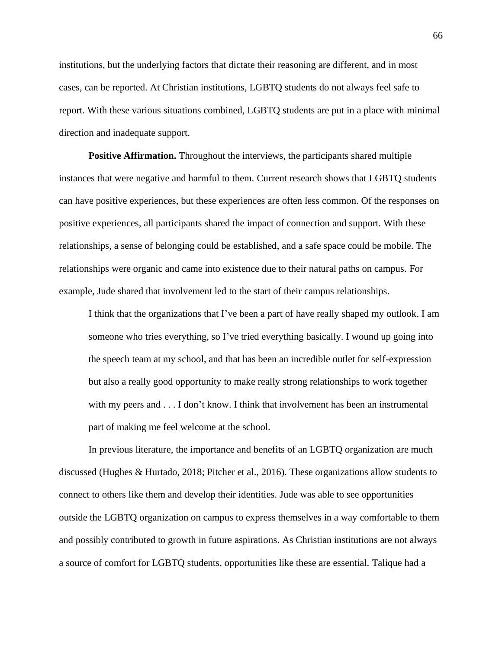institutions, but the underlying factors that dictate their reasoning are different, and in most cases, can be reported. At Christian institutions, LGBTQ students do not always feel safe to report. With these various situations combined, LGBTQ students are put in a place with minimal direction and inadequate support.

**Positive Affirmation.** Throughout the interviews, the participants shared multiple instances that were negative and harmful to them. Current research shows that LGBTQ students can have positive experiences, but these experiences are often less common. Of the responses on positive experiences, all participants shared the impact of connection and support. With these relationships, a sense of belonging could be established, and a safe space could be mobile. The relationships were organic and came into existence due to their natural paths on campus. For example, Jude shared that involvement led to the start of their campus relationships.

I think that the organizations that I've been a part of have really shaped my outlook. I am someone who tries everything, so I've tried everything basically. I wound up going into the speech team at my school, and that has been an incredible outlet for self-expression but also a really good opportunity to make really strong relationships to work together with my peers and  $\dots$  I don't know. I think that involvement has been an instrumental part of making me feel welcome at the school.

In previous literature, the importance and benefits of an LGBTQ organization are much discussed (Hughes & Hurtado, 2018; Pitcher et al., 2016). These organizations allow students to connect to others like them and develop their identities. Jude was able to see opportunities outside the LGBTQ organization on campus to express themselves in a way comfortable to them and possibly contributed to growth in future aspirations. As Christian institutions are not always a source of comfort for LGBTQ students, opportunities like these are essential. Talique had a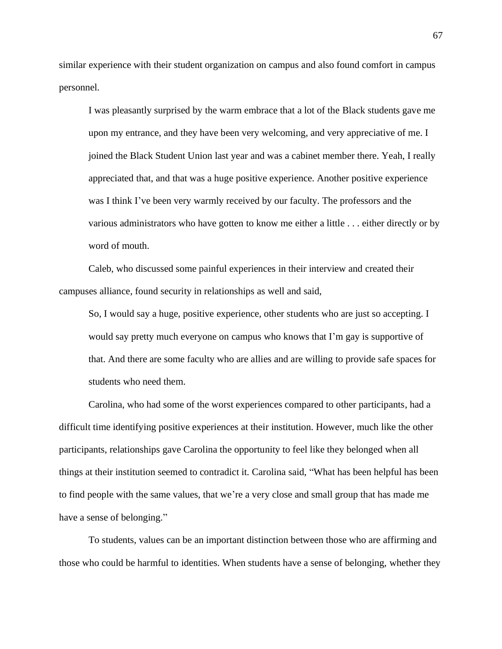similar experience with their student organization on campus and also found comfort in campus personnel.

I was pleasantly surprised by the warm embrace that a lot of the Black students gave me upon my entrance, and they have been very welcoming, and very appreciative of me. I joined the Black Student Union last year and was a cabinet member there. Yeah, I really appreciated that, and that was a huge positive experience. Another positive experience was I think I've been very warmly received by our faculty. The professors and the various administrators who have gotten to know me either a little . . . either directly or by word of mouth.

Caleb, who discussed some painful experiences in their interview and created their campuses alliance, found security in relationships as well and said,

So, I would say a huge, positive experience, other students who are just so accepting. I would say pretty much everyone on campus who knows that I'm gay is supportive of that. And there are some faculty who are allies and are willing to provide safe spaces for students who need them.

Carolina, who had some of the worst experiences compared to other participants, had a difficult time identifying positive experiences at their institution. However, much like the other participants, relationships gave Carolina the opportunity to feel like they belonged when all things at their institution seemed to contradict it. Carolina said, "What has been helpful has been to find people with the same values, that we're a very close and small group that has made me have a sense of belonging."

To students, values can be an important distinction between those who are affirming and those who could be harmful to identities. When students have a sense of belonging, whether they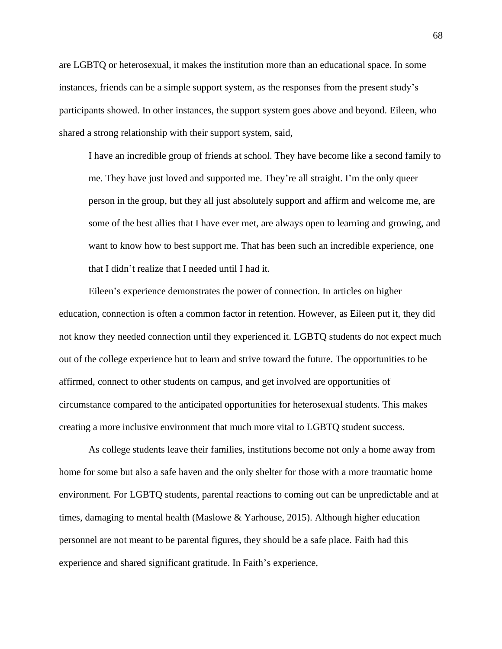are LGBTQ or heterosexual, it makes the institution more than an educational space. In some instances, friends can be a simple support system, as the responses from the present study's participants showed. In other instances, the support system goes above and beyond. Eileen, who shared a strong relationship with their support system, said,

I have an incredible group of friends at school. They have become like a second family to me. They have just loved and supported me. They're all straight. I'm the only queer person in the group, but they all just absolutely support and affirm and welcome me, are some of the best allies that I have ever met, are always open to learning and growing, and want to know how to best support me. That has been such an incredible experience, one that I didn't realize that I needed until I had it.

Eileen's experience demonstrates the power of connection. In articles on higher education, connection is often a common factor in retention. However, as Eileen put it, they did not know they needed connection until they experienced it. LGBTQ students do not expect much out of the college experience but to learn and strive toward the future. The opportunities to be affirmed, connect to other students on campus, and get involved are opportunities of circumstance compared to the anticipated opportunities for heterosexual students. This makes creating a more inclusive environment that much more vital to LGBTQ student success.

As college students leave their families, institutions become not only a home away from home for some but also a safe haven and the only shelter for those with a more traumatic home environment. For LGBTQ students, parental reactions to coming out can be unpredictable and at times, damaging to mental health (Maslowe & Yarhouse, 2015). Although higher education personnel are not meant to be parental figures, they should be a safe place. Faith had this experience and shared significant gratitude. In Faith's experience,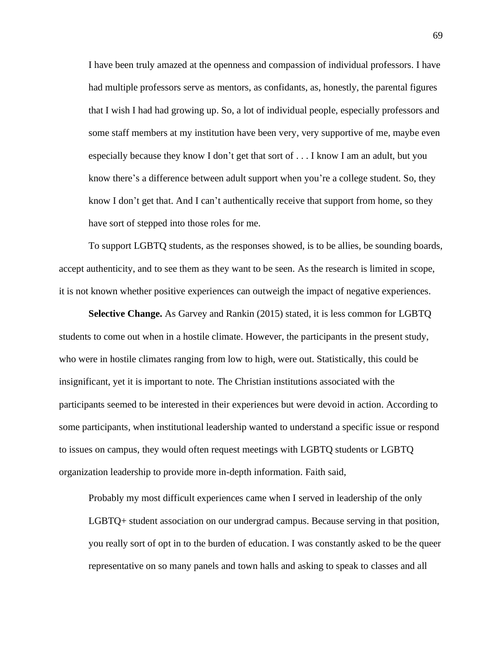I have been truly amazed at the openness and compassion of individual professors. I have had multiple professors serve as mentors, as confidants, as, honestly, the parental figures that I wish I had had growing up. So, a lot of individual people, especially professors and some staff members at my institution have been very, very supportive of me, maybe even especially because they know I don't get that sort of . . . I know I am an adult, but you know there's a difference between adult support when you're a college student. So, they know I don't get that. And I can't authentically receive that support from home, so they have sort of stepped into those roles for me.

To support LGBTQ students, as the responses showed, is to be allies, be sounding boards, accept authenticity, and to see them as they want to be seen. As the research is limited in scope, it is not known whether positive experiences can outweigh the impact of negative experiences.

**Selective Change.** As Garvey and Rankin (2015) stated, it is less common for LGBTQ students to come out when in a hostile climate. However, the participants in the present study, who were in hostile climates ranging from low to high, were out. Statistically, this could be insignificant, yet it is important to note. The Christian institutions associated with the participants seemed to be interested in their experiences but were devoid in action. According to some participants, when institutional leadership wanted to understand a specific issue or respond to issues on campus, they would often request meetings with LGBTQ students or LGBTQ organization leadership to provide more in-depth information. Faith said,

Probably my most difficult experiences came when I served in leadership of the only LGBTQ+ student association on our undergrad campus. Because serving in that position, you really sort of opt in to the burden of education. I was constantly asked to be the queer representative on so many panels and town halls and asking to speak to classes and all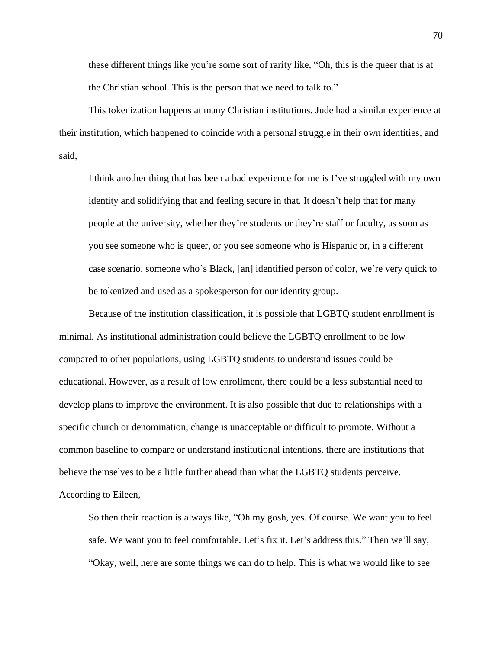these different things like you're some sort of rarity like, "Oh, this is the queer that is at the Christian school. This is the person that we need to talk to."

This tokenization happens at many Christian institutions. Jude had a similar experience at their institution, which happened to coincide with a personal struggle in their own identities, and said,

I think another thing that has been a bad experience for me is I've struggled with my own identity and solidifying that and feeling secure in that. It doesn't help that for many people at the university, whether they're students or they're staff or faculty, as soon as you see someone who is queer, or you see someone who is Hispanic or, in a different case scenario, someone who's Black, [an] identified person of color, we're very quick to be tokenized and used as a spokesperson for our identity group.

Because of the institution classification, it is possible that LGBTQ student enrollment is minimal. As institutional administration could believe the LGBTQ enrollment to be low compared to other populations, using LGBTQ students to understand issues could be educational. However, as a result of low enrollment, there could be a less substantial need to develop plans to improve the environment. It is also possible that due to relationships with a specific church or denomination, change is unacceptable or difficult to promote. Without a common baseline to compare or understand institutional intentions, there are institutions that believe themselves to be a little further ahead than what the LGBTQ students perceive. According to Eileen,

So then their reaction is always like, "Oh my gosh, yes. Of course. We want you to feel safe. We want you to feel comfortable. Let's fix it. Let's address this." Then we'll say, "Okay, well, here are some things we can do to help. This is what we would like to see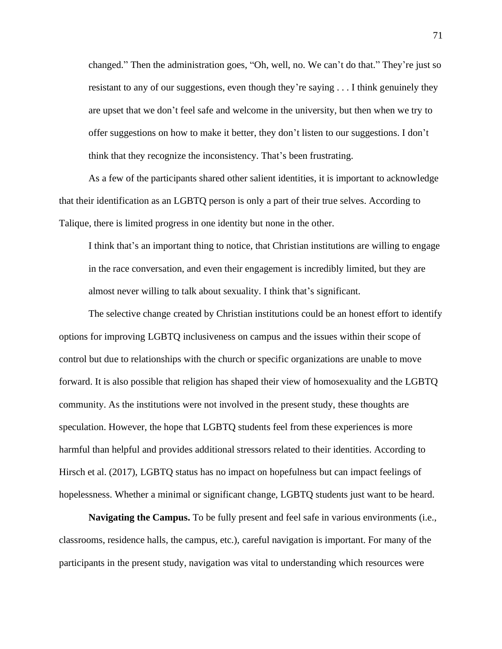changed." Then the administration goes, "Oh, well, no. We can't do that." They're just so resistant to any of our suggestions, even though they're saying . . . I think genuinely they are upset that we don't feel safe and welcome in the university, but then when we try to offer suggestions on how to make it better, they don't listen to our suggestions. I don't think that they recognize the inconsistency. That's been frustrating.

As a few of the participants shared other salient identities, it is important to acknowledge that their identification as an LGBTQ person is only a part of their true selves. According to Talique, there is limited progress in one identity but none in the other.

I think that's an important thing to notice, that Christian institutions are willing to engage in the race conversation, and even their engagement is incredibly limited, but they are almost never willing to talk about sexuality. I think that's significant.

The selective change created by Christian institutions could be an honest effort to identify options for improving LGBTQ inclusiveness on campus and the issues within their scope of control but due to relationships with the church or specific organizations are unable to move forward. It is also possible that religion has shaped their view of homosexuality and the LGBTQ community. As the institutions were not involved in the present study, these thoughts are speculation. However, the hope that LGBTQ students feel from these experiences is more harmful than helpful and provides additional stressors related to their identities. According to Hirsch et al. (2017), LGBTQ status has no impact on hopefulness but can impact feelings of hopelessness. Whether a minimal or significant change, LGBTQ students just want to be heard.

**Navigating the Campus.** To be fully present and feel safe in various environments (i.e., classrooms, residence halls, the campus, etc.), careful navigation is important. For many of the participants in the present study, navigation was vital to understanding which resources were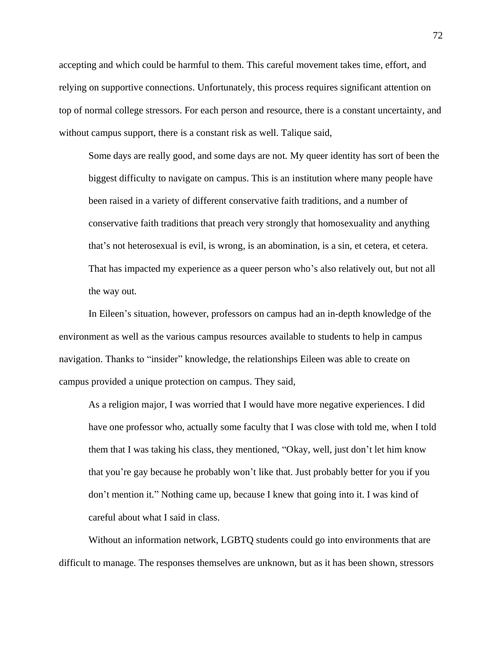accepting and which could be harmful to them. This careful movement takes time, effort, and relying on supportive connections. Unfortunately, this process requires significant attention on top of normal college stressors. For each person and resource, there is a constant uncertainty, and without campus support, there is a constant risk as well. Talique said,

Some days are really good, and some days are not. My queer identity has sort of been the biggest difficulty to navigate on campus. This is an institution where many people have been raised in a variety of different conservative faith traditions, and a number of conservative faith traditions that preach very strongly that homosexuality and anything that's not heterosexual is evil, is wrong, is an abomination, is a sin, et cetera, et cetera. That has impacted my experience as a queer person who's also relatively out, but not all the way out.

In Eileen's situation, however, professors on campus had an in-depth knowledge of the environment as well as the various campus resources available to students to help in campus navigation. Thanks to "insider" knowledge, the relationships Eileen was able to create on campus provided a unique protection on campus. They said,

As a religion major, I was worried that I would have more negative experiences. I did have one professor who, actually some faculty that I was close with told me, when I told them that I was taking his class, they mentioned, "Okay, well, just don't let him know that you're gay because he probably won't like that. Just probably better for you if you don't mention it." Nothing came up, because I knew that going into it. I was kind of careful about what I said in class.

Without an information network, LGBTQ students could go into environments that are difficult to manage. The responses themselves are unknown, but as it has been shown, stressors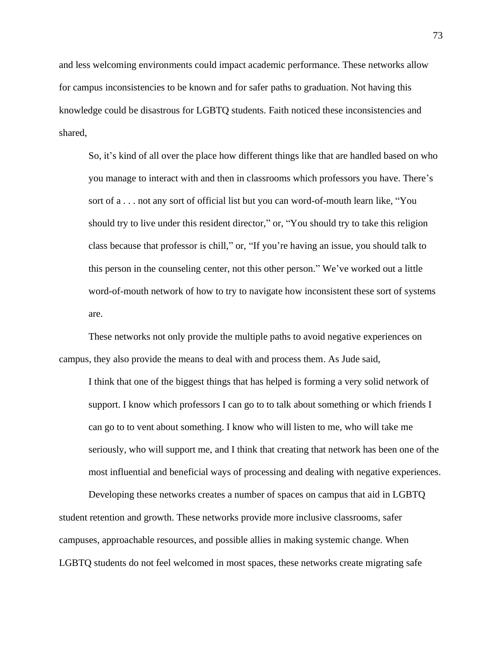and less welcoming environments could impact academic performance. These networks allow for campus inconsistencies to be known and for safer paths to graduation. Not having this knowledge could be disastrous for LGBTQ students. Faith noticed these inconsistencies and shared,

So, it's kind of all over the place how different things like that are handled based on who you manage to interact with and then in classrooms which professors you have. There's sort of a . . . not any sort of official list but you can word-of-mouth learn like, "You should try to live under this resident director," or, "You should try to take this religion class because that professor is chill," or, "If you're having an issue, you should talk to this person in the counseling center, not this other person." We've worked out a little word-of-mouth network of how to try to navigate how inconsistent these sort of systems are.

These networks not only provide the multiple paths to avoid negative experiences on campus, they also provide the means to deal with and process them. As Jude said,

I think that one of the biggest things that has helped is forming a very solid network of support. I know which professors I can go to to talk about something or which friends I can go to to vent about something. I know who will listen to me, who will take me seriously, who will support me, and I think that creating that network has been one of the most influential and beneficial ways of processing and dealing with negative experiences.

Developing these networks creates a number of spaces on campus that aid in LGBTQ student retention and growth. These networks provide more inclusive classrooms, safer campuses, approachable resources, and possible allies in making systemic change. When LGBTQ students do not feel welcomed in most spaces, these networks create migrating safe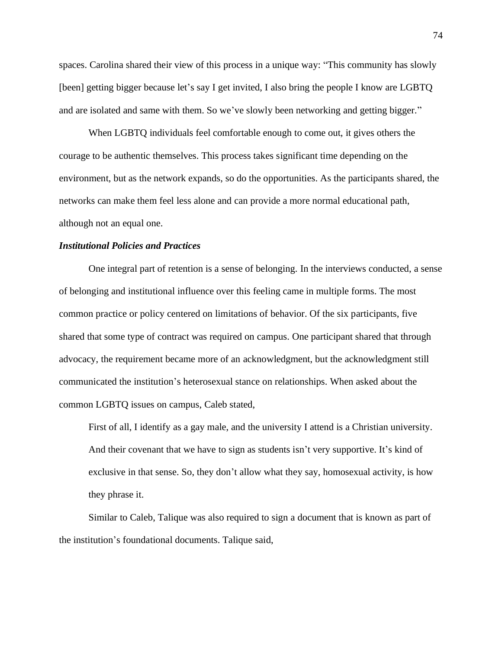spaces. Carolina shared their view of this process in a unique way: "This community has slowly [been] getting bigger because let's say I get invited, I also bring the people I know are LGBTQ and are isolated and same with them. So we've slowly been networking and getting bigger."

When LGBTQ individuals feel comfortable enough to come out, it gives others the courage to be authentic themselves. This process takes significant time depending on the environment, but as the network expands, so do the opportunities. As the participants shared, the networks can make them feel less alone and can provide a more normal educational path, although not an equal one.

## *Institutional Policies and Practices*

One integral part of retention is a sense of belonging. In the interviews conducted, a sense of belonging and institutional influence over this feeling came in multiple forms. The most common practice or policy centered on limitations of behavior. Of the six participants, five shared that some type of contract was required on campus. One participant shared that through advocacy, the requirement became more of an acknowledgment, but the acknowledgment still communicated the institution's heterosexual stance on relationships. When asked about the common LGBTQ issues on campus, Caleb stated,

First of all, I identify as a gay male, and the university I attend is a Christian university. And their covenant that we have to sign as students isn't very supportive. It's kind of exclusive in that sense. So, they don't allow what they say, homosexual activity, is how they phrase it.

Similar to Caleb, Talique was also required to sign a document that is known as part of the institution's foundational documents. Talique said,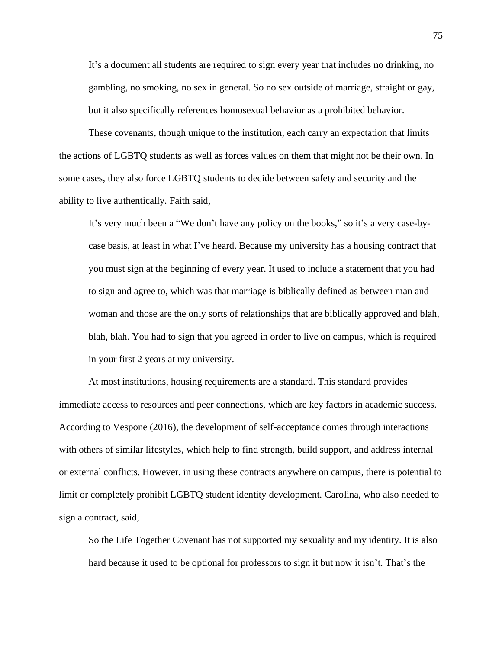It's a document all students are required to sign every year that includes no drinking, no gambling, no smoking, no sex in general. So no sex outside of marriage, straight or gay, but it also specifically references homosexual behavior as a prohibited behavior.

These covenants, though unique to the institution, each carry an expectation that limits the actions of LGBTQ students as well as forces values on them that might not be their own. In some cases, they also force LGBTQ students to decide between safety and security and the ability to live authentically. Faith said,

It's very much been a "We don't have any policy on the books," so it's a very case-bycase basis, at least in what I've heard. Because my university has a housing contract that you must sign at the beginning of every year. It used to include a statement that you had to sign and agree to, which was that marriage is biblically defined as between man and woman and those are the only sorts of relationships that are biblically approved and blah, blah, blah. You had to sign that you agreed in order to live on campus, which is required in your first 2 years at my university.

At most institutions, housing requirements are a standard. This standard provides immediate access to resources and peer connections, which are key factors in academic success. According to Vespone (2016), the development of self-acceptance comes through interactions with others of similar lifestyles, which help to find strength, build support, and address internal or external conflicts. However, in using these contracts anywhere on campus, there is potential to limit or completely prohibit LGBTQ student identity development. Carolina, who also needed to sign a contract, said,

So the Life Together Covenant has not supported my sexuality and my identity. It is also hard because it used to be optional for professors to sign it but now it isn't. That's the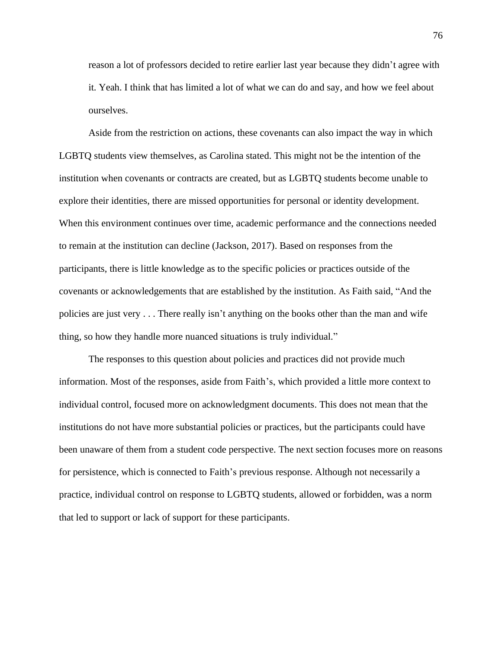reason a lot of professors decided to retire earlier last year because they didn't agree with it. Yeah. I think that has limited a lot of what we can do and say, and how we feel about ourselves.

Aside from the restriction on actions, these covenants can also impact the way in which LGBTQ students view themselves, as Carolina stated. This might not be the intention of the institution when covenants or contracts are created, but as LGBTQ students become unable to explore their identities, there are missed opportunities for personal or identity development. When this environment continues over time, academic performance and the connections needed to remain at the institution can decline (Jackson, 2017). Based on responses from the participants, there is little knowledge as to the specific policies or practices outside of the covenants or acknowledgements that are established by the institution. As Faith said, "And the policies are just very . . . There really isn't anything on the books other than the man and wife thing, so how they handle more nuanced situations is truly individual."

The responses to this question about policies and practices did not provide much information. Most of the responses, aside from Faith's, which provided a little more context to individual control, focused more on acknowledgment documents. This does not mean that the institutions do not have more substantial policies or practices, but the participants could have been unaware of them from a student code perspective. The next section focuses more on reasons for persistence, which is connected to Faith's previous response. Although not necessarily a practice, individual control on response to LGBTQ students, allowed or forbidden, was a norm that led to support or lack of support for these participants.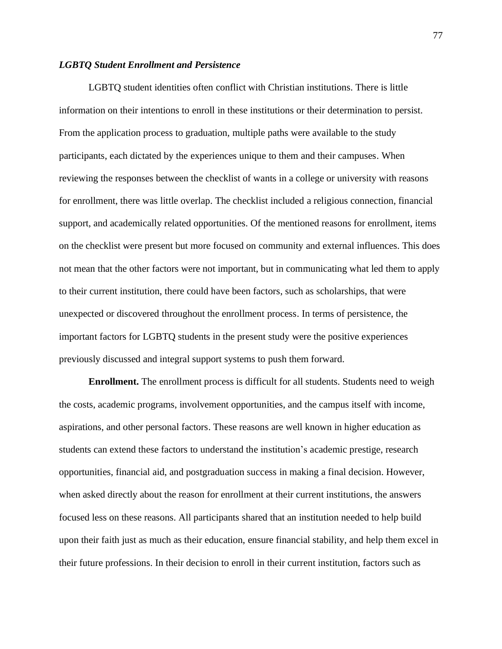### *LGBTQ Student Enrollment and Persistence*

LGBTQ student identities often conflict with Christian institutions. There is little information on their intentions to enroll in these institutions or their determination to persist. From the application process to graduation, multiple paths were available to the study participants, each dictated by the experiences unique to them and their campuses. When reviewing the responses between the checklist of wants in a college or university with reasons for enrollment, there was little overlap. The checklist included a religious connection, financial support, and academically related opportunities. Of the mentioned reasons for enrollment, items on the checklist were present but more focused on community and external influences. This does not mean that the other factors were not important, but in communicating what led them to apply to their current institution, there could have been factors, such as scholarships, that were unexpected or discovered throughout the enrollment process. In terms of persistence, the important factors for LGBTQ students in the present study were the positive experiences previously discussed and integral support systems to push them forward.

**Enrollment.** The enrollment process is difficult for all students. Students need to weigh the costs, academic programs, involvement opportunities, and the campus itself with income, aspirations, and other personal factors. These reasons are well known in higher education as students can extend these factors to understand the institution's academic prestige, research opportunities, financial aid, and postgraduation success in making a final decision. However, when asked directly about the reason for enrollment at their current institutions, the answers focused less on these reasons. All participants shared that an institution needed to help build upon their faith just as much as their education, ensure financial stability, and help them excel in their future professions. In their decision to enroll in their current institution, factors such as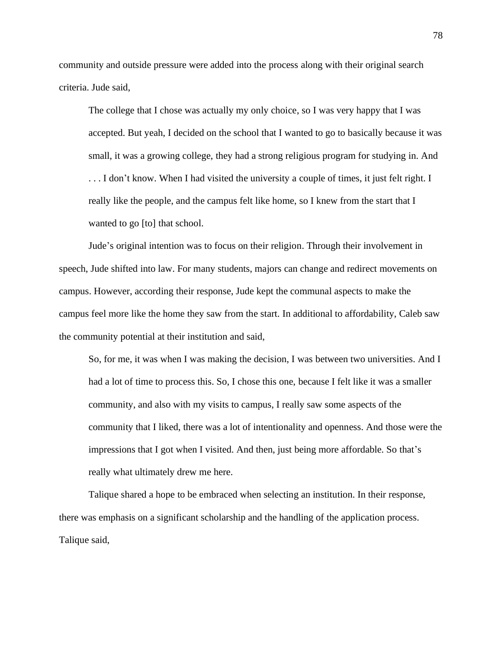community and outside pressure were added into the process along with their original search criteria. Jude said,

The college that I chose was actually my only choice, so I was very happy that I was accepted. But yeah, I decided on the school that I wanted to go to basically because it was small, it was a growing college, they had a strong religious program for studying in. And ... I don't know. When I had visited the university a couple of times, it just felt right. I really like the people, and the campus felt like home, so I knew from the start that I wanted to go [to] that school.

Jude's original intention was to focus on their religion. Through their involvement in speech, Jude shifted into law. For many students, majors can change and redirect movements on campus. However, according their response, Jude kept the communal aspects to make the campus feel more like the home they saw from the start. In additional to affordability, Caleb saw the community potential at their institution and said,

So, for me, it was when I was making the decision, I was between two universities. And I had a lot of time to process this. So, I chose this one, because I felt like it was a smaller community, and also with my visits to campus, I really saw some aspects of the community that I liked, there was a lot of intentionality and openness. And those were the impressions that I got when I visited. And then, just being more affordable. So that's really what ultimately drew me here.

Talique shared a hope to be embraced when selecting an institution. In their response, there was emphasis on a significant scholarship and the handling of the application process. Talique said,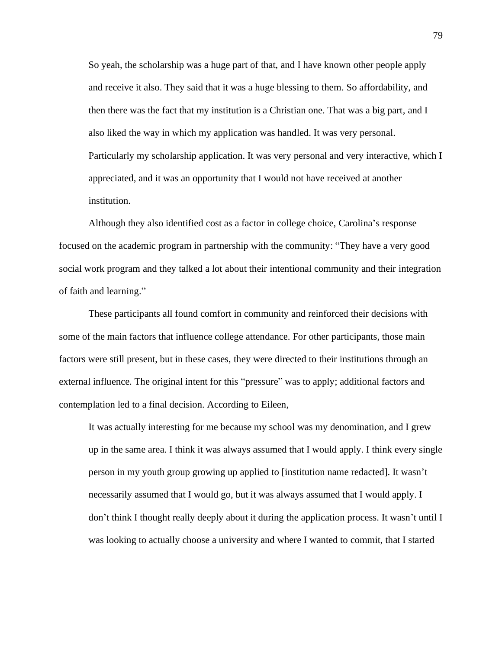So yeah, the scholarship was a huge part of that, and I have known other people apply and receive it also. They said that it was a huge blessing to them. So affordability, and then there was the fact that my institution is a Christian one. That was a big part, and I also liked the way in which my application was handled. It was very personal. Particularly my scholarship application. It was very personal and very interactive, which I appreciated, and it was an opportunity that I would not have received at another institution.

Although they also identified cost as a factor in college choice, Carolina's response focused on the academic program in partnership with the community: "They have a very good social work program and they talked a lot about their intentional community and their integration of faith and learning."

These participants all found comfort in community and reinforced their decisions with some of the main factors that influence college attendance. For other participants, those main factors were still present, but in these cases, they were directed to their institutions through an external influence. The original intent for this "pressure" was to apply; additional factors and contemplation led to a final decision. According to Eileen,

It was actually interesting for me because my school was my denomination, and I grew up in the same area. I think it was always assumed that I would apply. I think every single person in my youth group growing up applied to [institution name redacted]. It wasn't necessarily assumed that I would go, but it was always assumed that I would apply. I don't think I thought really deeply about it during the application process. It wasn't until I was looking to actually choose a university and where I wanted to commit, that I started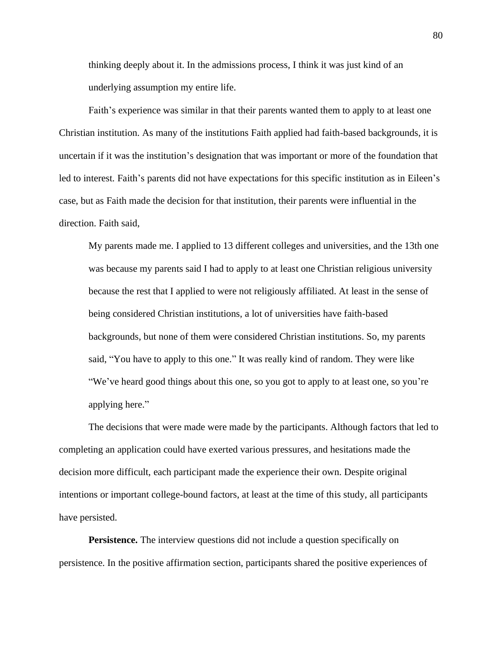thinking deeply about it. In the admissions process, I think it was just kind of an underlying assumption my entire life.

Faith's experience was similar in that their parents wanted them to apply to at least one Christian institution. As many of the institutions Faith applied had faith-based backgrounds, it is uncertain if it was the institution's designation that was important or more of the foundation that led to interest. Faith's parents did not have expectations for this specific institution as in Eileen's case, but as Faith made the decision for that institution, their parents were influential in the direction. Faith said,

My parents made me. I applied to 13 different colleges and universities, and the 13th one was because my parents said I had to apply to at least one Christian religious university because the rest that I applied to were not religiously affiliated. At least in the sense of being considered Christian institutions, a lot of universities have faith-based backgrounds, but none of them were considered Christian institutions. So, my parents said, "You have to apply to this one." It was really kind of random. They were like "We've heard good things about this one, so you got to apply to at least one, so you're applying here."

The decisions that were made were made by the participants. Although factors that led to completing an application could have exerted various pressures, and hesitations made the decision more difficult, each participant made the experience their own. Despite original intentions or important college-bound factors, at least at the time of this study, all participants have persisted.

**Persistence.** The interview questions did not include a question specifically on persistence. In the positive affirmation section, participants shared the positive experiences of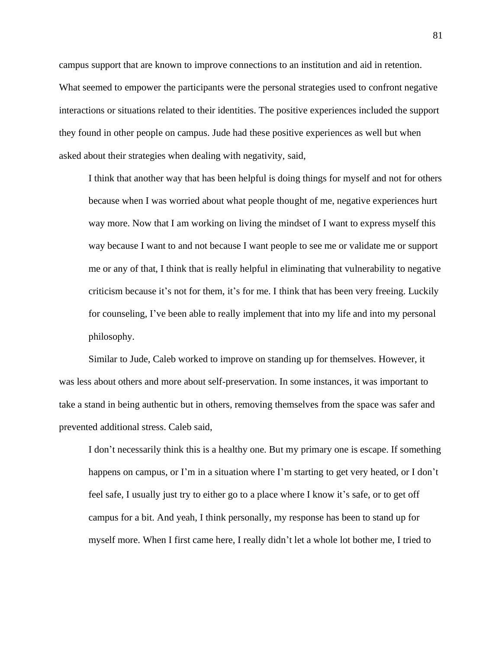campus support that are known to improve connections to an institution and aid in retention. What seemed to empower the participants were the personal strategies used to confront negative interactions or situations related to their identities. The positive experiences included the support they found in other people on campus. Jude had these positive experiences as well but when asked about their strategies when dealing with negativity, said,

I think that another way that has been helpful is doing things for myself and not for others because when I was worried about what people thought of me, negative experiences hurt way more. Now that I am working on living the mindset of I want to express myself this way because I want to and not because I want people to see me or validate me or support me or any of that, I think that is really helpful in eliminating that vulnerability to negative criticism because it's not for them, it's for me. I think that has been very freeing. Luckily for counseling, I've been able to really implement that into my life and into my personal philosophy.

Similar to Jude, Caleb worked to improve on standing up for themselves. However, it was less about others and more about self-preservation. In some instances, it was important to take a stand in being authentic but in others, removing themselves from the space was safer and prevented additional stress. Caleb said,

I don't necessarily think this is a healthy one. But my primary one is escape. If something happens on campus, or I'm in a situation where I'm starting to get very heated, or I don't feel safe, I usually just try to either go to a place where I know it's safe, or to get off campus for a bit. And yeah, I think personally, my response has been to stand up for myself more. When I first came here, I really didn't let a whole lot bother me, I tried to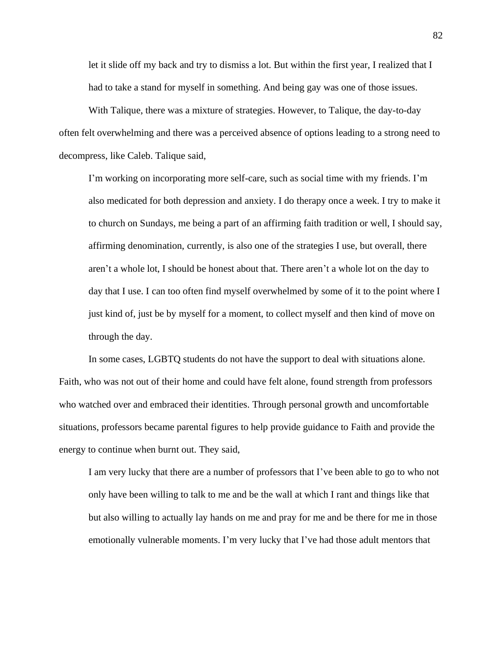let it slide off my back and try to dismiss a lot. But within the first year, I realized that I had to take a stand for myself in something. And being gay was one of those issues.

With Talique, there was a mixture of strategies. However, to Talique, the day-to-day often felt overwhelming and there was a perceived absence of options leading to a strong need to decompress, like Caleb. Talique said,

I'm working on incorporating more self-care, such as social time with my friends. I'm also medicated for both depression and anxiety. I do therapy once a week. I try to make it to church on Sundays, me being a part of an affirming faith tradition or well, I should say, affirming denomination, currently, is also one of the strategies I use, but overall, there aren't a whole lot, I should be honest about that. There aren't a whole lot on the day to day that I use. I can too often find myself overwhelmed by some of it to the point where I just kind of, just be by myself for a moment, to collect myself and then kind of move on through the day.

In some cases, LGBTQ students do not have the support to deal with situations alone. Faith, who was not out of their home and could have felt alone, found strength from professors who watched over and embraced their identities. Through personal growth and uncomfortable situations, professors became parental figures to help provide guidance to Faith and provide the energy to continue when burnt out. They said,

I am very lucky that there are a number of professors that I've been able to go to who not only have been willing to talk to me and be the wall at which I rant and things like that but also willing to actually lay hands on me and pray for me and be there for me in those emotionally vulnerable moments. I'm very lucky that I've had those adult mentors that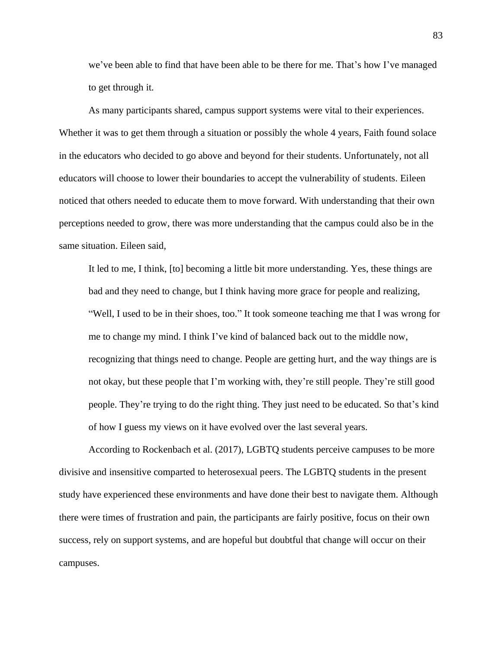we've been able to find that have been able to be there for me. That's how I've managed to get through it.

As many participants shared, campus support systems were vital to their experiences. Whether it was to get them through a situation or possibly the whole 4 years, Faith found solace in the educators who decided to go above and beyond for their students. Unfortunately, not all educators will choose to lower their boundaries to accept the vulnerability of students. Eileen noticed that others needed to educate them to move forward. With understanding that their own perceptions needed to grow, there was more understanding that the campus could also be in the same situation. Eileen said,

It led to me, I think, [to] becoming a little bit more understanding. Yes, these things are bad and they need to change, but I think having more grace for people and realizing, "Well, I used to be in their shoes, too." It took someone teaching me that I was wrong for me to change my mind. I think I've kind of balanced back out to the middle now, recognizing that things need to change. People are getting hurt, and the way things are is not okay, but these people that I'm working with, they're still people. They're still good people. They're trying to do the right thing. They just need to be educated. So that's kind of how I guess my views on it have evolved over the last several years.

According to Rockenbach et al. (2017), LGBTQ students perceive campuses to be more divisive and insensitive comparted to heterosexual peers. The LGBTQ students in the present study have experienced these environments and have done their best to navigate them. Although there were times of frustration and pain, the participants are fairly positive, focus on their own success, rely on support systems, and are hopeful but doubtful that change will occur on their campuses.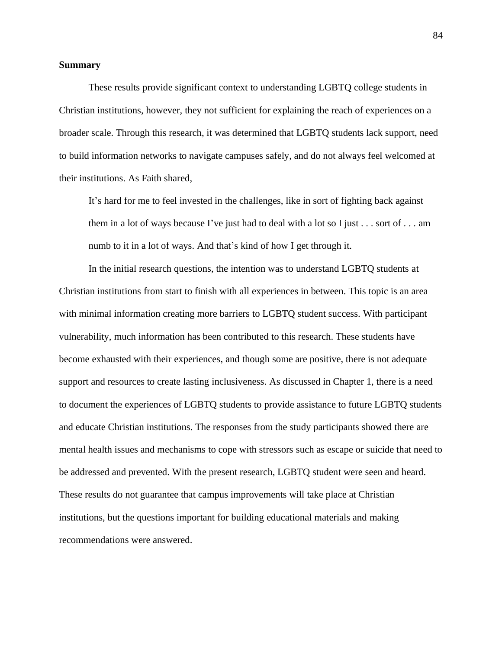#### **Summary**

These results provide significant context to understanding LGBTQ college students in Christian institutions, however, they not sufficient for explaining the reach of experiences on a broader scale. Through this research, it was determined that LGBTQ students lack support, need to build information networks to navigate campuses safely, and do not always feel welcomed at their institutions. As Faith shared,

It's hard for me to feel invested in the challenges, like in sort of fighting back against them in a lot of ways because I've just had to deal with a lot so I just  $\dots$  sort of  $\dots$  am numb to it in a lot of ways. And that's kind of how I get through it.

In the initial research questions, the intention was to understand LGBTQ students at Christian institutions from start to finish with all experiences in between. This topic is an area with minimal information creating more barriers to LGBTQ student success. With participant vulnerability, much information has been contributed to this research. These students have become exhausted with their experiences, and though some are positive, there is not adequate support and resources to create lasting inclusiveness. As discussed in Chapter 1, there is a need to document the experiences of LGBTQ students to provide assistance to future LGBTQ students and educate Christian institutions. The responses from the study participants showed there are mental health issues and mechanisms to cope with stressors such as escape or suicide that need to be addressed and prevented. With the present research, LGBTQ student were seen and heard. These results do not guarantee that campus improvements will take place at Christian institutions, but the questions important for building educational materials and making recommendations were answered.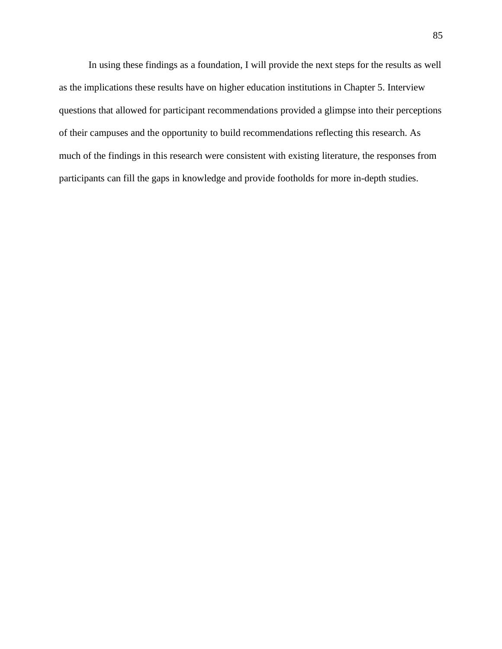In using these findings as a foundation, I will provide the next steps for the results as well as the implications these results have on higher education institutions in Chapter 5. Interview questions that allowed for participant recommendations provided a glimpse into their perceptions of their campuses and the opportunity to build recommendations reflecting this research. As much of the findings in this research were consistent with existing literature, the responses from participants can fill the gaps in knowledge and provide footholds for more in-depth studies.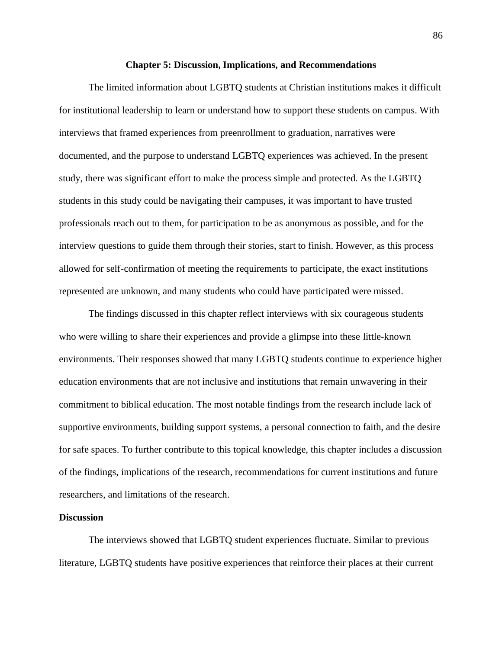#### **Chapter 5: Discussion, Implications, and Recommendations**

The limited information about LGBTQ students at Christian institutions makes it difficult for institutional leadership to learn or understand how to support these students on campus. With interviews that framed experiences from preenrollment to graduation, narratives were documented, and the purpose to understand LGBTQ experiences was achieved. In the present study, there was significant effort to make the process simple and protected. As the LGBTQ students in this study could be navigating their campuses, it was important to have trusted professionals reach out to them, for participation to be as anonymous as possible, and for the interview questions to guide them through their stories, start to finish. However, as this process allowed for self-confirmation of meeting the requirements to participate, the exact institutions represented are unknown, and many students who could have participated were missed.

The findings discussed in this chapter reflect interviews with six courageous students who were willing to share their experiences and provide a glimpse into these little-known environments. Their responses showed that many LGBTQ students continue to experience higher education environments that are not inclusive and institutions that remain unwavering in their commitment to biblical education. The most notable findings from the research include lack of supportive environments, building support systems, a personal connection to faith, and the desire for safe spaces. To further contribute to this topical knowledge, this chapter includes a discussion of the findings, implications of the research, recommendations for current institutions and future researchers, and limitations of the research.

#### **Discussion**

The interviews showed that LGBTQ student experiences fluctuate. Similar to previous literature, LGBTQ students have positive experiences that reinforce their places at their current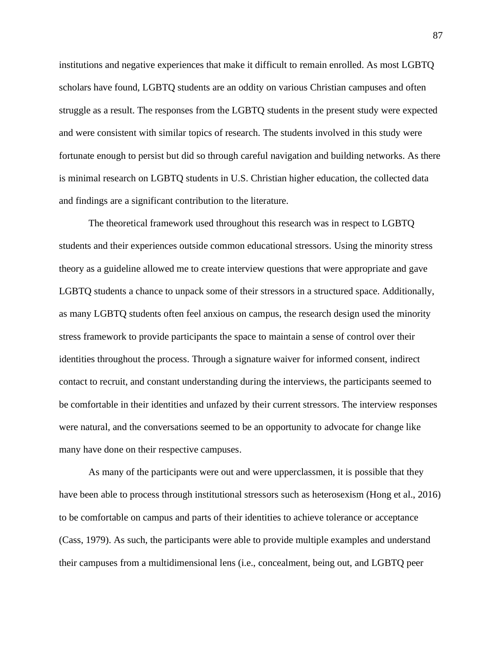institutions and negative experiences that make it difficult to remain enrolled. As most LGBTQ scholars have found, LGBTQ students are an oddity on various Christian campuses and often struggle as a result. The responses from the LGBTQ students in the present study were expected and were consistent with similar topics of research. The students involved in this study were fortunate enough to persist but did so through careful navigation and building networks. As there is minimal research on LGBTQ students in U.S. Christian higher education, the collected data and findings are a significant contribution to the literature.

The theoretical framework used throughout this research was in respect to LGBTQ students and their experiences outside common educational stressors. Using the minority stress theory as a guideline allowed me to create interview questions that were appropriate and gave LGBTQ students a chance to unpack some of their stressors in a structured space. Additionally, as many LGBTQ students often feel anxious on campus, the research design used the minority stress framework to provide participants the space to maintain a sense of control over their identities throughout the process. Through a signature waiver for informed consent, indirect contact to recruit, and constant understanding during the interviews, the participants seemed to be comfortable in their identities and unfazed by their current stressors. The interview responses were natural, and the conversations seemed to be an opportunity to advocate for change like many have done on their respective campuses.

As many of the participants were out and were upperclassmen, it is possible that they have been able to process through institutional stressors such as heterosexism (Hong et al., 2016) to be comfortable on campus and parts of their identities to achieve tolerance or acceptance (Cass, 1979). As such, the participants were able to provide multiple examples and understand their campuses from a multidimensional lens (i.e., concealment, being out, and LGBTQ peer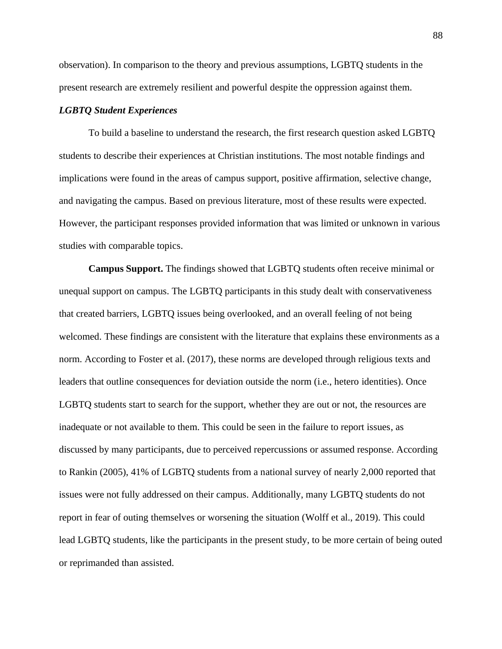observation). In comparison to the theory and previous assumptions, LGBTQ students in the present research are extremely resilient and powerful despite the oppression against them.

## *LGBTQ Student Experiences*

To build a baseline to understand the research, the first research question asked LGBTQ students to describe their experiences at Christian institutions. The most notable findings and implications were found in the areas of campus support, positive affirmation, selective change, and navigating the campus. Based on previous literature, most of these results were expected. However, the participant responses provided information that was limited or unknown in various studies with comparable topics.

**Campus Support.** The findings showed that LGBTQ students often receive minimal or unequal support on campus. The LGBTQ participants in this study dealt with conservativeness that created barriers, LGBTQ issues being overlooked, and an overall feeling of not being welcomed. These findings are consistent with the literature that explains these environments as a norm. According to Foster et al. (2017), these norms are developed through religious texts and leaders that outline consequences for deviation outside the norm (i.e., hetero identities). Once LGBTQ students start to search for the support, whether they are out or not, the resources are inadequate or not available to them. This could be seen in the failure to report issues, as discussed by many participants, due to perceived repercussions or assumed response. According to Rankin (2005), 41% of LGBTQ students from a national survey of nearly 2,000 reported that issues were not fully addressed on their campus. Additionally, many LGBTQ students do not report in fear of outing themselves or worsening the situation (Wolff et al., 2019). This could lead LGBTQ students, like the participants in the present study, to be more certain of being outed or reprimanded than assisted.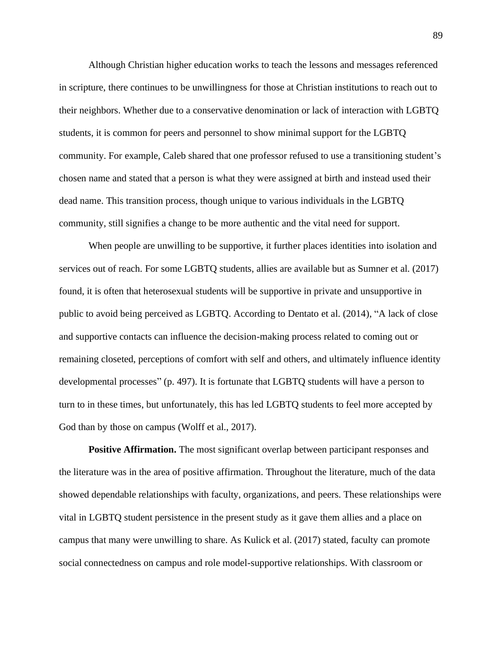Although Christian higher education works to teach the lessons and messages referenced in scripture, there continues to be unwillingness for those at Christian institutions to reach out to their neighbors. Whether due to a conservative denomination or lack of interaction with LGBTQ students, it is common for peers and personnel to show minimal support for the LGBTQ community. For example, Caleb shared that one professor refused to use a transitioning student's chosen name and stated that a person is what they were assigned at birth and instead used their dead name. This transition process, though unique to various individuals in the LGBTQ community, still signifies a change to be more authentic and the vital need for support.

When people are unwilling to be supportive, it further places identities into isolation and services out of reach. For some LGBTQ students, allies are available but as Sumner et al. (2017) found, it is often that heterosexual students will be supportive in private and unsupportive in public to avoid being perceived as LGBTQ. According to Dentato et al. (2014), "A lack of close and supportive contacts can influence the decision-making process related to coming out or remaining closeted, perceptions of comfort with self and others, and ultimately influence identity developmental processes" (p. 497). It is fortunate that LGBTQ students will have a person to turn to in these times, but unfortunately, this has led LGBTQ students to feel more accepted by God than by those on campus (Wolff et al., 2017).

**Positive Affirmation.** The most significant overlap between participant responses and the literature was in the area of positive affirmation. Throughout the literature, much of the data showed dependable relationships with faculty, organizations, and peers. These relationships were vital in LGBTQ student persistence in the present study as it gave them allies and a place on campus that many were unwilling to share. As Kulick et al. (2017) stated, faculty can promote social connectedness on campus and role model-supportive relationships. With classroom or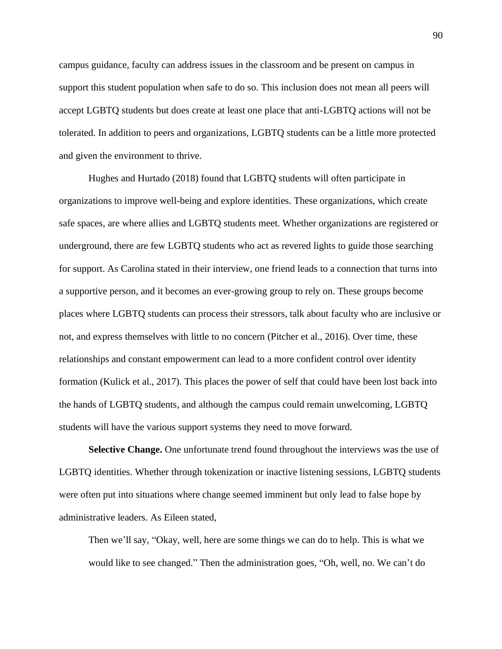campus guidance, faculty can address issues in the classroom and be present on campus in support this student population when safe to do so. This inclusion does not mean all peers will accept LGBTQ students but does create at least one place that anti-LGBTQ actions will not be tolerated. In addition to peers and organizations, LGBTQ students can be a little more protected and given the environment to thrive.

Hughes and Hurtado (2018) found that LGBTQ students will often participate in organizations to improve well-being and explore identities. These organizations, which create safe spaces, are where allies and LGBTQ students meet. Whether organizations are registered or underground, there are few LGBTQ students who act as revered lights to guide those searching for support. As Carolina stated in their interview, one friend leads to a connection that turns into a supportive person, and it becomes an ever-growing group to rely on. These groups become places where LGBTQ students can process their stressors, talk about faculty who are inclusive or not, and express themselves with little to no concern (Pitcher et al., 2016). Over time, these relationships and constant empowerment can lead to a more confident control over identity formation (Kulick et al., 2017). This places the power of self that could have been lost back into the hands of LGBTQ students, and although the campus could remain unwelcoming, LGBTQ students will have the various support systems they need to move forward.

**Selective Change.** One unfortunate trend found throughout the interviews was the use of LGBTQ identities. Whether through tokenization or inactive listening sessions, LGBTQ students were often put into situations where change seemed imminent but only lead to false hope by administrative leaders. As Eileen stated,

Then we'll say, "Okay, well, here are some things we can do to help. This is what we would like to see changed." Then the administration goes, "Oh, well, no. We can't do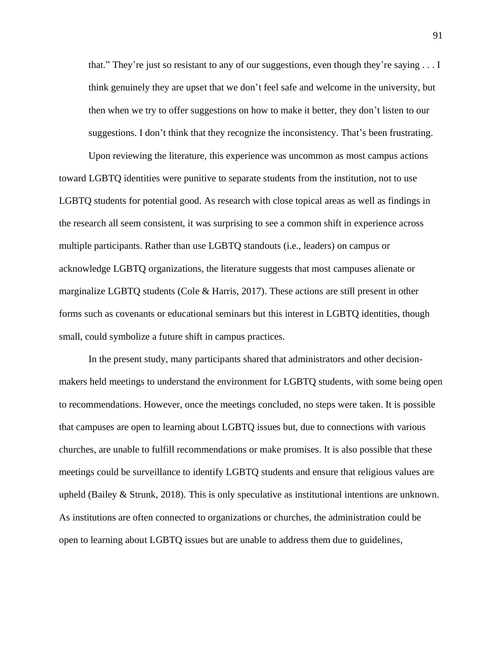that." They're just so resistant to any of our suggestions, even though they're saying . . . I think genuinely they are upset that we don't feel safe and welcome in the university, but then when we try to offer suggestions on how to make it better, they don't listen to our suggestions. I don't think that they recognize the inconsistency. That's been frustrating.

Upon reviewing the literature, this experience was uncommon as most campus actions toward LGBTQ identities were punitive to separate students from the institution, not to use LGBTQ students for potential good. As research with close topical areas as well as findings in the research all seem consistent, it was surprising to see a common shift in experience across multiple participants. Rather than use LGBTQ standouts (i.e., leaders) on campus or acknowledge LGBTQ organizations, the literature suggests that most campuses alienate or marginalize LGBTQ students (Cole & Harris, 2017). These actions are still present in other forms such as covenants or educational seminars but this interest in LGBTQ identities, though small, could symbolize a future shift in campus practices.

In the present study, many participants shared that administrators and other decisionmakers held meetings to understand the environment for LGBTQ students, with some being open to recommendations. However, once the meetings concluded, no steps were taken. It is possible that campuses are open to learning about LGBTQ issues but, due to connections with various churches, are unable to fulfill recommendations or make promises. It is also possible that these meetings could be surveillance to identify LGBTQ students and ensure that religious values are upheld (Bailey & Strunk, 2018). This is only speculative as institutional intentions are unknown. As institutions are often connected to organizations or churches, the administration could be open to learning about LGBTQ issues but are unable to address them due to guidelines,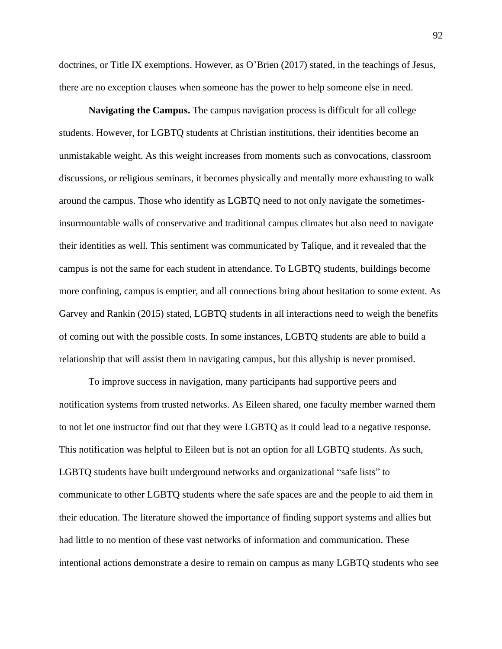doctrines, or Title IX exemptions. However, as O'Brien (2017) stated, in the teachings of Jesus, there are no exception clauses when someone has the power to help someone else in need.

**Navigating the Campus.** The campus navigation process is difficult for all college students. However, for LGBTQ students at Christian institutions, their identities become an unmistakable weight. As this weight increases from moments such as convocations, classroom discussions, or religious seminars, it becomes physically and mentally more exhausting to walk around the campus. Those who identify as LGBTQ need to not only navigate the sometimesinsurmountable walls of conservative and traditional campus climates but also need to navigate their identities as well. This sentiment was communicated by Talique, and it revealed that the campus is not the same for each student in attendance. To LGBTQ students, buildings become more confining, campus is emptier, and all connections bring about hesitation to some extent. As Garvey and Rankin (2015) stated, LGBTQ students in all interactions need to weigh the benefits of coming out with the possible costs. In some instances, LGBTQ students are able to build a relationship that will assist them in navigating campus, but this allyship is never promised.

To improve success in navigation, many participants had supportive peers and notification systems from trusted networks. As Eileen shared, one faculty member warned them to not let one instructor find out that they were LGBTQ as it could lead to a negative response. This notification was helpful to Eileen but is not an option for all LGBTQ students. As such, LGBTQ students have built underground networks and organizational "safe lists" to communicate to other LGBTQ students where the safe spaces are and the people to aid them in their education. The literature showed the importance of finding support systems and allies but had little to no mention of these vast networks of information and communication. These intentional actions demonstrate a desire to remain on campus as many LGBTQ students who see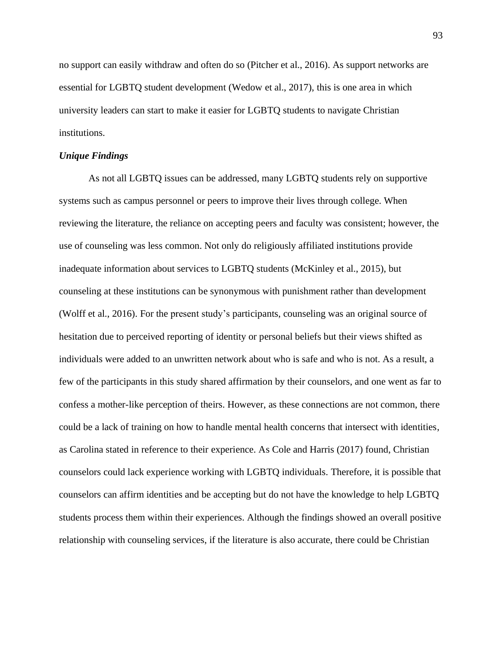no support can easily withdraw and often do so (Pitcher et al., 2016). As support networks are essential for LGBTQ student development (Wedow et al., 2017), this is one area in which university leaders can start to make it easier for LGBTQ students to navigate Christian institutions.

## *Unique Findings*

As not all LGBTQ issues can be addressed, many LGBTQ students rely on supportive systems such as campus personnel or peers to improve their lives through college. When reviewing the literature, the reliance on accepting peers and faculty was consistent; however, the use of counseling was less common. Not only do religiously affiliated institutions provide inadequate information about services to LGBTQ students (McKinley et al., 2015), but counseling at these institutions can be synonymous with punishment rather than development (Wolff et al., 2016). For the present study's participants, counseling was an original source of hesitation due to perceived reporting of identity or personal beliefs but their views shifted as individuals were added to an unwritten network about who is safe and who is not. As a result, a few of the participants in this study shared affirmation by their counselors, and one went as far to confess a mother-like perception of theirs. However, as these connections are not common, there could be a lack of training on how to handle mental health concerns that intersect with identities, as Carolina stated in reference to their experience. As Cole and Harris (2017) found, Christian counselors could lack experience working with LGBTQ individuals. Therefore, it is possible that counselors can affirm identities and be accepting but do not have the knowledge to help LGBTQ students process them within their experiences. Although the findings showed an overall positive relationship with counseling services, if the literature is also accurate, there could be Christian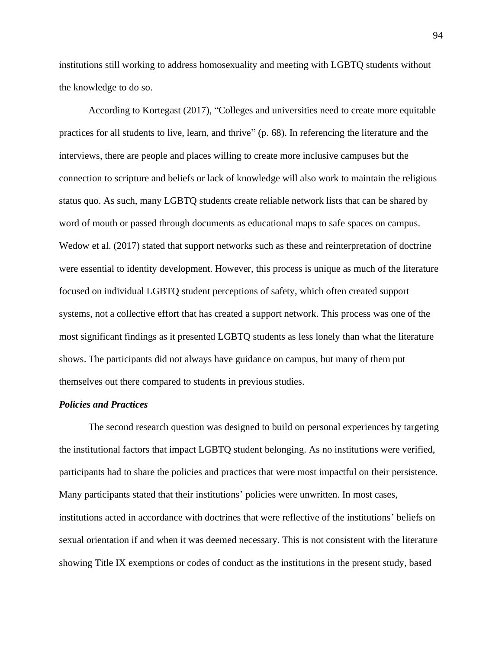institutions still working to address homosexuality and meeting with LGBTQ students without the knowledge to do so.

According to Kortegast (2017), "Colleges and universities need to create more equitable practices for all students to live, learn, and thrive" (p. 68). In referencing the literature and the interviews, there are people and places willing to create more inclusive campuses but the connection to scripture and beliefs or lack of knowledge will also work to maintain the religious status quo. As such, many LGBTQ students create reliable network lists that can be shared by word of mouth or passed through documents as educational maps to safe spaces on campus. Wedow et al. (2017) stated that support networks such as these and reinterpretation of doctrine were essential to identity development. However, this process is unique as much of the literature focused on individual LGBTQ student perceptions of safety, which often created support systems, not a collective effort that has created a support network. This process was one of the most significant findings as it presented LGBTQ students as less lonely than what the literature shows. The participants did not always have guidance on campus, but many of them put themselves out there compared to students in previous studies.

## *Policies and Practices*

The second research question was designed to build on personal experiences by targeting the institutional factors that impact LGBTQ student belonging. As no institutions were verified, participants had to share the policies and practices that were most impactful on their persistence. Many participants stated that their institutions' policies were unwritten. In most cases, institutions acted in accordance with doctrines that were reflective of the institutions' beliefs on sexual orientation if and when it was deemed necessary. This is not consistent with the literature showing Title IX exemptions or codes of conduct as the institutions in the present study, based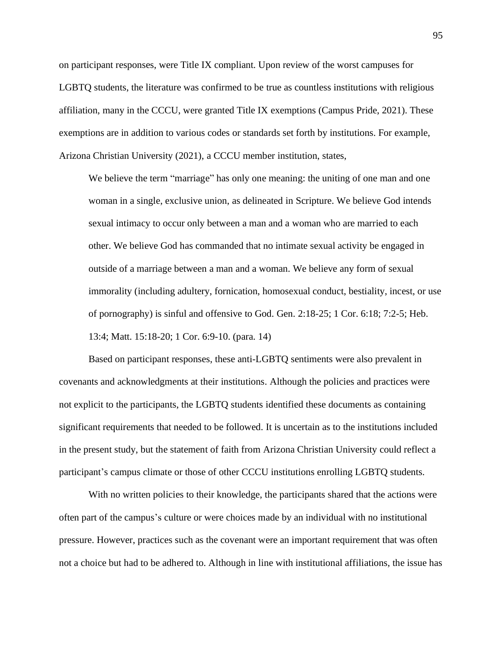on participant responses, were Title IX compliant. Upon review of the worst campuses for LGBTQ students, the literature was confirmed to be true as countless institutions with religious affiliation, many in the CCCU, were granted Title IX exemptions (Campus Pride, 2021). These exemptions are in addition to various codes or standards set forth by institutions. For example, Arizona Christian University (2021), a CCCU member institution, states,

We believe the term "marriage" has only one meaning: the uniting of one man and one woman in a single, exclusive union, as delineated in Scripture. We believe God intends sexual intimacy to occur only between a man and a woman who are married to each other. We believe God has commanded that no intimate sexual activity be engaged in outside of a marriage between a man and a woman. We believe any form of sexual immorality (including adultery, fornication, homosexual conduct, bestiality, incest, or use of pornography) is sinful and offensive to God. Gen. 2:18-25; 1 Cor. 6:18; 7:2-5; Heb. 13:4; Matt. 15:18-20; 1 Cor. 6:9-10. (para. 14)

Based on participant responses, these anti-LGBTQ sentiments were also prevalent in covenants and acknowledgments at their institutions. Although the policies and practices were not explicit to the participants, the LGBTQ students identified these documents as containing significant requirements that needed to be followed. It is uncertain as to the institutions included in the present study, but the statement of faith from Arizona Christian University could reflect a participant's campus climate or those of other CCCU institutions enrolling LGBTQ students.

With no written policies to their knowledge, the participants shared that the actions were often part of the campus's culture or were choices made by an individual with no institutional pressure. However, practices such as the covenant were an important requirement that was often not a choice but had to be adhered to. Although in line with institutional affiliations, the issue has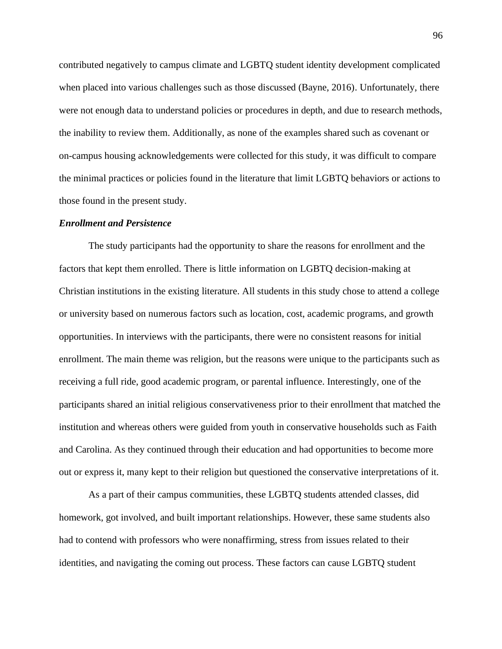contributed negatively to campus climate and LGBTQ student identity development complicated when placed into various challenges such as those discussed (Bayne, 2016). Unfortunately, there were not enough data to understand policies or procedures in depth, and due to research methods, the inability to review them. Additionally, as none of the examples shared such as covenant or on-campus housing acknowledgements were collected for this study, it was difficult to compare the minimal practices or policies found in the literature that limit LGBTQ behaviors or actions to those found in the present study.

### *Enrollment and Persistence*

The study participants had the opportunity to share the reasons for enrollment and the factors that kept them enrolled. There is little information on LGBTQ decision-making at Christian institutions in the existing literature. All students in this study chose to attend a college or university based on numerous factors such as location, cost, academic programs, and growth opportunities. In interviews with the participants, there were no consistent reasons for initial enrollment. The main theme was religion, but the reasons were unique to the participants such as receiving a full ride, good academic program, or parental influence. Interestingly, one of the participants shared an initial religious conservativeness prior to their enrollment that matched the institution and whereas others were guided from youth in conservative households such as Faith and Carolina. As they continued through their education and had opportunities to become more out or express it, many kept to their religion but questioned the conservative interpretations of it.

As a part of their campus communities, these LGBTQ students attended classes, did homework, got involved, and built important relationships. However, these same students also had to contend with professors who were nonaffirming, stress from issues related to their identities, and navigating the coming out process. These factors can cause LGBTQ student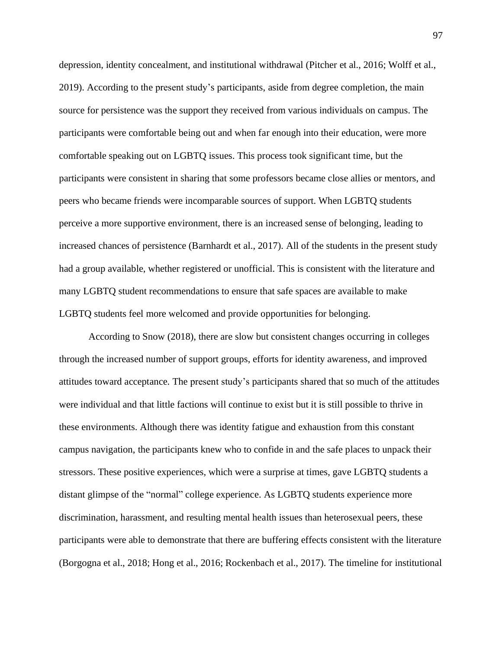depression, identity concealment, and institutional withdrawal (Pitcher et al., 2016; Wolff et al., 2019). According to the present study's participants, aside from degree completion, the main source for persistence was the support they received from various individuals on campus. The participants were comfortable being out and when far enough into their education, were more comfortable speaking out on LGBTQ issues. This process took significant time, but the participants were consistent in sharing that some professors became close allies or mentors, and peers who became friends were incomparable sources of support. When LGBTQ students perceive a more supportive environment, there is an increased sense of belonging, leading to increased chances of persistence (Barnhardt et al., 2017). All of the students in the present study had a group available, whether registered or unofficial. This is consistent with the literature and many LGBTQ student recommendations to ensure that safe spaces are available to make LGBTQ students feel more welcomed and provide opportunities for belonging.

According to Snow (2018), there are slow but consistent changes occurring in colleges through the increased number of support groups, efforts for identity awareness, and improved attitudes toward acceptance. The present study's participants shared that so much of the attitudes were individual and that little factions will continue to exist but it is still possible to thrive in these environments. Although there was identity fatigue and exhaustion from this constant campus navigation, the participants knew who to confide in and the safe places to unpack their stressors. These positive experiences, which were a surprise at times, gave LGBTQ students a distant glimpse of the "normal" college experience. As LGBTQ students experience more discrimination, harassment, and resulting mental health issues than heterosexual peers, these participants were able to demonstrate that there are buffering effects consistent with the literature (Borgogna et al., 2018; Hong et al., 2016; Rockenbach et al., 2017). The timeline for institutional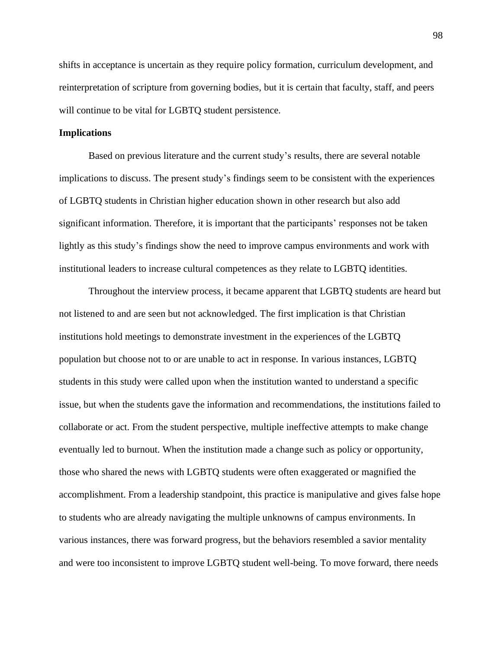shifts in acceptance is uncertain as they require policy formation, curriculum development, and reinterpretation of scripture from governing bodies, but it is certain that faculty, staff, and peers will continue to be vital for LGBTQ student persistence.

# **Implications**

Based on previous literature and the current study's results, there are several notable implications to discuss. The present study's findings seem to be consistent with the experiences of LGBTQ students in Christian higher education shown in other research but also add significant information. Therefore, it is important that the participants' responses not be taken lightly as this study's findings show the need to improve campus environments and work with institutional leaders to increase cultural competences as they relate to LGBTQ identities.

Throughout the interview process, it became apparent that LGBTQ students are heard but not listened to and are seen but not acknowledged. The first implication is that Christian institutions hold meetings to demonstrate investment in the experiences of the LGBTQ population but choose not to or are unable to act in response. In various instances, LGBTQ students in this study were called upon when the institution wanted to understand a specific issue, but when the students gave the information and recommendations, the institutions failed to collaborate or act. From the student perspective, multiple ineffective attempts to make change eventually led to burnout. When the institution made a change such as policy or opportunity, those who shared the news with LGBTQ students were often exaggerated or magnified the accomplishment. From a leadership standpoint, this practice is manipulative and gives false hope to students who are already navigating the multiple unknowns of campus environments. In various instances, there was forward progress, but the behaviors resembled a savior mentality and were too inconsistent to improve LGBTQ student well-being. To move forward, there needs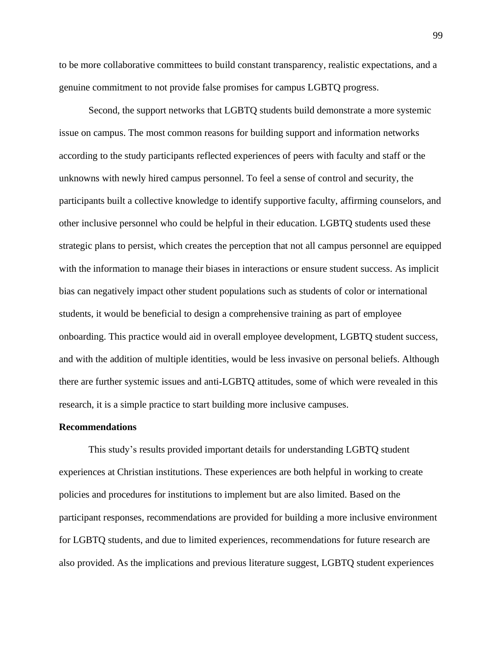to be more collaborative committees to build constant transparency, realistic expectations, and a genuine commitment to not provide false promises for campus LGBTQ progress.

Second, the support networks that LGBTQ students build demonstrate a more systemic issue on campus. The most common reasons for building support and information networks according to the study participants reflected experiences of peers with faculty and staff or the unknowns with newly hired campus personnel. To feel a sense of control and security, the participants built a collective knowledge to identify supportive faculty, affirming counselors, and other inclusive personnel who could be helpful in their education. LGBTQ students used these strategic plans to persist, which creates the perception that not all campus personnel are equipped with the information to manage their biases in interactions or ensure student success. As implicit bias can negatively impact other student populations such as students of color or international students, it would be beneficial to design a comprehensive training as part of employee onboarding. This practice would aid in overall employee development, LGBTQ student success, and with the addition of multiple identities, would be less invasive on personal beliefs. Although there are further systemic issues and anti-LGBTQ attitudes, some of which were revealed in this research, it is a simple practice to start building more inclusive campuses.

### **Recommendations**

This study's results provided important details for understanding LGBTQ student experiences at Christian institutions. These experiences are both helpful in working to create policies and procedures for institutions to implement but are also limited. Based on the participant responses, recommendations are provided for building a more inclusive environment for LGBTQ students, and due to limited experiences, recommendations for future research are also provided. As the implications and previous literature suggest, LGBTQ student experiences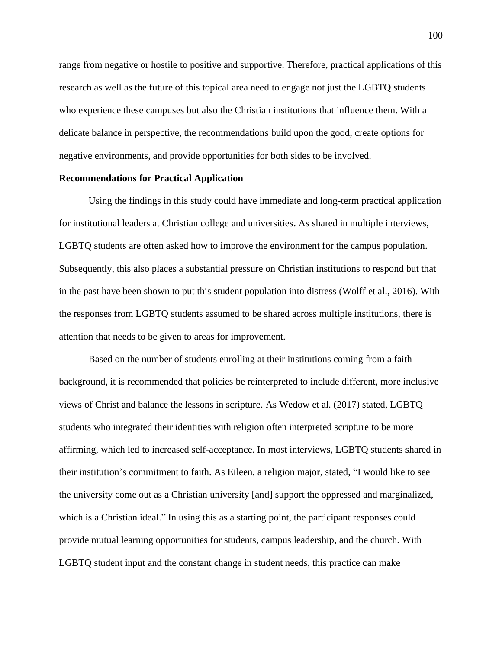range from negative or hostile to positive and supportive. Therefore, practical applications of this research as well as the future of this topical area need to engage not just the LGBTQ students who experience these campuses but also the Christian institutions that influence them. With a delicate balance in perspective, the recommendations build upon the good, create options for negative environments, and provide opportunities for both sides to be involved.

## **Recommendations for Practical Application**

Using the findings in this study could have immediate and long-term practical application for institutional leaders at Christian college and universities. As shared in multiple interviews, LGBTQ students are often asked how to improve the environment for the campus population. Subsequently, this also places a substantial pressure on Christian institutions to respond but that in the past have been shown to put this student population into distress (Wolff et al., 2016). With the responses from LGBTQ students assumed to be shared across multiple institutions, there is attention that needs to be given to areas for improvement.

Based on the number of students enrolling at their institutions coming from a faith background, it is recommended that policies be reinterpreted to include different, more inclusive views of Christ and balance the lessons in scripture. As Wedow et al. (2017) stated, LGBTQ students who integrated their identities with religion often interpreted scripture to be more affirming, which led to increased self-acceptance. In most interviews, LGBTQ students shared in their institution's commitment to faith. As Eileen, a religion major, stated, "I would like to see the university come out as a Christian university [and] support the oppressed and marginalized, which is a Christian ideal." In using this as a starting point, the participant responses could provide mutual learning opportunities for students, campus leadership, and the church. With LGBTQ student input and the constant change in student needs, this practice can make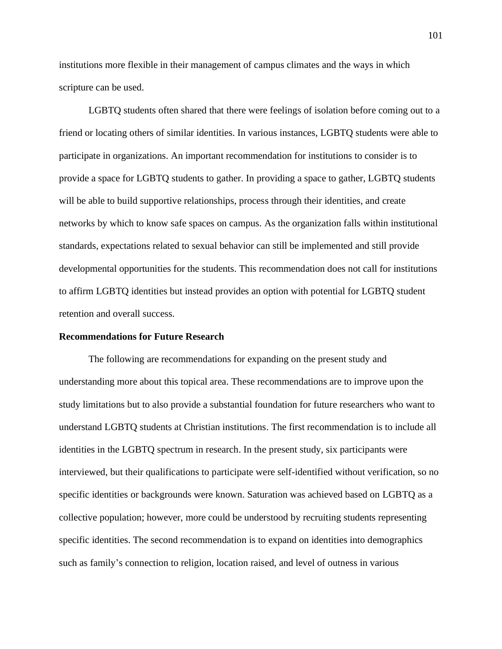institutions more flexible in their management of campus climates and the ways in which scripture can be used.

LGBTQ students often shared that there were feelings of isolation before coming out to a friend or locating others of similar identities. In various instances, LGBTQ students were able to participate in organizations. An important recommendation for institutions to consider is to provide a space for LGBTQ students to gather. In providing a space to gather, LGBTQ students will be able to build supportive relationships, process through their identities, and create networks by which to know safe spaces on campus. As the organization falls within institutional standards, expectations related to sexual behavior can still be implemented and still provide developmental opportunities for the students. This recommendation does not call for institutions to affirm LGBTQ identities but instead provides an option with potential for LGBTQ student retention and overall success.

### **Recommendations for Future Research**

The following are recommendations for expanding on the present study and understanding more about this topical area. These recommendations are to improve upon the study limitations but to also provide a substantial foundation for future researchers who want to understand LGBTQ students at Christian institutions. The first recommendation is to include all identities in the LGBTQ spectrum in research. In the present study, six participants were interviewed, but their qualifications to participate were self-identified without verification, so no specific identities or backgrounds were known. Saturation was achieved based on LGBTQ as a collective population; however, more could be understood by recruiting students representing specific identities. The second recommendation is to expand on identities into demographics such as family's connection to religion, location raised, and level of outness in various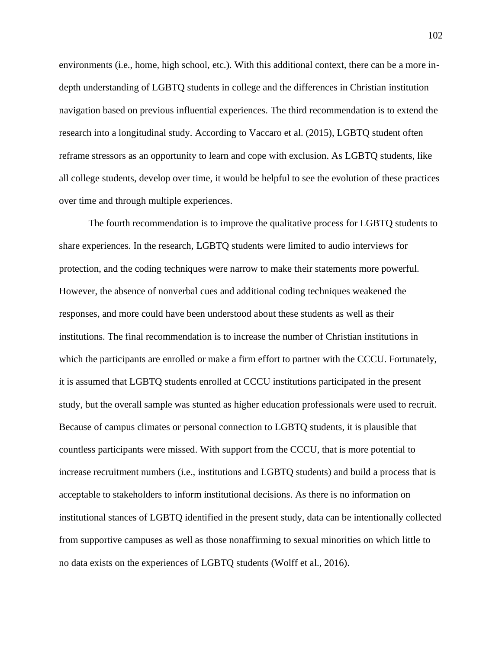environments (i.e., home, high school, etc.). With this additional context, there can be a more indepth understanding of LGBTQ students in college and the differences in Christian institution navigation based on previous influential experiences. The third recommendation is to extend the research into a longitudinal study. According to Vaccaro et al. (2015), LGBTQ student often reframe stressors as an opportunity to learn and cope with exclusion. As LGBTQ students, like all college students, develop over time, it would be helpful to see the evolution of these practices over time and through multiple experiences.

The fourth recommendation is to improve the qualitative process for LGBTQ students to share experiences. In the research, LGBTQ students were limited to audio interviews for protection, and the coding techniques were narrow to make their statements more powerful. However, the absence of nonverbal cues and additional coding techniques weakened the responses, and more could have been understood about these students as well as their institutions. The final recommendation is to increase the number of Christian institutions in which the participants are enrolled or make a firm effort to partner with the CCCU. Fortunately, it is assumed that LGBTQ students enrolled at CCCU institutions participated in the present study, but the overall sample was stunted as higher education professionals were used to recruit. Because of campus climates or personal connection to LGBTQ students, it is plausible that countless participants were missed. With support from the CCCU, that is more potential to increase recruitment numbers (i.e., institutions and LGBTQ students) and build a process that is acceptable to stakeholders to inform institutional decisions. As there is no information on institutional stances of LGBTQ identified in the present study, data can be intentionally collected from supportive campuses as well as those nonaffirming to sexual minorities on which little to no data exists on the experiences of LGBTQ students (Wolff et al., 2016).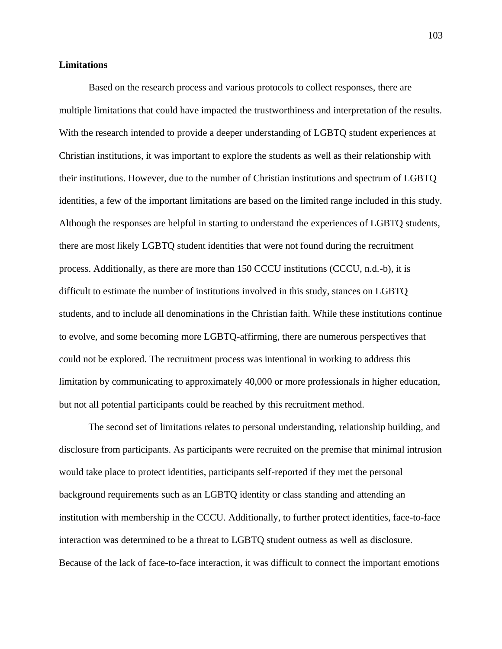## **Limitations**

Based on the research process and various protocols to collect responses, there are multiple limitations that could have impacted the trustworthiness and interpretation of the results. With the research intended to provide a deeper understanding of LGBTQ student experiences at Christian institutions, it was important to explore the students as well as their relationship with their institutions. However, due to the number of Christian institutions and spectrum of LGBTQ identities, a few of the important limitations are based on the limited range included in this study. Although the responses are helpful in starting to understand the experiences of LGBTQ students, there are most likely LGBTQ student identities that were not found during the recruitment process. Additionally, as there are more than 150 CCCU institutions (CCCU, n.d.-b), it is difficult to estimate the number of institutions involved in this study, stances on LGBTQ students, and to include all denominations in the Christian faith. While these institutions continue to evolve, and some becoming more LGBTQ-affirming, there are numerous perspectives that could not be explored. The recruitment process was intentional in working to address this limitation by communicating to approximately 40,000 or more professionals in higher education, but not all potential participants could be reached by this recruitment method.

The second set of limitations relates to personal understanding, relationship building, and disclosure from participants. As participants were recruited on the premise that minimal intrusion would take place to protect identities, participants self-reported if they met the personal background requirements such as an LGBTQ identity or class standing and attending an institution with membership in the CCCU. Additionally, to further protect identities, face-to-face interaction was determined to be a threat to LGBTQ student outness as well as disclosure. Because of the lack of face-to-face interaction, it was difficult to connect the important emotions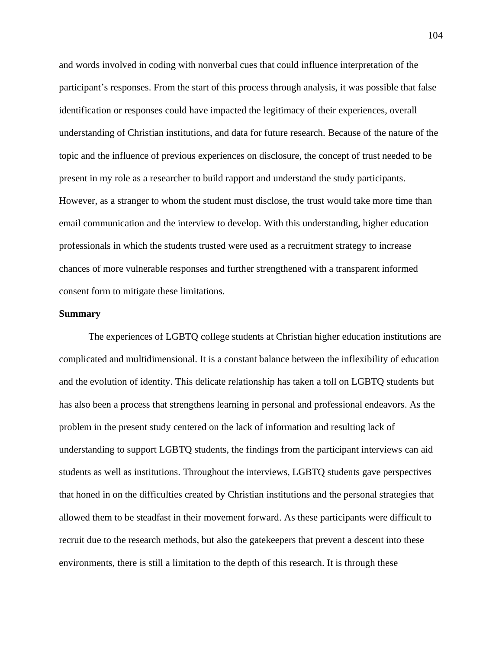and words involved in coding with nonverbal cues that could influence interpretation of the participant's responses. From the start of this process through analysis, it was possible that false identification or responses could have impacted the legitimacy of their experiences, overall understanding of Christian institutions, and data for future research. Because of the nature of the topic and the influence of previous experiences on disclosure, the concept of trust needed to be present in my role as a researcher to build rapport and understand the study participants. However, as a stranger to whom the student must disclose, the trust would take more time than email communication and the interview to develop. With this understanding, higher education professionals in which the students trusted were used as a recruitment strategy to increase chances of more vulnerable responses and further strengthened with a transparent informed consent form to mitigate these limitations.

## **Summary**

The experiences of LGBTQ college students at Christian higher education institutions are complicated and multidimensional. It is a constant balance between the inflexibility of education and the evolution of identity. This delicate relationship has taken a toll on LGBTQ students but has also been a process that strengthens learning in personal and professional endeavors. As the problem in the present study centered on the lack of information and resulting lack of understanding to support LGBTQ students, the findings from the participant interviews can aid students as well as institutions. Throughout the interviews, LGBTQ students gave perspectives that honed in on the difficulties created by Christian institutions and the personal strategies that allowed them to be steadfast in their movement forward. As these participants were difficult to recruit due to the research methods, but also the gatekeepers that prevent a descent into these environments, there is still a limitation to the depth of this research. It is through these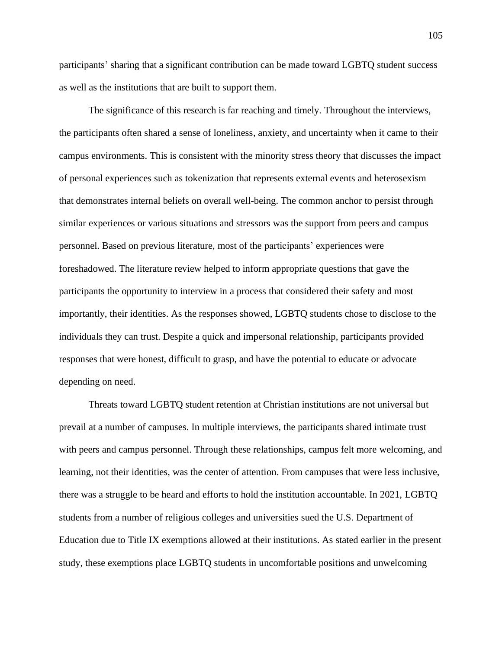participants' sharing that a significant contribution can be made toward LGBTQ student success as well as the institutions that are built to support them.

The significance of this research is far reaching and timely. Throughout the interviews, the participants often shared a sense of loneliness, anxiety, and uncertainty when it came to their campus environments. This is consistent with the minority stress theory that discusses the impact of personal experiences such as tokenization that represents external events and heterosexism that demonstrates internal beliefs on overall well-being. The common anchor to persist through similar experiences or various situations and stressors was the support from peers and campus personnel. Based on previous literature, most of the participants' experiences were foreshadowed. The literature review helped to inform appropriate questions that gave the participants the opportunity to interview in a process that considered their safety and most importantly, their identities. As the responses showed, LGBTQ students chose to disclose to the individuals they can trust. Despite a quick and impersonal relationship, participants provided responses that were honest, difficult to grasp, and have the potential to educate or advocate depending on need.

Threats toward LGBTQ student retention at Christian institutions are not universal but prevail at a number of campuses. In multiple interviews, the participants shared intimate trust with peers and campus personnel. Through these relationships, campus felt more welcoming, and learning, not their identities, was the center of attention. From campuses that were less inclusive, there was a struggle to be heard and efforts to hold the institution accountable. In 2021, LGBTQ students from a number of religious colleges and universities sued the U.S. Department of Education due to Title IX exemptions allowed at their institutions. As stated earlier in the present study, these exemptions place LGBTQ students in uncomfortable positions and unwelcoming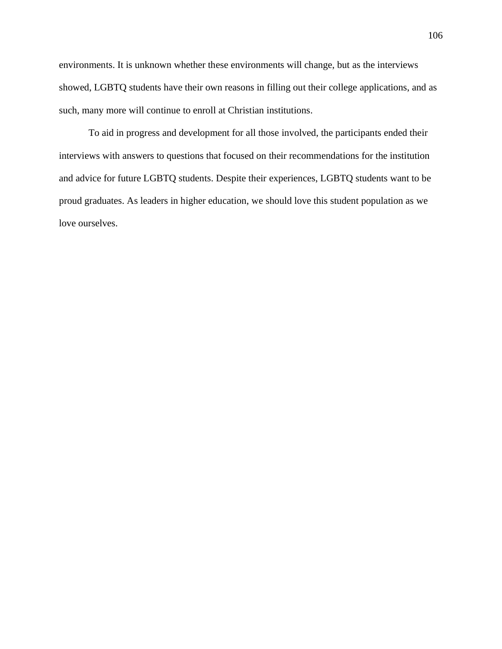environments. It is unknown whether these environments will change, but as the interviews showed, LGBTQ students have their own reasons in filling out their college applications, and as such, many more will continue to enroll at Christian institutions.

To aid in progress and development for all those involved, the participants ended their interviews with answers to questions that focused on their recommendations for the institution and advice for future LGBTQ students. Despite their experiences, LGBTQ students want to be proud graduates. As leaders in higher education, we should love this student population as we love ourselves.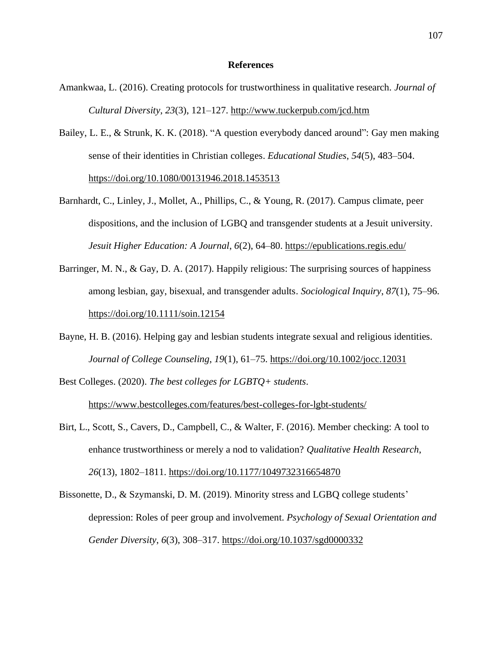### **References**

- Amankwaa, L. (2016). Creating protocols for trustworthiness in qualitative research. *Journal of Cultural Diversity*, *23*(3), 121–127. <http://www.tuckerpub.com/jcd.htm>
- Bailey, L. E., & Strunk, K. K. (2018). "A question everybody danced around": Gay men making sense of their identities in Christian colleges. *Educational Studies*, *54*(5), 483–504. <https://doi.org/10.1080/00131946.2018.1453513>
- Barnhardt, C., Linley, J., Mollet, A., Phillips, C., & Young, R. (2017). Campus climate, peer dispositions, and the inclusion of LGBQ and transgender students at a Jesuit university. *Jesuit Higher Education: A Journal*, *6*(2), 64–80.<https://epublications.regis.edu/>
- Barringer, M. N., & Gay, D. A. (2017). Happily religious: The surprising sources of happiness among lesbian, gay, bisexual, and transgender adults. *Sociological Inquiry*, *87*(1), 75–96. <https://doi.org/10.1111/soin.12154>
- Bayne, H. B. (2016). Helping gay and lesbian students integrate sexual and religious identities. *Journal of College Counseling*, *19*(1), 61–75. <https://doi.org/10.1002/jocc.12031>
- Best Colleges. (2020). *The best colleges for LGBTQ+ students*. <https://www.bestcolleges.com/features/best-colleges-for-lgbt-students/>
- Birt, L., Scott, S., Cavers, D., Campbell, C., & Walter, F. (2016). Member checking: A tool to enhance trustworthiness or merely a nod to validation? *Qualitative Health Research*, *26*(13), 1802–1811.<https://doi.org/10.1177/1049732316654870>
- Bissonette, D., & Szymanski, D. M. (2019). Minority stress and LGBQ college students' depression: Roles of peer group and involvement. *Psychology of Sexual Orientation and Gender Diversity*, *6*(3), 308–317.<https://doi.org/10.1037/sgd0000332>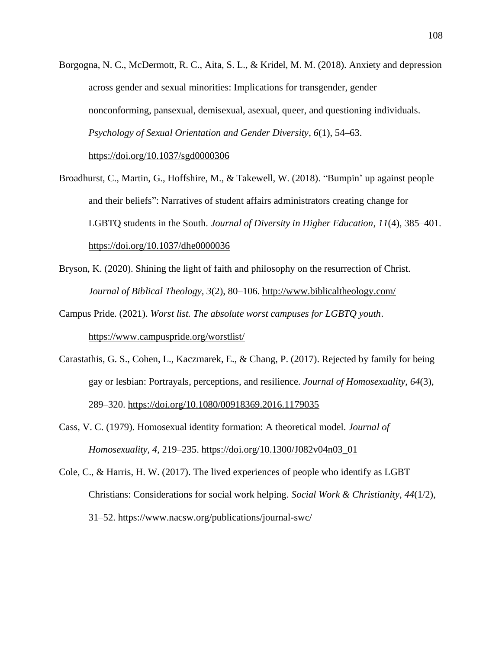Borgogna, N. C., McDermott, R. C., Aita, S. L., & Kridel, M. M. (2018). Anxiety and depression across gender and sexual minorities: Implications for transgender, gender nonconforming, pansexual, demisexual, asexual, queer, and questioning individuals. *Psychology of Sexual Orientation and Gender Diversity*, *6*(1), 54–63. <https://doi.org/10.1037/sgd0000306>

Broadhurst, C., Martin, G., Hoffshire, M., & Takewell, W. (2018). "Bumpin' up against people and their beliefs": Narratives of student affairs administrators creating change for LGBTQ students in the South. *Journal of Diversity in Higher Education*, *11*(4), 385–401. <https://doi.org/10.1037/dhe0000036>

Bryson, K. (2020). Shining the light of faith and philosophy on the resurrection of Christ. *Journal of Biblical Theology, 3*(2), 80–106. <http://www.biblicaltheology.com/>

Campus Pride. (2021). *Worst list. The absolute worst campuses for LGBTQ youth*. <https://www.campuspride.org/worstlist/>

Carastathis, G. S., Cohen, L., Kaczmarek, E., & Chang, P. (2017). Rejected by family for being gay or lesbian: Portrayals, perceptions, and resilience. *Journal of Homosexuality*, *64*(3), 289–320.<https://doi.org/10.1080/00918369.2016.1179035>

Cass, V. C. (1979). Homosexual identity formation: A theoretical model. *Journal of Homosexuality*, *4*, 219–235. [https://doi.org/10.1300/J082v04n03\\_01](https://doi.org/10.1300/J082v04n03_01)

Cole, C., & Harris, H. W. (2017). The lived experiences of people who identify as LGBT Christians: Considerations for social work helping. *Social Work & Christianity*, *44*(1/2), 31–52. <https://www.nacsw.org/publications/journal-swc/>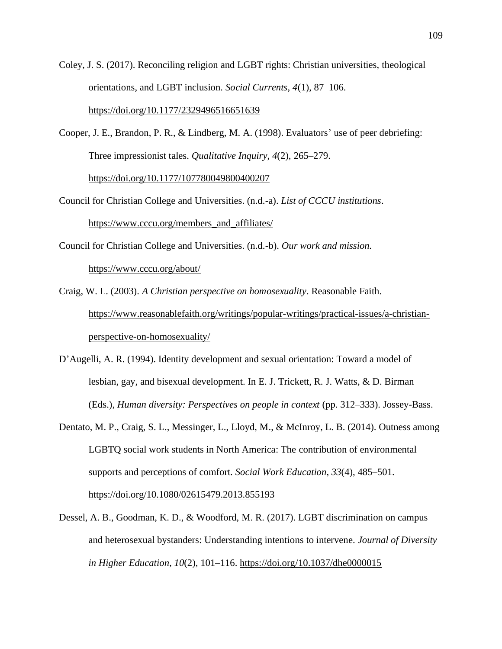Coley, J. S. (2017). Reconciling religion and LGBT rights: Christian universities, theological orientations, and LGBT inclusion. *Social Currents*, *4*(1), 87–106. <https://doi.org/10.1177/2329496516651639>

Cooper, J. E., Brandon, P. R., & Lindberg, M. A. (1998). Evaluators' use of peer debriefing: Three impressionist tales. *Qualitative Inquiry*, *4*(2), 265–279.

<https://doi.org/10.1177/107780049800400207>

- Council for Christian College and Universities. (n.d.-a). *List of CCCU institutions*. [https://www.cccu.org/members\\_and\\_affiliates/](https://www.cccu.org/members_and_affiliates/)
- Council for Christian College and Universities. (n.d.-b). *Our work and mission.*  <https://www.cccu.org/about/>
- Craig, W. L. (2003). *A Christian perspective on homosexuality*. Reasonable Faith. [https://www.reasonablefaith.org/writings/popular-writings/practical-issues/a-christian](https://www.reasonablefaith.org/writings/popular-writings/practical-issues/a-christian-perspective-on-homosexuality/)[perspective-on-homosexuality/](https://www.reasonablefaith.org/writings/popular-writings/practical-issues/a-christian-perspective-on-homosexuality/)
- D'Augelli, A. R. (1994). Identity development and sexual orientation: Toward a model of lesbian, gay, and bisexual development. In E. J. Trickett, R. J. Watts, & D. Birman (Eds.), *Human diversity: Perspectives on people in context* (pp. 312–333). Jossey-Bass.
- Dentato, M. P., Craig, S. L., Messinger, L., Lloyd, M., & McInroy, L. B. (2014). Outness among LGBTQ social work students in North America: The contribution of environmental supports and perceptions of comfort. *Social Work Education*, *33*(4), 485–501. <https://doi.org/10.1080/02615479.2013.855193>
- Dessel, A. B., Goodman, K. D., & Woodford, M. R. (2017). LGBT discrimination on campus and heterosexual bystanders: Understanding intentions to intervene. *Journal of Diversity in Higher Education*, *10*(2), 101–116.<https://doi.org/10.1037/dhe0000015>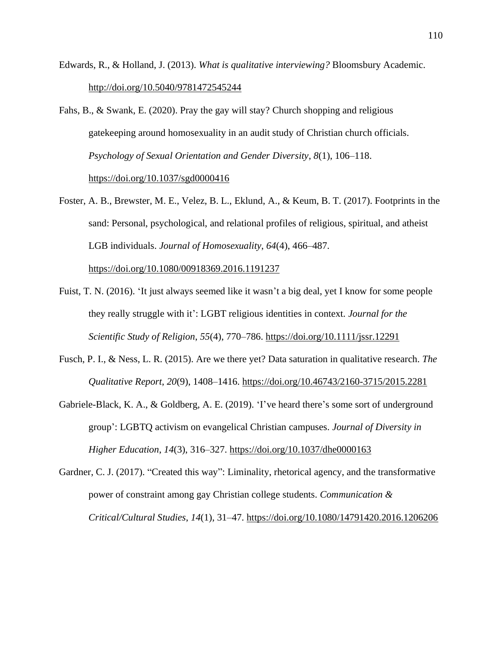- Edwards, R., & Holland, J. (2013). *What is qualitative interviewing?* Bloomsbury Academic. <http://doi.org/10.5040/9781472545244>
- Fahs, B., & Swank, E. (2020). Pray the gay will stay? Church shopping and religious gatekeeping around homosexuality in an audit study of Christian church officials. *Psychology of Sexual Orientation and Gender Diversity*, *8*(1), 106–118. <https://doi.org/10.1037/sgd0000416>
- Foster, A. B., Brewster, M. E., Velez, B. L., Eklund, A., & Keum, B. T. (2017). Footprints in the sand: Personal, psychological, and relational profiles of religious, spiritual, and atheist LGB individuals. *Journal of Homosexuality*, *64*(4), 466–487.

<https://doi.org/10.1080/00918369.2016.1191237>

- Fuist, T. N. (2016). 'It just always seemed like it wasn't a big deal, yet I know for some people they really struggle with it': LGBT religious identities in context. *Journal for the Scientific Study of Religion*, *55*(4), 770–786.<https://doi.org/10.1111/jssr.12291>
- Fusch, P. I., & Ness, L. R. (2015). Are we there yet? Data saturation in qualitative research. *The Qualitative Report*, *20*(9), 1408–1416.<https://doi.org/10.46743/2160-3715/2015.2281>
- Gabriele-Black, K. A., & Goldberg, A. E. (2019). 'I've heard there's some sort of underground group': LGBTQ activism on evangelical Christian campuses. *Journal of Diversity in Higher Education*, *14*(3), 316–327. <https://doi.org/10.1037/dhe0000163>

Gardner, C. J. (2017). "Created this way": Liminality, rhetorical agency, and the transformative power of constraint among gay Christian college students. *Communication & Critical/Cultural Studies*, *14*(1), 31–47.<https://doi.org/10.1080/14791420.2016.1206206>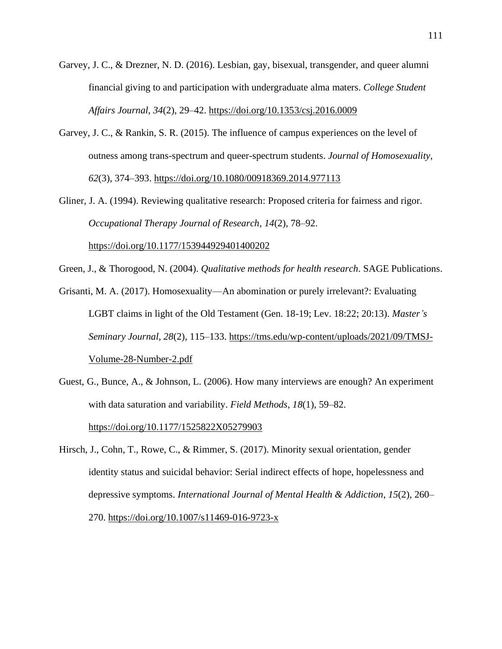- Garvey, J. C., & Drezner, N. D. (2016). Lesbian, gay, bisexual, transgender, and queer alumni financial giving to and participation with undergraduate alma maters. *College Student Affairs Journal*, *34*(2), 29–42.<https://doi.org/10.1353/csj.2016.0009>
- Garvey, J. C., & Rankin, S. R. (2015). The influence of campus experiences on the level of outness among trans-spectrum and queer-spectrum students. *Journal of Homosexuality*, *62*(3), 374–393.<https://doi.org/10.1080/00918369.2014.977113>

Gliner, J. A. (1994). Reviewing qualitative research: Proposed criteria for fairness and rigor. *Occupational Therapy Journal of Research*, *14*(2), 78–92. <https://doi.org/10.1177/153944929401400202>

Green, J., & Thorogood, N. (2004). *Qualitative methods for health research*. SAGE Publications.

Grisanti, M. A. (2017). Homosexuality––An abomination or purely irrelevant?: Evaluating LGBT claims in light of the Old Testament (Gen. 18-19; Lev. 18:22; 20:13). *Master's Seminary Journal*, *28*(2), 115–133. [https://tms.edu/wp-content/uploads/2021/09/TMSJ-](https://tms.edu/wp-content/uploads/2021/09/TMSJ-Volume-28-Number-2.pdf)[Volume-28-Number-2.pdf](https://tms.edu/wp-content/uploads/2021/09/TMSJ-Volume-28-Number-2.pdf)

Guest, G., Bunce, A., & Johnson, L. (2006). How many interviews are enough? An experiment with data saturation and variability. *Field Methods*, *18*(1), 59–82. <https://doi.org/10.1177/1525822X05279903>

Hirsch, J., Cohn, T., Rowe, C., & Rimmer, S. (2017). Minority sexual orientation, gender identity status and suicidal behavior: Serial indirect effects of hope, hopelessness and depressive symptoms. *International Journal of Mental Health & Addiction*, *15*(2), 260– 270.<https://doi.org/10.1007/s11469-016-9723-x>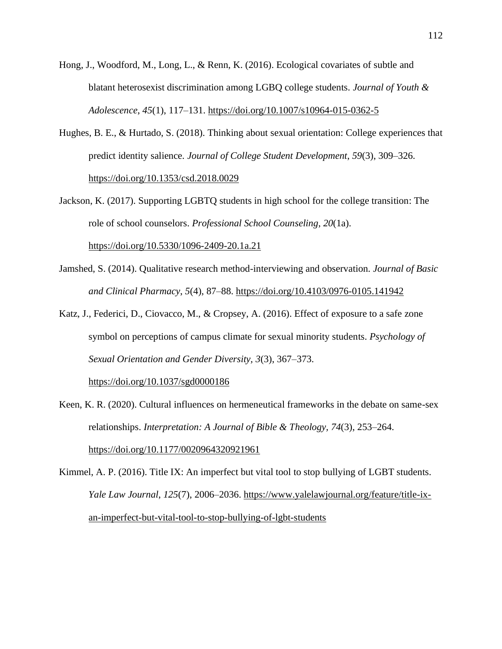- Hong, J., Woodford, M., Long, L., & Renn, K. (2016). Ecological covariates of subtle and blatant heterosexist discrimination among LGBQ college students. *Journal of Youth & Adolescence*, *45*(1), 117–131.<https://doi.org/10.1007/s10964-015-0362-5>
- Hughes, B. E., & Hurtado, S. (2018). Thinking about sexual orientation: College experiences that predict identity salience. *Journal of College Student Development*, *59*(3), 309–326. <https://doi.org/10.1353/csd.2018.0029>
- Jackson, K. (2017). Supporting LGBTQ students in high school for the college transition: The role of school counselors. *Professional School Counseling*, *20*(1a).

<https://doi.org/10.5330/1096-2409-20.1a.21>

- Jamshed, S. (2014). Qualitative research method-interviewing and observation. *Journal of Basic and Clinical Pharmacy*, *5*(4), 87–88.<https://doi.org/10.4103/0976-0105.141942>
- Katz, J., Federici, D., Ciovacco, M., & Cropsey, A. (2016). Effect of exposure to a safe zone symbol on perceptions of campus climate for sexual minority students. *Psychology of Sexual Orientation and Gender Diversity, 3*(3), 367–373.

<https://doi.org/10.1037/sgd0000186>

- Keen, K. R. (2020). Cultural influences on hermeneutical frameworks in the debate on same-sex relationships. *Interpretation: A Journal of Bible & Theology, 74*(3), 253–264. <https://doi.org/10.1177/0020964320921961>
- Kimmel, A. P. (2016). Title IX: An imperfect but vital tool to stop bullying of LGBT students. *Yale Law Journal*, *125*(7), 2006–2036. [https://www.yalelawjournal.org/feature/title-ix](https://www.yalelawjournal.org/feature/title-ix-an-imperfect-but-vital-tool-to-stop-bullying-of-lgbt-students)[an-imperfect-but-vital-tool-to-stop-bullying-of-lgbt-students](https://www.yalelawjournal.org/feature/title-ix-an-imperfect-but-vital-tool-to-stop-bullying-of-lgbt-students)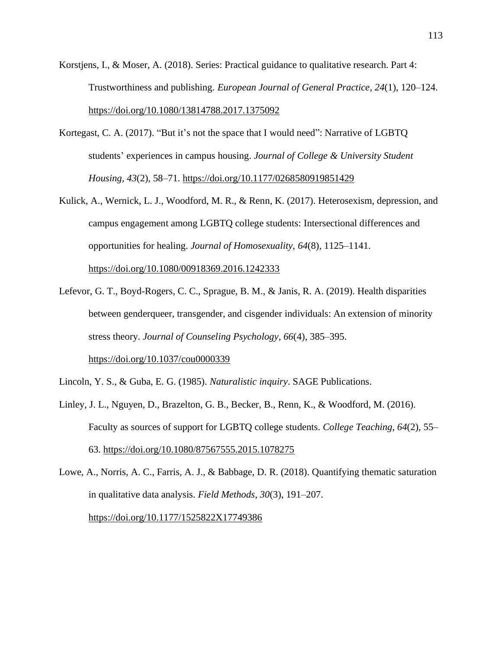- Korstjens, I., & Moser, A. (2018). Series: Practical guidance to qualitative research. Part 4: Trustworthiness and publishing. *European Journal of General Practice*, *24*(1), 120–124. <https://doi.org/10.1080/13814788.2017.1375092>
- Kortegast, C. A. (2017). "But it's not the space that I would need": Narrative of LGBTQ students' experiences in campus housing. *Journal of College & University Student Housing, 43*(2), 58–71.<https://doi.org/10.1177/0268580919851429>
- Kulick, A., Wernick, L. J., Woodford, M. R., & Renn, K. (2017). Heterosexism, depression, and campus engagement among LGBTQ college students: Intersectional differences and opportunities for healing. *Journal of Homosexuality*, *64*(8), 1125–1141. <https://doi.org/10.1080/00918369.2016.1242333>
- Lefevor, G. T., Boyd-Rogers, C. C., Sprague, B. M., & Janis, R. A. (2019). Health disparities between genderqueer, transgender, and cisgender individuals: An extension of minority stress theory. *Journal of Counseling Psychology*, *66*(4), 385–395. <https://doi.org/10.1037/cou0000339>
- Lincoln, Y. S., & Guba, E. G. (1985). *Naturalistic inquiry*. SAGE Publications.
- Linley, J. L., Nguyen, D., Brazelton, G. B., Becker, B., Renn, K., & Woodford, M. (2016). Faculty as sources of support for LGBTQ college students. *College Teaching*, *64*(2), 55– 63. <https://doi.org/10.1080/87567555.2015.1078275>
- Lowe, A., Norris, A. C., Farris, A. J., & Babbage, D. R. (2018). Quantifying thematic saturation in qualitative data analysis. *Field Methods*, *30*(3), 191–207.

<https://doi.org/10.1177/1525822X17749386>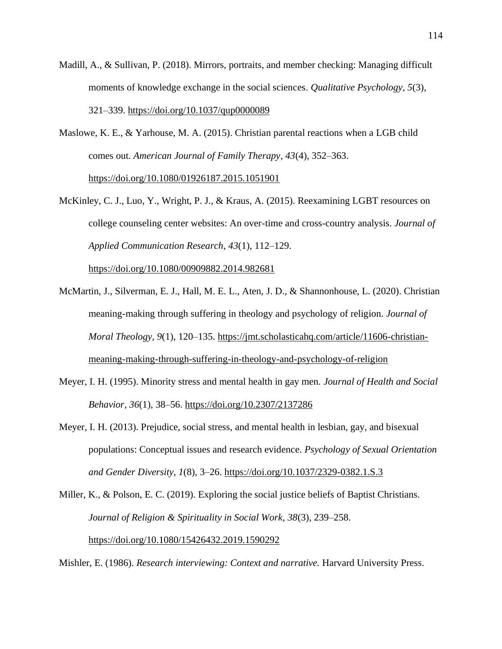- Madill, A., & Sullivan, P. (2018). Mirrors, portraits, and member checking: Managing difficult moments of knowledge exchange in the social sciences. *Qualitative Psychology*, *5*(3), 321–339.<https://doi.org/10.1037/qup0000089>
- Maslowe, K. E., & Yarhouse, M. A. (2015). Christian parental reactions when a LGB child comes out. *American Journal of Family Therapy*, *43*(4), 352–363.

<https://doi.org/10.1080/01926187.2015.1051901>

McKinley, C. J., Luo, Y., Wright, P. J., & Kraus, A. (2015). Reexamining LGBT resources on college counseling center websites: An over-time and cross-country analysis. *Journal of Applied Communication Research*, *43*(1), 112–129.

<https://doi.org/10.1080/00909882.2014.982681>

- McMartin, J., Silverman, E. J., Hall, M. E. L., Aten, J. D., & Shannonhouse, L. (2020). Christian meaning-making through suffering in theology and psychology of religion. *Journal of Moral Theology, 9*(1), 120–135. [https://jmt.scholasticahq.com/article/11606-christian](https://jmt.scholasticahq.com/article/11606-christian-meaning-making-through-suffering-in-theology-and-psychology-of-religion)[meaning-making-through-suffering-in-theology-and-psychology-of-religion](https://jmt.scholasticahq.com/article/11606-christian-meaning-making-through-suffering-in-theology-and-psychology-of-religion)
- Meyer, I. H. (1995). Minority stress and mental health in gay men. *Journal of Health and Social Behavior*, *36*(1), 38–56.<https://doi.org/10.2307/2137286>
- Meyer, I. H. (2013). Prejudice, social stress, and mental health in lesbian, gay, and bisexual populations: Conceptual issues and research evidence. *Psychology of Sexual Orientation and Gender Diversity*, *1*(8), 3–26.<https://doi.org/10.1037/2329-0382.1.S.3>
- Miller, K., & Polson, E. C. (2019). Exploring the social justice beliefs of Baptist Christians. *Journal of Religion & Spirituality in Social Work*, *38*(3), 239–258. <https://doi.org/10.1080/15426432.2019.1590292>

Mishler, E. (1986). *Research interviewing: Context and narrative.* Harvard University Press.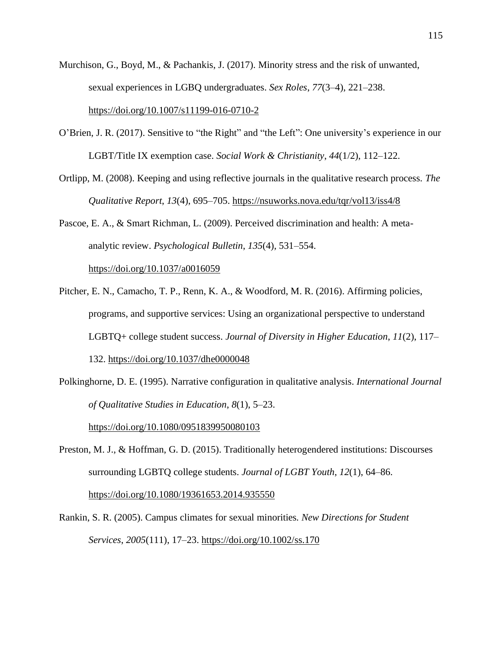- Murchison, G., Boyd, M., & Pachankis, J. (2017). Minority stress and the risk of unwanted, sexual experiences in LGBQ undergraduates. *Sex Roles*, *77*(3–4), 221–238. <https://doi.org/10.1007/s11199-016-0710-2>
- O'Brien, J. R. (2017). Sensitive to "the Right" and "the Left": One university's experience in our LGBT/Title IX exemption case. *Social Work & Christianity*, *44*(1/2), 112–122.
- Ortlipp, M. (2008). Keeping and using reflective journals in the qualitative research process. *The Qualitative Report*, *13*(4), 695–705. <https://nsuworks.nova.edu/tqr/vol13/iss4/8>

Pascoe, E. A., & Smart Richman, L. (2009). Perceived discrimination and health: A metaanalytic review. *Psychological Bulletin*, *135*(4), 531–554. <https://doi.org/10.1037/a0016059>

- Pitcher, E. N., Camacho, T. P., Renn, K. A., & Woodford, M. R. (2016). Affirming policies, programs, and supportive services: Using an organizational perspective to understand LGBTQ+ college student success. *Journal of Diversity in Higher Education*, *11*(2), 117– 132.<https://doi.org/10.1037/dhe0000048>
- Polkinghorne, D. E. (1995). Narrative configuration in qualitative analysis. *International Journal of Qualitative Studies in Education*, *8*(1), 5–23.

<https://doi.org/10.1080/0951839950080103>

Preston, M. J., & Hoffman, G. D. (2015). Traditionally heterogendered institutions: Discourses surrounding LGBTQ college students. *Journal of LGBT Youth*, *12*(1), 64–86. <https://doi.org/10.1080/19361653.2014.935550>

Rankin, S. R. (2005). Campus climates for sexual minorities*. New Directions for Student Services*, *2005*(111), 17–23.<https://doi.org/10.1002/ss.170>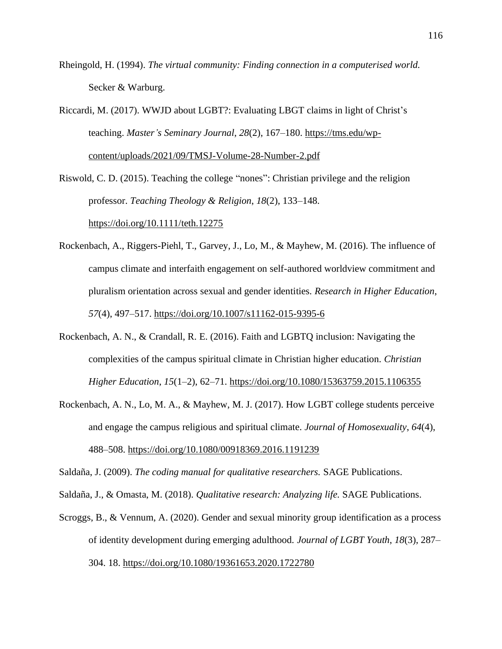Rheingold, H. (1994). *The virtual community: Finding connection in a computerised world.*  Secker & Warburg.

Riccardi, M. (2017). WWJD about LGBT?: Evaluating LBGT claims in light of Christ's teaching. *Master's Seminary Journal*, *28*(2), 167–180. [https://tms.edu/wp](https://tms.edu/wp-content/uploads/2021/09/TMSJ-Volume-28-Number-2.pdf)[content/uploads/2021/09/TMSJ-Volume-28-Number-2.pdf](https://tms.edu/wp-content/uploads/2021/09/TMSJ-Volume-28-Number-2.pdf)

Riswold, C. D. (2015). Teaching the college "nones": Christian privilege and the religion professor. *Teaching Theology & Religion*, *18*(2), 133–148.

<https://doi.org/10.1111/teth.12275>

- Rockenbach, A., Riggers-Piehl, T., Garvey, J., Lo, M., & Mayhew, M. (2016). The influence of campus climate and interfaith engagement on self-authored worldview commitment and pluralism orientation across sexual and gender identities. *Research in Higher Education*, *57*(4), 497–517.<https://doi.org/10.1007/s11162-015-9395-6>
- Rockenbach, A. N., & Crandall, R. E. (2016). Faith and LGBTQ inclusion: Navigating the complexities of the campus spiritual climate in Christian higher education. *Christian Higher Education*, *15*(1–2), 62–71. <https://doi.org/10.1080/15363759.2015.1106355>
- Rockenbach, A. N., Lo, M. A., & Mayhew, M. J. (2017). How LGBT college students perceive and engage the campus religious and spiritual climate. *Journal of Homosexuality*, *64*(4), 488–508.<https://doi.org/10.1080/00918369.2016.1191239>

Saldaña, J. (2009). *The coding manual for qualitative researchers.* SAGE Publications.

Saldaña, J., & Omasta, M. (2018). *Qualitative research: Analyzing life.* SAGE Publications.

Scroggs, B., & Vennum, A. (2020). Gender and sexual minority group identification as a process of identity development during emerging adulthood. *Journal of LGBT Youth*, *18*(3), 287– 304. 18. <https://doi.org/10.1080/19361653.2020.1722780>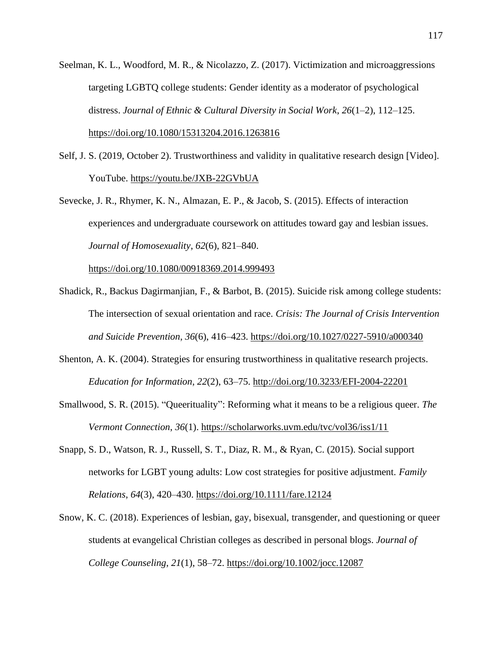- Seelman, K. L., Woodford, M. R., & Nicolazzo, Z. (2017). Victimization and microaggressions targeting LGBTQ college students: Gender identity as a moderator of psychological distress. *Journal of Ethnic & Cultural Diversity in Social Work*, *26*(1–2), 112–125. <https://doi.org/10.1080/15313204.2016.1263816>
- Self, J. S. (2019, October 2). Trustworthiness and validity in qualitative research design [Video]. YouTube.<https://youtu.be/JXB-22GVbUA>
- Sevecke, J. R., Rhymer, K. N., Almazan, E. P., & Jacob, S. (2015). Effects of interaction experiences and undergraduate coursework on attitudes toward gay and lesbian issues. *Journal of Homosexuality*, *62*(6), 821–840.

<https://doi.org/10.1080/00918369.2014.999493>

- Shadick, R., Backus Dagirmanjian, F., & Barbot, B. (2015). Suicide risk among college students: The intersection of sexual orientation and race. *Crisis: The Journal of Crisis Intervention and Suicide Prevention*, *36*(6), 416–423.<https://doi.org/10.1027/0227-5910/a000340>
- Shenton, A. K. (2004). Strategies for ensuring trustworthiness in qualitative research projects. *Education for Information*, *22*(2), 63–75.<http://doi.org/10.3233/EFI-2004-22201>
- Smallwood, S. R. (2015). "Queerituality": Reforming what it means to be a religious queer. *The Vermont Connection*, *36*(1). <https://scholarworks.uvm.edu/tvc/vol36/iss1/11>
- Snapp, S. D., Watson, R. J., Russell, S. T., Diaz, R. M., & Ryan, C. (2015). Social support networks for LGBT young adults: Low cost strategies for positive adjustment. *Family Relations*, *64*(3), 420–430.<https://doi.org/10.1111/fare.12124>
- Snow, K. C. (2018). Experiences of lesbian, gay, bisexual, transgender, and questioning or queer students at evangelical Christian colleges as described in personal blogs. *Journal of College Counseling*, *21*(1), 58–72. <https://doi.org/10.1002/jocc.12087>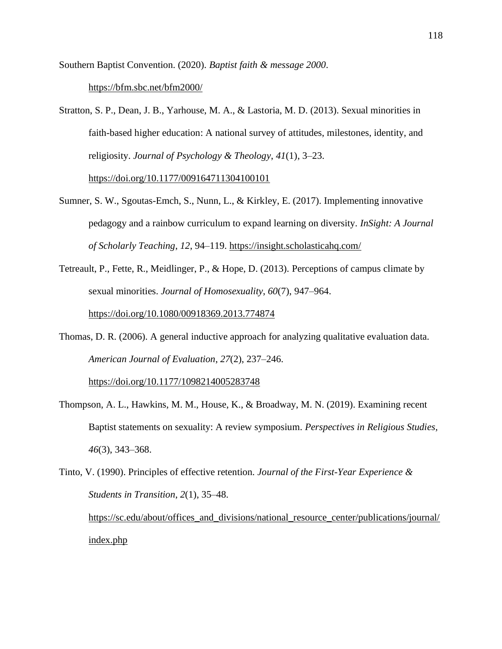Southern Baptist Convention. (2020). *Baptist faith & message 2000*. <https://bfm.sbc.net/bfm2000/>

Stratton, S. P., Dean, J. B., Yarhouse, M. A., & Lastoria, M. D. (2013). Sexual minorities in faith-based higher education: A national survey of attitudes, milestones, identity, and religiosity. *Journal of Psychology & Theology*, *41*(1), 3–23.

[https://doi.org/10.1177/009164711304100101](https://doi.org/10.1177%2F009164711304100101)

- Sumner, S. W., Sgoutas-Emch, S., Nunn, L., & Kirkley, E. (2017). Implementing innovative pedagogy and a rainbow curriculum to expand learning on diversity. *InSight: A Journal of Scholarly Teaching*, *12*, 94–119.<https://insight.scholasticahq.com/>
- Tetreault, P., Fette, R., Meidlinger, P., & Hope, D. (2013). Perceptions of campus climate by sexual minorities. *Journal of Homosexuality*, *60*(7), 947–964.

<https://doi.org/10.1080/00918369.2013.774874>

Thomas, D. R. (2006). A general inductive approach for analyzing qualitative evaluation data. *American Journal of Evaluation*, *27*(2), 237–246.

<https://doi.org/10.1177/1098214005283748>

- Thompson, A. L., Hawkins, M. M., House, K., & Broadway, M. N. (2019). Examining recent Baptist statements on sexuality: A review symposium. *Perspectives in Religious Studies, 46*(3), 343–368.
- Tinto, V. (1990). Principles of effective retention. *Journal of the First-Year Experience & Students in Transition*, *2*(1), 35–48. [https://sc.edu/about/offices\\_and\\_divisions/national\\_resource\\_center/publications/journal/](https://sc.edu/about/offices_and_divisions/national_resource_center/publications/journal/index.php) [index.php](https://sc.edu/about/offices_and_divisions/national_resource_center/publications/journal/index.php)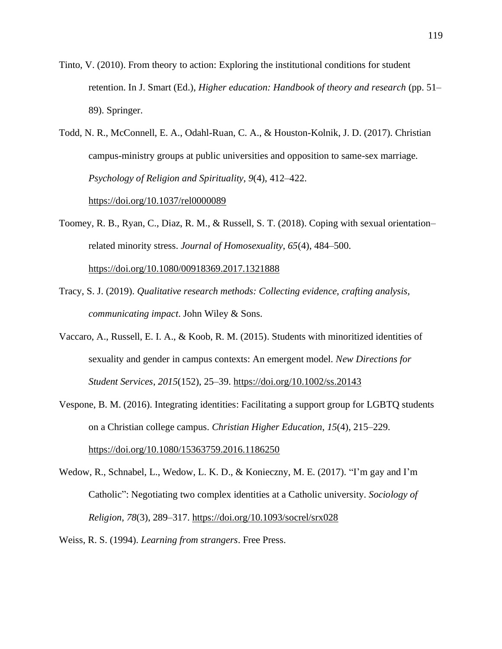- Tinto, V. (2010). From theory to action: Exploring the institutional conditions for student retention. In J. Smart (Ed.), *Higher education: Handbook of theory and research* (pp. 51– 89). Springer.
- Todd, N. R., McConnell, E. A., Odahl-Ruan, C. A., & Houston-Kolnik, J. D. (2017). Christian campus-ministry groups at public universities and opposition to same-sex marriage. *Psychology of Religion and Spirituality*, *9*(4), 412–422.

<https://doi.org/10.1037/rel0000089>

Toomey, R. B., Ryan, C., Diaz, R. M., & Russell, S. T. (2018). Coping with sexual orientation– related minority stress. *Journal of Homosexuality*, *65*(4), 484–500.

<https://doi.org/10.1080/00918369.2017.1321888>

- Tracy, S. J. (2019). *Qualitative research methods: Collecting evidence, crafting analysis, communicating impact*. John Wiley & Sons.
- Vaccaro, A., Russell, E. I. A., & Koob, R. M. (2015). Students with minoritized identities of sexuality and gender in campus contexts: An emergent model. *New Directions for Student Services*, *2015*(152), 25–39.<https://doi.org/10.1002/ss.20143>
- Vespone, B. M. (2016). Integrating identities: Facilitating a support group for LGBTQ students on a Christian college campus. *Christian Higher Education*, *15*(4), 215–229. <https://doi.org/10.1080/15363759.2016.1186250>
- Wedow, R., Schnabel, L., Wedow, L. K. D., & Konieczny, M. E. (2017). "I'm gay and I'm Catholic": Negotiating two complex identities at a Catholic university. *Sociology of Religion*, *78*(3), 289–317.<https://doi.org/10.1093/socrel/srx028>
- Weiss, R. S. (1994). *Learning from strangers*. Free Press.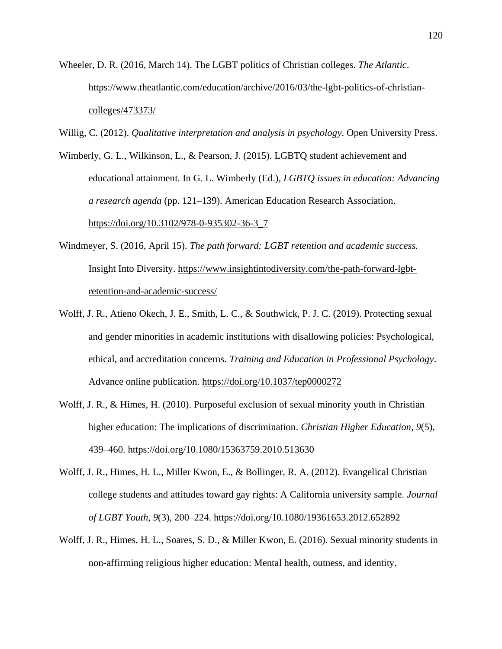- Wheeler, D. R. (2016, March 14). The LGBT politics of Christian colleges. *The Atlantic*. [https://www.theatlantic.com/education/archive/2016/03/the-lgbt-politics-of-christian](https://www.theatlantic.com/education/archive/2016/03/the-lgbt-politics-of-christian-colleges/473373/)[colleges/473373/](https://www.theatlantic.com/education/archive/2016/03/the-lgbt-politics-of-christian-colleges/473373/)
- Willig, C. (2012). *Qualitative interpretation and analysis in psychology*. Open University Press.
- Wimberly, G. L., Wilkinson, L., & Pearson, J. (2015). LGBTQ student achievement and educational attainment. In G. L. Wimberly (Ed.), *LGBTQ issues in education: Advancing a research agenda* (pp. 121–139). American Education Research Association. [https://doi.org/10.3102/978-0-935302-36-3\\_7](https://doi.org/10.3102/978-0-935302-36-3_7)
- Windmeyer, S. (2016, April 15). *The path forward: LGBT retention and academic success.* Insight Into Diversity. [https://www.insightintodiversity.com/the-path-forward-lgbt](https://www.insightintodiversity.com/the-path-forward-lgbt-retention-and-academic-success/)[retention-and-academic-success/](https://www.insightintodiversity.com/the-path-forward-lgbt-retention-and-academic-success/)
- Wolff, J. R., Atieno Okech, J. E., Smith, L. C., & Southwick, P. J. C. (2019). Protecting sexual and gender minorities in academic institutions with disallowing policies: Psychological, ethical, and accreditation concerns. *Training and Education in Professional Psychology*. Advance online publication.<https://doi.org/10.1037/tep0000272>
- Wolff, J. R., & Himes, H. (2010). Purposeful exclusion of sexual minority youth in Christian higher education: The implications of discrimination. *Christian Higher Education*, *9*(5), 439–460.<https://doi.org/10.1080/15363759.2010.513630>
- Wolff, J. R., Himes, H. L., Miller Kwon, E., & Bollinger, R. A. (2012). Evangelical Christian college students and attitudes toward gay rights: A California university sample. *Journal of LGBT Youth*, *9*(3), 200–224.<https://doi.org/10.1080/19361653.2012.652892>
- Wolff, J. R., Himes, H. L., Soares, S. D., & Miller Kwon, E. (2016). Sexual minority students in non-affirming religious higher education: Mental health, outness, and identity.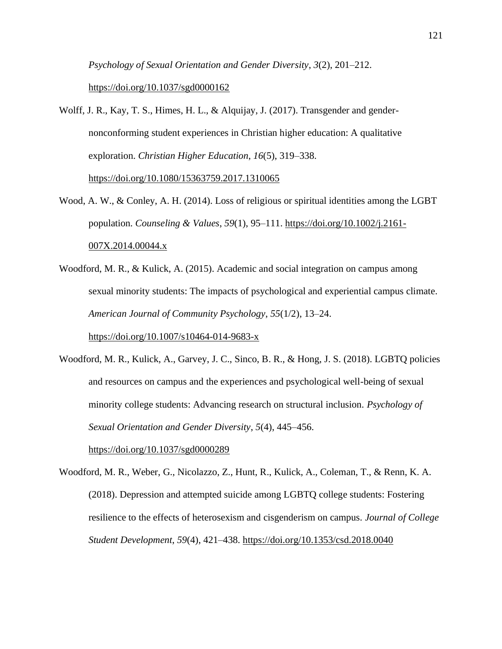*Psychology of Sexual Orientation and Gender Diversity*, *3*(2), 201–212. <https://doi.org/10.1037/sgd0000162>

Wolff, J. R., Kay, T. S., Himes, H. L., & Alquijay, J. (2017). Transgender and gendernonconforming student experiences in Christian higher education: A qualitative exploration. *Christian Higher Education*, *16*(5), 319–338.

<https://doi.org/10.1080/15363759.2017.1310065>

- Wood, A. W., & Conley, A. H. (2014). Loss of religious or spiritual identities among the LGBT population. *Counseling & Values*, *59*(1), 95–111. [https://doi.org/10.1002/j.2161-](https://doi.org/10.1002/j.2161-007X.2014.00044.x) [007X.2014.00044.x](https://doi.org/10.1002/j.2161-007X.2014.00044.x)
- Woodford, M. R., & Kulick, A. (2015). Academic and social integration on campus among sexual minority students: The impacts of psychological and experiential campus climate. *American Journal of Community Psychology*, *55*(1/2), 13–24.

<https://doi.org/10.1007/s10464-014-9683-x>

Woodford, M. R., Kulick, A., Garvey, J. C., Sinco, B. R., & Hong, J. S. (2018). LGBTQ policies and resources on campus and the experiences and psychological well-being of sexual minority college students: Advancing research on structural inclusion. *Psychology of Sexual Orientation and Gender Diversity*, *5*(4), 445–456.

<https://doi.org/10.1037/sgd0000289>

Woodford, M. R., Weber, G., Nicolazzo, Z., Hunt, R., Kulick, A., Coleman, T., & Renn, K. A. (2018). Depression and attempted suicide among LGBTQ college students: Fostering resilience to the effects of heterosexism and cisgenderism on campus. *Journal of College Student Development*, *59*(4), 421–438. [https://doi.org/10.1353/csd.2018.0040](http://doi.org/10.1353/csd.2018.0040)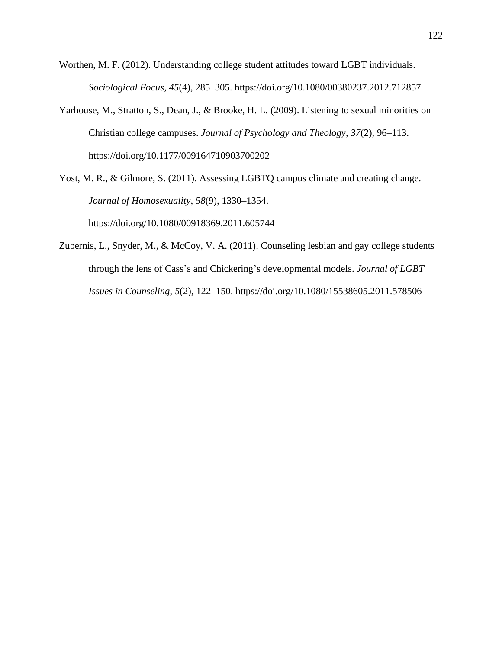Worthen, M. F. (2012). Understanding college student attitudes toward LGBT individuals. *Sociological Focus, 45*(4), 285–305.<https://doi.org/10.1080/00380237.2012.712857>

Yarhouse, M., Stratton, S., Dean, J., & Brooke, H. L. (2009). Listening to sexual minorities on Christian college campuses. *Journal of Psychology and Theology*, *37*(2), 96–113. <https://doi.org/10.1177/009164710903700202>

Yost, M. R., & Gilmore, S. (2011). Assessing LGBTQ campus climate and creating change. *Journal of Homosexuality*, *58*(9), 1330–1354.

<https://doi.org/10.1080/00918369.2011.605744>

Zubernis, L., Snyder, M., & McCoy, V. A. (2011). Counseling lesbian and gay college students through the lens of Cass's and Chickering's developmental models. *Journal of LGBT Issues in Counseling*, *5*(2), 122–150.<https://doi.org/10.1080/15538605.2011.578506>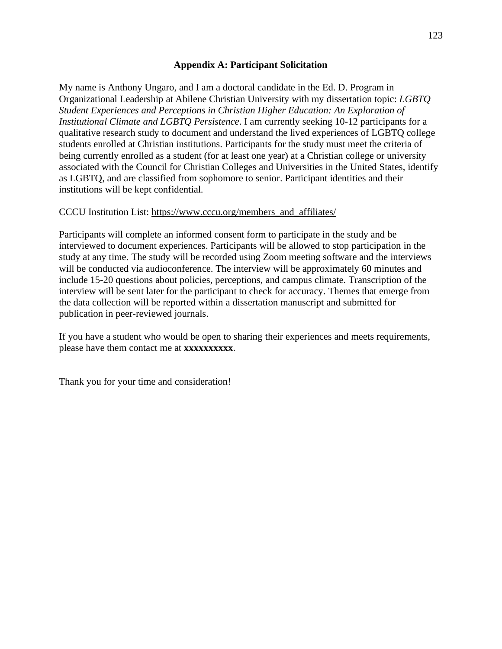# **Appendix A: Participant Solicitation**

My name is Anthony Ungaro, and I am a doctoral candidate in the Ed. D. Program in Organizational Leadership at Abilene Christian University with my dissertation topic: *LGBTQ Student Experiences and Perceptions in Christian Higher Education: An Exploration of Institutional Climate and LGBTQ Persistence*. I am currently seeking 10-12 participants for a qualitative research study to document and understand the lived experiences of LGBTQ college students enrolled at Christian institutions. Participants for the study must meet the criteria of being currently enrolled as a student (for at least one year) at a Christian college or university associated with the Council for Christian Colleges and Universities in the United States, identify as LGBTQ, and are classified from sophomore to senior. Participant identities and their institutions will be kept confidential.

# CCCU Institution List: [https://www.cccu.org/members\\_and\\_affiliates/](https://www.cccu.org/members_and_affiliates/)

Participants will complete an informed consent form to participate in the study and be interviewed to document experiences. Participants will be allowed to stop participation in the study at any time. The study will be recorded using Zoom meeting software and the interviews will be conducted via audioconference. The interview will be approximately 60 minutes and include 15-20 questions about policies, perceptions, and campus climate. Transcription of the interview will be sent later for the participant to check for accuracy. Themes that emerge from the data collection will be reported within a dissertation manuscript and submitted for publication in peer-reviewed journals.

If you have a student who would be open to sharing their experiences and meets requirements, please have them contact me at **xxxxxxxxxx**.

Thank you for your time and consideration!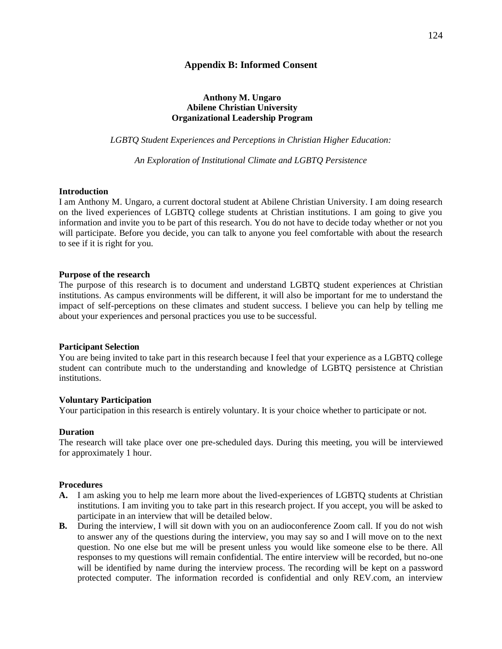## **Appendix B: Informed Consent**

## **Anthony M. Ungaro Abilene Christian University Organizational Leadership Program**

*LGBTQ Student Experiences and Perceptions in Christian Higher Education:*

*An Exploration of Institutional Climate and LGBTQ Persistence* 

## **Introduction**

I am Anthony M. Ungaro, a current doctoral student at Abilene Christian University. I am doing research on the lived experiences of LGBTQ college students at Christian institutions. I am going to give you information and invite you to be part of this research. You do not have to decide today whether or not you will participate. Before you decide, you can talk to anyone you feel comfortable with about the research to see if it is right for you.

### **Purpose of the research**

The purpose of this research is to document and understand LGBTQ student experiences at Christian institutions. As campus environments will be different, it will also be important for me to understand the impact of self-perceptions on these climates and student success. I believe you can help by telling me about your experiences and personal practices you use to be successful.

### **Participant Selection**

You are being invited to take part in this research because I feel that your experience as a LGBTQ college student can contribute much to the understanding and knowledge of LGBTQ persistence at Christian institutions.

### **Voluntary Participation**

Your participation in this research is entirely voluntary. It is your choice whether to participate or not.

### **Duration**

The research will take place over one pre-scheduled days. During this meeting, you will be interviewed for approximately 1 hour.

### **Procedures**

- **A.** I am asking you to help me learn more about the lived-experiences of LGBTQ students at Christian institutions. I am inviting you to take part in this research project. If you accept, you will be asked to participate in an interview that will be detailed below.
- **B.** During the interview, I will sit down with you on an audioconference Zoom call. If you do not wish to answer any of the questions during the interview, you may say so and I will move on to the next question. No one else but me will be present unless you would like someone else to be there. All responses to my questions will remain confidential. The entire interview will be recorded, but no-one will be identified by name during the interview process. The recording will be kept on a password protected computer. The information recorded is confidential and only REV.com, an interview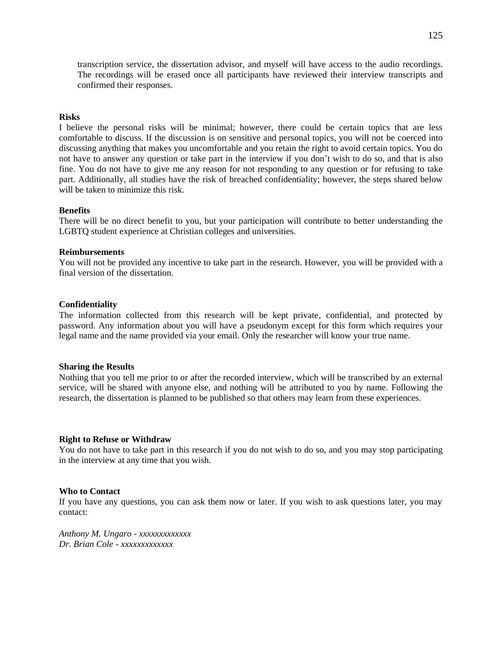transcription service, the dissertation advisor, and myself will have access to the audio recordings. The recordings will be erased once all participants have reviewed their interview transcripts and confirmed their responses.

#### **Risks**

I believe the personal risks will be minimal; however, there could be certain topics that are less comfortable to discuss. If the discussion is on sensitive and personal topics, you will not be coerced into discussing anything that makes you uncomfortable and you retain the right to avoid certain topics. You do not have to answer any question or take part in the interview if you don't wish to do so, and that is also fine. You do not have to give me any reason for not responding to any question or for refusing to take part. Additionally, all studies have the risk of breached confidentiality; however, the steps shared below will be taken to minimize this risk.

#### **Benefits**

There will be no direct benefit to you, but your participation will contribute to better understanding the LGBTQ student experience at Christian colleges and universities.

### **Reimbursements**

You will not be provided any incentive to take part in the research. However, you will be provided with a final version of the dissertation.

#### **Confidentiality**

The information collected from this research will be kept private, confidential, and protected by password. Any information about you will have a pseudonym except for this form which requires your legal name and the name provided via your email. Only the researcher will know your true name.

#### **Sharing the Results**

Nothing that you tell me prior to or after the recorded interview, which will be transcribed by an external service, will be shared with anyone else, and nothing will be attributed to you by name. Following the research, the dissertation is planned to be published so that others may learn from these experiences.

#### **Right to Refuse or Withdraw**

You do not have to take part in this research if you do not wish to do so, and you may stop participating in the interview at any time that you wish.

#### **Who to Contact**

If you have any questions, you can ask them now or later. If you wish to ask questions later, you may contact:

*Anthony M. Ungaro - xxxxxxxxxxxxx Dr. Brian Cole - xxxxxxxxxxxxx*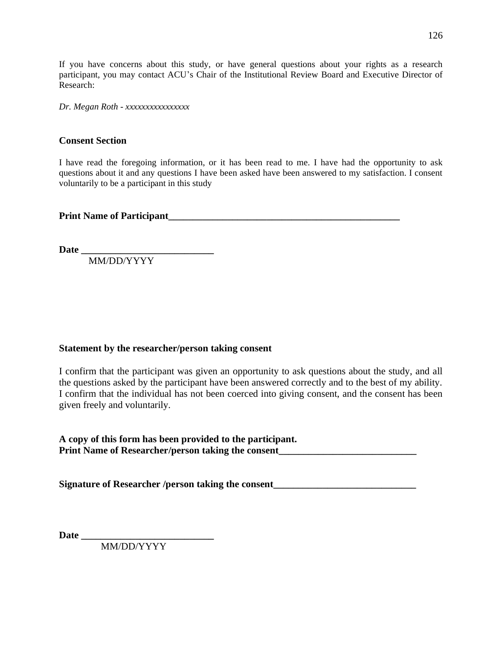If you have concerns about this study, or have general questions about your rights as a research participant, you may contact ACU's Chair of the Institutional Review Board and Executive Director of Research:

*Dr. Megan Roth - xxxxxxxxxxxxxxxx*

# **Consent Section**

I have read the foregoing information, or it has been read to me. I have had the opportunity to ask questions about it and any questions I have been asked have been answered to my satisfaction. I consent voluntarily to be a participant in this study

**Print Name of Participant** 

Date

MM/DD/YYYY

# **Statement by the researcher/person taking consent**

I confirm that the participant was given an opportunity to ask questions about the study, and all the questions asked by the participant have been answered correctly and to the best of my ability. I confirm that the individual has not been coerced into giving consent, and the consent has been given freely and voluntarily.

**A copy of this form has been provided to the participant.** Print Name of Researcher/person taking the consent\_\_\_\_\_\_\_\_\_\_\_\_\_\_\_\_\_\_\_\_\_\_\_\_\_\_\_\_\_\_\_

**Signature of Researcher /person taking the consent\_\_\_\_\_\_\_\_\_\_\_\_\_\_\_\_\_\_\_\_\_\_\_\_\_\_\_\_\_**

**Date \_\_\_\_\_\_\_\_\_\_\_\_\_\_\_\_\_\_\_\_\_\_\_\_\_\_\_**

MM/DD/YYYY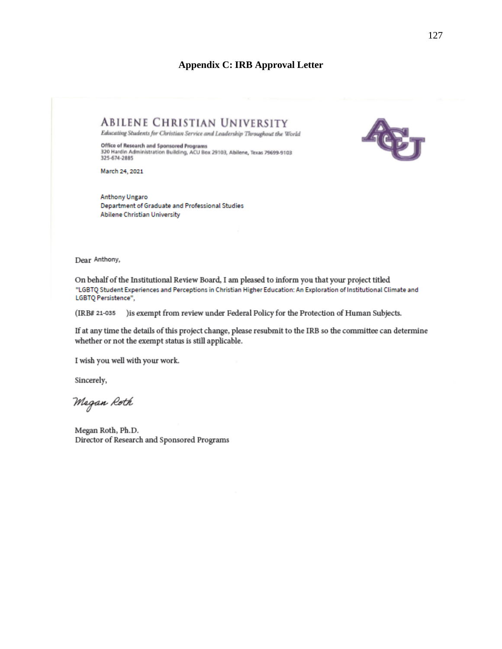# **Appendix C: IRB Approval Letter**



**ABILENE CHRISTIAN UNIVERSITY** Educating Students for Christian Service and Leadership Throughout the World

Office of Research and Sponsored Programs<br>320 Hardin Administration Building, ACU Box 29103, Abilene, Texas 79699-9103 325-674-2885

March 24, 2021

**Anthony Ungaro** Department of Graduate and Professional Studies Abilene Christian University

Dear Anthony,

On behalf of the Institutional Review Board, I am pleased to inform you that your project titled "LGBTO Student Experiences and Perceptions in Christian Higher Education: An Exploration of Institutional Climate and LGBTQ Persistence",

(IRB# 21-035 ) is exempt from review under Federal Policy for the Protection of Human Subjects.

If at any time the details of this project change, please resubmit to the IRB so the committee can determine whether or not the exempt status is still applicable.

I wish you well with your work.

Sincerely,

Megan Roth

Megan Roth, Ph.D. Director of Research and Sponsored Programs